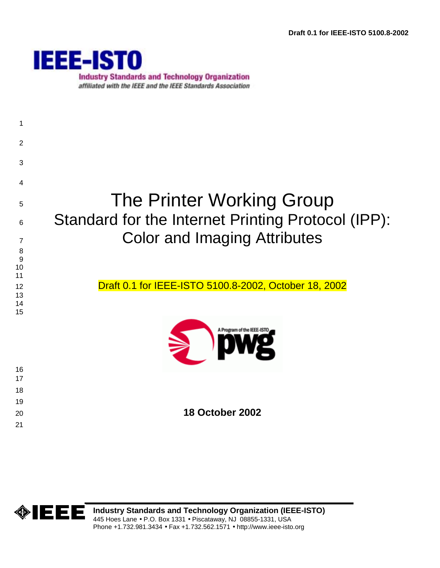

**Industry Standards and Technology Organization** affiliated with the IEEE and the IEEE Standards Association

# The Printer Working Group 6 Standard for the Internet Printing Protocol (IPP): 7 Color and Imaging Attributes 12 Draft 0.1 for IEEE-ISTO 5100.8-2002, October 18, 2002 Program of the IEEE-IST **18 October 2002**

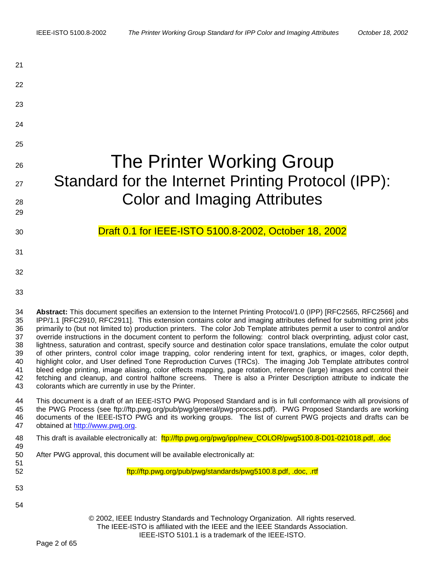| 21                                                       |                                                                                                                                                                                                                                                                                                                                                                                                                                                                                                                                                                                                                                                                                                                                                                                                                                                                                                                                                                                                                                                                                                                                                                       |
|----------------------------------------------------------|-----------------------------------------------------------------------------------------------------------------------------------------------------------------------------------------------------------------------------------------------------------------------------------------------------------------------------------------------------------------------------------------------------------------------------------------------------------------------------------------------------------------------------------------------------------------------------------------------------------------------------------------------------------------------------------------------------------------------------------------------------------------------------------------------------------------------------------------------------------------------------------------------------------------------------------------------------------------------------------------------------------------------------------------------------------------------------------------------------------------------------------------------------------------------|
| 22                                                       |                                                                                                                                                                                                                                                                                                                                                                                                                                                                                                                                                                                                                                                                                                                                                                                                                                                                                                                                                                                                                                                                                                                                                                       |
| 23                                                       |                                                                                                                                                                                                                                                                                                                                                                                                                                                                                                                                                                                                                                                                                                                                                                                                                                                                                                                                                                                                                                                                                                                                                                       |
| 24                                                       |                                                                                                                                                                                                                                                                                                                                                                                                                                                                                                                                                                                                                                                                                                                                                                                                                                                                                                                                                                                                                                                                                                                                                                       |
| 25                                                       |                                                                                                                                                                                                                                                                                                                                                                                                                                                                                                                                                                                                                                                                                                                                                                                                                                                                                                                                                                                                                                                                                                                                                                       |
| 26                                                       | The Printer Working Group                                                                                                                                                                                                                                                                                                                                                                                                                                                                                                                                                                                                                                                                                                                                                                                                                                                                                                                                                                                                                                                                                                                                             |
| 27                                                       | Standard for the Internet Printing Protocol (IPP):                                                                                                                                                                                                                                                                                                                                                                                                                                                                                                                                                                                                                                                                                                                                                                                                                                                                                                                                                                                                                                                                                                                    |
| 28                                                       | <b>Color and Imaging Attributes</b>                                                                                                                                                                                                                                                                                                                                                                                                                                                                                                                                                                                                                                                                                                                                                                                                                                                                                                                                                                                                                                                                                                                                   |
| 29                                                       |                                                                                                                                                                                                                                                                                                                                                                                                                                                                                                                                                                                                                                                                                                                                                                                                                                                                                                                                                                                                                                                                                                                                                                       |
| 30                                                       | Draft 0.1 for IEEE-ISTO 5100.8-2002, October 18, 2002                                                                                                                                                                                                                                                                                                                                                                                                                                                                                                                                                                                                                                                                                                                                                                                                                                                                                                                                                                                                                                                                                                                 |
| 31                                                       |                                                                                                                                                                                                                                                                                                                                                                                                                                                                                                                                                                                                                                                                                                                                                                                                                                                                                                                                                                                                                                                                                                                                                                       |
| 32                                                       |                                                                                                                                                                                                                                                                                                                                                                                                                                                                                                                                                                                                                                                                                                                                                                                                                                                                                                                                                                                                                                                                                                                                                                       |
| 33                                                       |                                                                                                                                                                                                                                                                                                                                                                                                                                                                                                                                                                                                                                                                                                                                                                                                                                                                                                                                                                                                                                                                                                                                                                       |
| 34<br>35<br>36<br>37<br>38<br>39<br>40<br>41<br>42<br>43 | Abstract: This document specifies an extension to the Internet Printing Protocol/1.0 (IPP) [RFC2565, RFC2566] and<br>IPP/1.1 [RFC2910, RFC2911]. This extension contains color and imaging attributes defined for submitting print jobs<br>primarily to (but not limited to) production printers. The color Job Template attributes permit a user to control and/or<br>override instructions in the document content to perform the following: control black overprinting, adjust color cast,<br>lightness, saturation and contrast, specify source and destination color space translations, emulate the color output<br>of other printers, control color image trapping, color rendering intent for text, graphics, or images, color depth,<br>highlight color, and User defined Tone Reproduction Curves (TRCs). The imaging Job Template attributes control<br>bleed edge printing, image aliasing, color effects mapping, page rotation, reference (large) images and control their<br>fetching and cleanup, and control halftone screens. There is also a Printer Description attribute to indicate the<br>colorants which are currently in use by the Printer. |
| 44<br>45<br>46<br>47                                     | This document is a draft of an IEEE-ISTO PWG Proposed Standard and is in full conformance with all provisions of<br>the PWG Process (see ftp://ftp.pwg.org/pub/pwg/general/pwg-process.pdf). PWG Proposed Standards are working<br>documents of the IEEE-ISTO PWG and its working groups. The list of current PWG projects and drafts can be<br>obtained at http://www.pwg.org.                                                                                                                                                                                                                                                                                                                                                                                                                                                                                                                                                                                                                                                                                                                                                                                       |
| 48<br>49                                                 | This draft is available electronically at: ftp://ftp.pwg.org/pwg/ipp/new_COLOR/pwg5100.8-D01-021018.pdf, .doc                                                                                                                                                                                                                                                                                                                                                                                                                                                                                                                                                                                                                                                                                                                                                                                                                                                                                                                                                                                                                                                         |
| 50<br>51                                                 | After PWG approval, this document will be available electronically at:                                                                                                                                                                                                                                                                                                                                                                                                                                                                                                                                                                                                                                                                                                                                                                                                                                                                                                                                                                                                                                                                                                |
| 52                                                       | ftp://ftp.pwg.org/pub/pwg/standards/pwg5100.8.pdf, .doc, .rtf                                                                                                                                                                                                                                                                                                                                                                                                                                                                                                                                                                                                                                                                                                                                                                                                                                                                                                                                                                                                                                                                                                         |
| 53                                                       |                                                                                                                                                                                                                                                                                                                                                                                                                                                                                                                                                                                                                                                                                                                                                                                                                                                                                                                                                                                                                                                                                                                                                                       |
| 54                                                       | © 2002, IEEE Industry Standards and Technology Organization. All rights reserved.<br>The IEEE-ISTO is affiliated with the IEEE and the IEEE Standards Association.<br>IEEE-ISTO 5101.1 is a trademark of the IEEE-ISTO.                                                                                                                                                                                                                                                                                                                                                                                                                                                                                                                                                                                                                                                                                                                                                                                                                                                                                                                                               |
|                                                          | . <i>.</i>                                                                                                                                                                                                                                                                                                                                                                                                                                                                                                                                                                                                                                                                                                                                                                                                                                                                                                                                                                                                                                                                                                                                                            |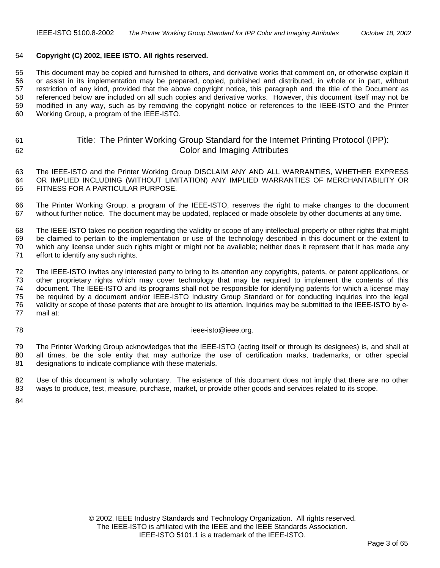# 54 **Copyright (C) 2002, IEEE ISTO. All rights reserved.**

55 This document may be copied and furnished to others, and derivative works that comment on, or otherwise explain it 56 or assist in its implementation may be prepared, copied, published and distributed, in whole or in part, without 57 restriction of any kind, provided that the above copyright notice, this paragraph and the title of the Document as 58 referenced below are included on all such copies and derivative works. However, this document itself may not be 59 modified in any way, such as by removing the copyright notice or references to the IEEE-ISTO and the Printer 60 Working Group, a program of the IEEE-ISTO.

# 61 Title: The Printer Working Group Standard for the Internet Printing Protocol (IPP): 62 Color and Imaging Attributes

63 The IEEE-ISTO and the Printer Working Group DISCLAIM ANY AND ALL WARRANTIES, WHETHER EXPRESS 64 OR IMPLIED INCLUDING (WITHOUT LIMITATION) ANY IMPLIED WARRANTIES OF MERCHANTABILITY OR 65 FITNESS FOR A PARTICULAR PURPOSE.

66 The Printer Working Group, a program of the IEEE-ISTO, reserves the right to make changes to the document 67 without further notice. The document may be updated, replaced or made obsolete by other documents at any time.

68 The IEEE-ISTO takes no position regarding the validity or scope of any intellectual property or other rights that might 69 be claimed to pertain to the implementation or use of the technology described in this document or the extent to 70 which any license under such rights might or might not be available; neither does it represent that it has made any 71 effort to identify any such rights.

72 The IEEE-ISTO invites any interested party to bring to its attention any copyrights, patents, or patent applications, or 73 other proprietary rights which may cover technology that may be required to implement the contents of this 74 document. The IEEE-ISTO and its programs shall not be responsible for identifying patents for which a license may 75 be required by a document and/or IEEE-ISTO Industry Group Standard or for conducting inquiries into the legal 76 validity or scope of those patents that are brought to its attention. Inquiries may be submitted to the IEEE-ISTO by e-77 mail at:

#### 78 ieee-isto@ieee.org.

79 The Printer Working Group acknowledges that the IEEE-ISTO (acting itself or through its designees) is, and shall at 80 all times, be the sole entity that may authorize the use of certification marks, trademarks, or other special 81 designations to indicate compliance with these materials.

82 Use of this document is wholly voluntary. The existence of this document does not imply that there are no other 83 ways to produce, test, measure, purchase, market, or provide other goods and services related to its scope.

84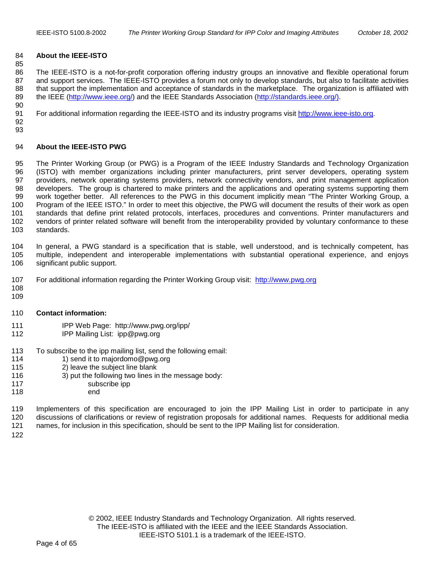# 84 **About the IEEE-ISTO**

86 The IEEE-ISTO is a not-for-profit corporation offering industry groups an innovative and flexible operational forum 87 and support services. The IEEE-ISTO provides a forum not only to develop standards, but also to facilitate activities 88 that support the implementation and acceptance of standards in the marketplace. The organization is affiliated with 89 the IEEE [\(http://www.ieee.org/\)](http://www.ieee.org/) and the IEEE Standards Association [\(http://standards.ieee.org/\).](http://standards.ieee.org/)) 90

91 For additional information regarding the IEEE-ISTO and its industry programs visit [http://www.ieee-isto.org.](http://www.ieee-isto.org/)

92 93

85

# 94 **About the IEEE-ISTO PWG**

95 The Printer Working Group (or PWG) is a Program of the IEEE Industry Standards and Technology Organization 96 (ISTO) with member organizations including printer manufacturers, print server developers, operating system 97 providers, network operating systems providers, network connectivity vendors, and print management application 98 developers. The group is chartered to make printers and the applications and operating systems supporting them 99 work together better. All references to the PWG in this document implicitly mean "The Printer Working Group, a 100 Program of the IEEE ISTO." In order to meet this objective, the PWG will document the results of their work as open 101 standards that define print related protocols, interfaces, procedures and conventions. Printer manufacturers and 102 vendors of printer related software will benefit from the interoperability provided by voluntary conformance to these 103 standards.

104 In general, a PWG standard is a specification that is stable, well understood, and is technically competent, has 105 multiple, independent and interoperable implementations with substantial operational experience, and enjoys 106 significant public support.

- 107 For additional information regarding the Printer Working Group visit: http://www.pwg.org
- 108 109

#### 110 **Contact information:**

- 111 IPP Web Page: http://www.pwg.org/ipp/
- 112 IPP Mailing List: ipp@pwg.org
- 113 To subscribe to the ipp mailing list, send the following email:<br>114 1) send it to maiordomo@pwg.org
- 1) send it to majordomo@pwg.org
- 115 2) leave the subject line blank
- 116 3) put the following two lines in the message body:
- 117 subscribe ipp
- 118 end

119 Implementers of this specification are encouraged to join the IPP Mailing List in order to participate in any 120 discussions of clarifications or review of registration proposals for additional names. Requests for additional media 121 names, for inclusion in this specification, should be sent to the IPP Mailing list for consideration.

122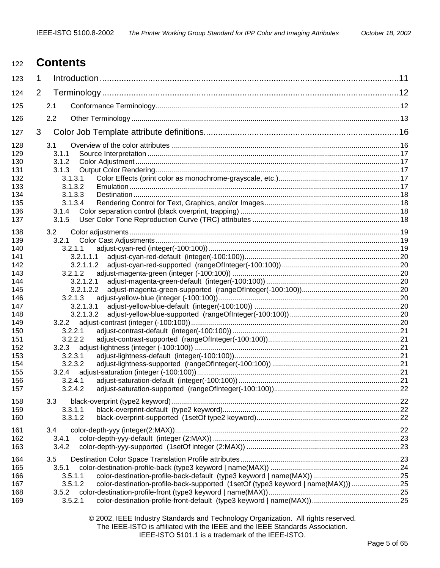# <sup>122</sup>**Contents**

| 123        | 1              |                                                                                              |  |
|------------|----------------|----------------------------------------------------------------------------------------------|--|
| 124        | $\overline{2}$ |                                                                                              |  |
| 125        |                | 2.1                                                                                          |  |
| 126        |                | 2.2                                                                                          |  |
| 127        | 3              |                                                                                              |  |
| 128<br>129 |                | 3.1<br>3.1.1                                                                                 |  |
| 130        |                | 3.1.2                                                                                        |  |
| 131        |                | 3.1.3                                                                                        |  |
| 132        |                | 3.1.3.1                                                                                      |  |
| 133<br>134 |                | 3.1.3.2<br>3.1.3.3                                                                           |  |
| 135        |                | 3.1.3.4                                                                                      |  |
| 136        |                | 3.1.4                                                                                        |  |
| 137        |                | 3.1.5                                                                                        |  |
|            |                |                                                                                              |  |
| 138        |                | 3.2                                                                                          |  |
| 139<br>140 |                | 3.2.1<br>3.2.1.1                                                                             |  |
| 141        |                | 3.2.1.1.1                                                                                    |  |
| 142        |                | 3.2.1.1.2                                                                                    |  |
| 143        |                | 3.2.1.2                                                                                      |  |
| 144        |                | 3.2.1.2.1                                                                                    |  |
| 145        |                | 3.2.1.2.2                                                                                    |  |
| 146        |                | 3.2.1.3                                                                                      |  |
| 147        |                | 3.2.1.3.1                                                                                    |  |
| 148        |                | 3.2.1.3.2                                                                                    |  |
| 149        |                | 3.2.2                                                                                        |  |
| 150        |                | 3.2.2.1                                                                                      |  |
| 151        |                | 3.2.2.2                                                                                      |  |
| 152        |                | 3.2.3                                                                                        |  |
| 153        |                | 3.2.3.1                                                                                      |  |
| 154        |                | 3.2.3.2                                                                                      |  |
| 155        |                | 3.2.4                                                                                        |  |
| 156        |                | 3.2.4.1<br>3.2.4.2                                                                           |  |
| 157        |                |                                                                                              |  |
| 158        |                | 3.3                                                                                          |  |
| 159        |                | 3.3.1.1                                                                                      |  |
| 160        |                | 3.3.1.2                                                                                      |  |
| 161        |                | 3.4                                                                                          |  |
| 162        |                | 3.4.1                                                                                        |  |
| 163        |                | 3.4.2                                                                                        |  |
| 164        |                | 3.5                                                                                          |  |
| 165        |                | 3.5.1                                                                                        |  |
| 166        |                | 3.5.1.1                                                                                      |  |
| 167        |                | 3.5.1.2<br>color-destination-profile-back-supported (1setOf (type3 keyword   name(MAX)))  25 |  |
| 168        |                | 3.5.2                                                                                        |  |
| 169        |                | 3.5.2.1                                                                                      |  |
|            |                |                                                                                              |  |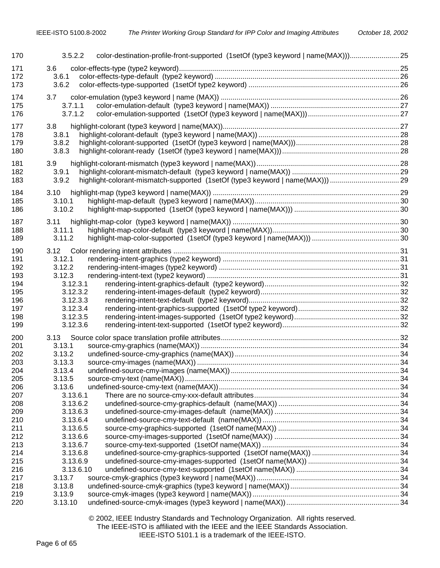| 170        | 3.5.2.2              | color-destination-profile-front-supported (1setOf (type3 keyword   name(MAX))) 25 |  |
|------------|----------------------|-----------------------------------------------------------------------------------|--|
| 171        | 3.6                  |                                                                                   |  |
| 172        | 3.6.1                |                                                                                   |  |
| 173        | 3.6.2                |                                                                                   |  |
| 174        | 3.7                  |                                                                                   |  |
| 175        | 3.7.1.1              |                                                                                   |  |
| 176        | 3.7.1.2              |                                                                                   |  |
| 177        |                      |                                                                                   |  |
| 178        | 3.8<br>3.8.1         |                                                                                   |  |
| 179        | 3.8.2                |                                                                                   |  |
| 180        | 3.8.3                |                                                                                   |  |
|            |                      |                                                                                   |  |
| 181        | 3.9                  |                                                                                   |  |
| 182        | 3.9.1                |                                                                                   |  |
| 183        | 3.9.2                |                                                                                   |  |
| 184        | 3.10                 |                                                                                   |  |
| 185        | 3.10.1               |                                                                                   |  |
| 186        | 3.10.2               |                                                                                   |  |
| 187        |                      |                                                                                   |  |
| 188        | 3.11<br>3.11.1       |                                                                                   |  |
| 189        | 3.11.2               |                                                                                   |  |
|            |                      |                                                                                   |  |
| 190        |                      |                                                                                   |  |
| 191        | 3.12.1               |                                                                                   |  |
| 192        | 3.12.2               |                                                                                   |  |
| 193        | 3.12.3               |                                                                                   |  |
| 194        | 3.12.3.1             |                                                                                   |  |
| 195        | 3.12.3.2             |                                                                                   |  |
| 196<br>197 | 3.12.3.3<br>3.12.3.4 |                                                                                   |  |
| 198        | 3.12.3.5             |                                                                                   |  |
| 199        | 3.12.3.6             |                                                                                   |  |
|            |                      |                                                                                   |  |
| 200        |                      |                                                                                   |  |
| 201        | 3.13.1               |                                                                                   |  |
| 202        | 3.13.2               |                                                                                   |  |
| 203        | 3.13.3               |                                                                                   |  |
| 204        | 3.13.4               |                                                                                   |  |
| 205        | 3.13.5               |                                                                                   |  |
| 206        | 3.13.6<br>3.13.6.1   |                                                                                   |  |
| 207<br>208 | 3.13.6.2             |                                                                                   |  |
| 209        | 3.13.6.3             |                                                                                   |  |
| 210        | 3.13.6.4             |                                                                                   |  |
| 211        | 3.13.6.5             |                                                                                   |  |
| 212        | 3.13.6.6             |                                                                                   |  |
| 213        | 3.13.6.7             |                                                                                   |  |
| 214        | 3.13.6.8             |                                                                                   |  |
| 215        | 3.13.6.9             |                                                                                   |  |
| 216        | 3.13.6.10            |                                                                                   |  |
| 217        | 3.13.7               |                                                                                   |  |
| 218        | 3.13.8               |                                                                                   |  |
| 219        | 3.13.9               |                                                                                   |  |
| 220        | 3.13.10              |                                                                                   |  |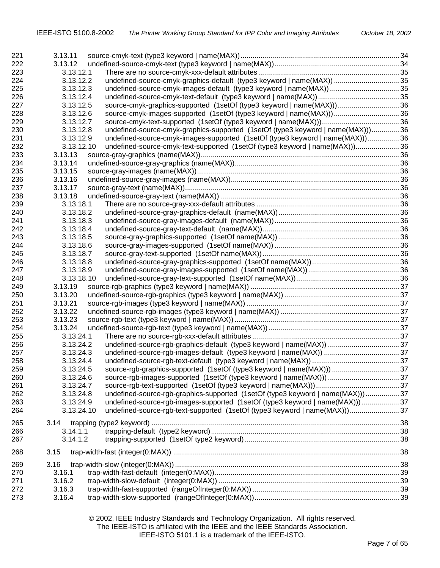| 221 | 3.13.11    |                                                                                  |  |
|-----|------------|----------------------------------------------------------------------------------|--|
| 222 | 3.13.12    |                                                                                  |  |
| 223 | 3.13.12.1  |                                                                                  |  |
| 224 | 3.13.12.2  | undefined-source-cmyk-graphics-default (type3 keyword   name(MAX))  35           |  |
| 225 | 3.13.12.3  | undefined-source-cmyk-images-default (type3 keyword   name(MAX))  35             |  |
| 226 | 3.13.12.4  |                                                                                  |  |
| 227 | 3.13.12.5  | source-cmyk-graphics-supported (1setOf (type3 keyword   name(MAX))) 36           |  |
| 228 | 3.13.12.6  |                                                                                  |  |
| 229 | 3.13.12.7  |                                                                                  |  |
| 230 | 3.13.12.8  | undefined-source-cmyk-graphics-supported (1setOf (type3 keyword   name(MAX)))36  |  |
| 231 | 3.13.12.9  | undefined-source-cmyk-images-supported (1setOf (type3 keyword   name(MAX)))36    |  |
| 232 | 3.13.12.10 | undefined-source-cmyk-text-supported (1setOf (type3 keyword   name(MAX)))36      |  |
| 233 | 3.13.13    |                                                                                  |  |
| 234 | 3.13.14    |                                                                                  |  |
| 235 | 3.13.15    |                                                                                  |  |
| 236 | 3.13.16    |                                                                                  |  |
| 237 | 3.13.17    |                                                                                  |  |
|     |            |                                                                                  |  |
| 238 | 3.13.18    |                                                                                  |  |
| 239 | 3.13.18.1  |                                                                                  |  |
| 240 | 3.13.18.2  |                                                                                  |  |
| 241 | 3.13.18.3  |                                                                                  |  |
| 242 | 3.13.18.4  |                                                                                  |  |
| 243 | 3.13.18.5  |                                                                                  |  |
| 244 | 3.13.18.6  |                                                                                  |  |
| 245 | 3.13.18.7  |                                                                                  |  |
| 246 | 3.13.18.8  |                                                                                  |  |
| 247 | 3.13.18.9  |                                                                                  |  |
| 248 | 3.13.18.10 |                                                                                  |  |
| 249 | 3.13.19    |                                                                                  |  |
| 250 | 3.13.20    |                                                                                  |  |
| 251 | 3.13.21    |                                                                                  |  |
| 252 | 3.13.22    |                                                                                  |  |
| 253 | 3.13.23    |                                                                                  |  |
| 254 | 3.13.24    |                                                                                  |  |
| 255 | 3.13.24.1  |                                                                                  |  |
|     | 3.13.24.2  | undefined-source-rgb-graphics-default (type3 keyword   name(MAX))  37            |  |
| 256 |            |                                                                                  |  |
| 257 | 3.13.24.3  |                                                                                  |  |
| 258 | 3.13.24.4  |                                                                                  |  |
| 259 | 3.13.24.5  | source-rgb-graphics-supported (1setOf (type3 keyword   name(MAX)))  37           |  |
| 260 | 3.13.24.6  |                                                                                  |  |
| 261 | 3.13.24.7  |                                                                                  |  |
| 262 | 3.13.24.8  | undefined-source-rgb-graphics-supported (1setOf (type3 keyword   name(MAX)))  37 |  |
| 263 | 3.13.24.9  | undefined-source-rgb-images-supported (1setOf (type3 keyword   name(MAX))) 37    |  |
| 264 | 3.13.24.10 | undefined-source-rgb-text-supported (1setOf (type3 keyword   name(MAX)))37       |  |
| 265 | 3.14       |                                                                                  |  |
|     | 3.14.1.1   |                                                                                  |  |
| 266 |            |                                                                                  |  |
| 267 | 3.14.1.2   |                                                                                  |  |
| 268 | 3.15       |                                                                                  |  |
| 269 | 3.16       |                                                                                  |  |
| 270 | 3.16.1     |                                                                                  |  |
| 271 | 3.16.2     |                                                                                  |  |
| 272 | 3.16.3     |                                                                                  |  |
| 273 | 3.16.4     |                                                                                  |  |
|     |            |                                                                                  |  |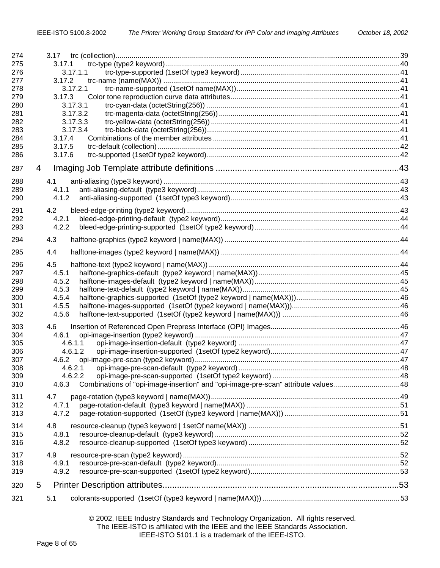| 274<br>275<br>276<br>277<br>278<br>279<br>280<br>281<br>282<br>283<br>284<br>285<br>286 | 3.17.1<br>3.17.1.1<br>3.17.2<br>3.17.2.1<br>3.17.3<br>3.17.3.1<br>3.17.3.2<br>3.17.3.3<br>3.17.3.4<br>3.17.4<br>3.17.5<br>3.17.6 |  |
|-----------------------------------------------------------------------------------------|----------------------------------------------------------------------------------------------------------------------------------|--|
| 287                                                                                     | 4                                                                                                                                |  |
| 288<br>289                                                                              | 4.1<br>4.1.1                                                                                                                     |  |
| 290                                                                                     | 4.1.2                                                                                                                            |  |
| 291                                                                                     | 4.2                                                                                                                              |  |
| 292                                                                                     | 4.2.1                                                                                                                            |  |
| 293                                                                                     | 4.2.2                                                                                                                            |  |
| 294                                                                                     | 4.3                                                                                                                              |  |
| 295                                                                                     | 4.4                                                                                                                              |  |
| 296                                                                                     | 4.5                                                                                                                              |  |
| 297                                                                                     | 4.5.1                                                                                                                            |  |
| 298<br>299                                                                              | 4.5.2<br>4.5.3                                                                                                                   |  |
| 300                                                                                     | 4.5.4                                                                                                                            |  |
| 301                                                                                     | 4.5.5                                                                                                                            |  |
| 302                                                                                     | 4.5.6                                                                                                                            |  |
| 303                                                                                     | 4.6                                                                                                                              |  |
| 304                                                                                     | 4.6.1                                                                                                                            |  |
| 305<br>306                                                                              | 4.6.1.1<br>4.6.1.2                                                                                                               |  |
| 307                                                                                     |                                                                                                                                  |  |
| 308                                                                                     | 4.6.2.1                                                                                                                          |  |
| 309                                                                                     | 4.6.2.2                                                                                                                          |  |
| 310                                                                                     | Combinations of "opi-image-insertion" and "opi-image-pre-scan" attribute values 48<br>4.6.3                                      |  |
| 311                                                                                     | 4.7                                                                                                                              |  |
| 312                                                                                     | 4.7.1                                                                                                                            |  |
| 313                                                                                     | 4.7.2                                                                                                                            |  |
| 314                                                                                     | 4.8                                                                                                                              |  |
| 315                                                                                     | 4.8.1                                                                                                                            |  |
| 316                                                                                     | 4.8.2                                                                                                                            |  |
| 317                                                                                     | 4.9                                                                                                                              |  |
| 318<br>319                                                                              | 4.9.1<br>4.9.2                                                                                                                   |  |
|                                                                                         |                                                                                                                                  |  |
| 320                                                                                     | 5                                                                                                                                |  |
| 321                                                                                     | 5.1                                                                                                                              |  |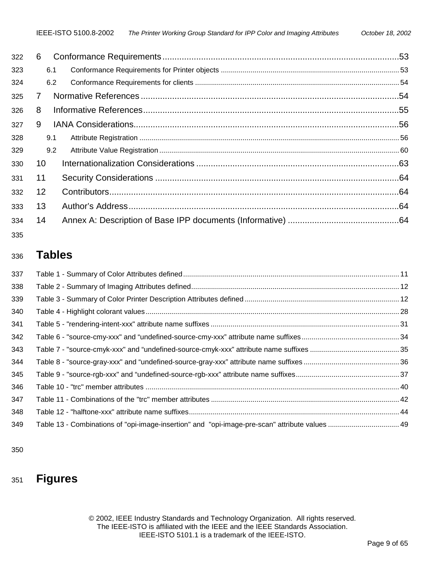| 322 | 6   |  |
|-----|-----|--|
| 323 | 6.1 |  |
| 324 | 6.2 |  |
| 325 | 7   |  |
| 326 | 8   |  |
| 327 | 9   |  |
| 328 | 9.1 |  |
| 329 | 9.2 |  |
| 330 | 10  |  |
| 331 | 11  |  |
| 332 | 12  |  |
| 333 | 13  |  |
| 334 | 14  |  |
|     |     |  |

335

# <sup>336</sup>**Tables**

| 337 |                                                                                                |  |
|-----|------------------------------------------------------------------------------------------------|--|
| 338 |                                                                                                |  |
| 339 |                                                                                                |  |
| 340 |                                                                                                |  |
| 341 |                                                                                                |  |
| 342 |                                                                                                |  |
| 343 |                                                                                                |  |
| 344 |                                                                                                |  |
| 345 |                                                                                                |  |
| 346 |                                                                                                |  |
| 347 |                                                                                                |  |
| 348 |                                                                                                |  |
| 349 | Table 13 - Combinations of "opi-image-insertion" and "opi-image-pre-scan" attribute values  49 |  |
|     |                                                                                                |  |

350

# 351 **Figures**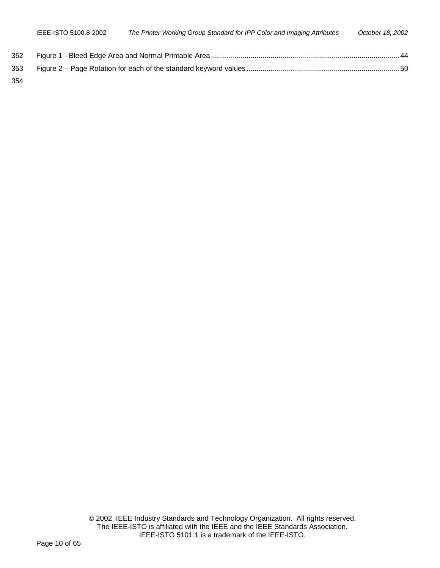|      | IEEE-ISTO 5100.8-2002 | The Printer Working Group Standard for IPP Color and Imaging Attributes | October 18, 2002 |
|------|-----------------------|-------------------------------------------------------------------------|------------------|
| 352  |                       |                                                                         |                  |
| 353. |                       |                                                                         |                  |

354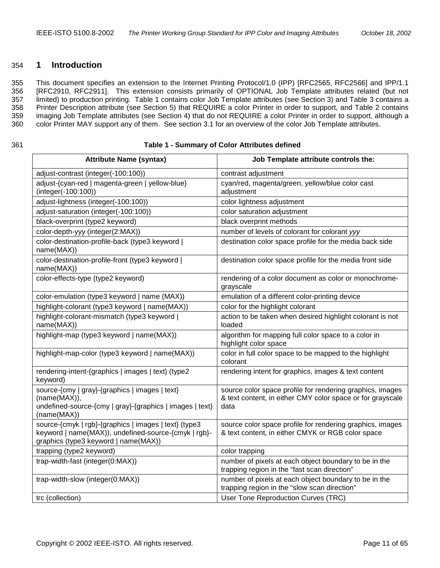#### <span id="page-10-0"></span>354 **1 Introduction**

355 This document specifies an extension to the Internet Printing Protocol/1.0 (IPP) [RFC2565, RFC2566] and IPP/1.1 356 [RFC2910, RFC2911]. This extension consists primarily of OPTIONAL Job Template attributes related (but not 357 limited) to production printing. Table 1 contains color Job Template attributes (see Section [3\)](#page-14-0) and [Table 3](#page-11-0) contains a 358 Printer Description attribute (see Section [5\)](#page-52-0) that REQUIRE a color Printer in order to support, and [Table 2](#page-11-0) contains 359 imaging Job Template attributes (see Section [4\)](#page-42-0) that do not REQUIRE a color Printer in order to support, although a 360 color Printer MAY support any of them. See section [3.1](#page-14-0) for an overview of the color Job Template attributes.

#### 361 **Table 1 - Summary of Color Attributes defined**

| <b>Attribute Name (syntax)</b>                                                                                                                        | Job Template attribute controls the:                                                                                            |
|-------------------------------------------------------------------------------------------------------------------------------------------------------|---------------------------------------------------------------------------------------------------------------------------------|
| adjust-contrast (integer(-100:100))                                                                                                                   | contrast adjustment                                                                                                             |
| adjust-{cyan-red   magenta-green   yellow-blue}<br>(integer(-100:100))                                                                                | cyan/red, magenta/green, yellow/blue color cast<br>adjustment                                                                   |
| adjust-lightness (integer(-100:100))                                                                                                                  | color lightness adjustment                                                                                                      |
| adjust-saturation (integer(-100:100))                                                                                                                 | color saturation adjustment                                                                                                     |
| black-overprint (type2 keyword)                                                                                                                       | black overprint methods                                                                                                         |
| color-depth-yyy (integer(2:MAX))                                                                                                                      | number of levels of colorant for colorant yyy                                                                                   |
| color-destination-profile-back (type3 keyword  <br>name(MAX))                                                                                         | destination color space profile for the media back side                                                                         |
| color-destination-profile-front (type3 keyword  <br>name(MAX))                                                                                        | destination color space profile for the media front side                                                                        |
| color-effects-type (type2 keyword)                                                                                                                    | rendering of a color document as color or monochrome-<br>grayscale                                                              |
| color-emulation (type3 keyword   name (MAX))                                                                                                          | emulation of a different color-printing device                                                                                  |
| highlight-colorant (type3 keyword   name(MAX))                                                                                                        | color for the highlight colorant                                                                                                |
| highlight-colorant-mismatch (type3 keyword  <br>name(MAX))                                                                                            | action to be taken when desired highlight colorant is not<br>loaded                                                             |
| highlight-map (type3 keyword   name(MAX))                                                                                                             | algorithm for mapping full color space to a color in<br>highlight color space                                                   |
| highlight-map-color (type3 keyword   name(MAX))                                                                                                       | color in full color space to be mapped to the highlight<br>colorant                                                             |
| rendering-intent-{graphics   images   text} (type2<br>keyword)                                                                                        | rendering intent for graphics, images & text content                                                                            |
| source-{cmy   gray}-{graphics   images   text}<br>(name(MAX)),<br>undefined-source-{cmy   gray}-{graphics   images   text}<br>(name(MAX))             | source color space profile for rendering graphics, images<br>& text content, in either CMY color space or for grayscale<br>data |
| source-{cmyk   rgb}-{graphics   images   text} (type3<br>keyword   name(MAX)), undefined-source-{cmyk   rgb}-<br>graphics (type3 keyword   name(MAX)) | source color space profile for rendering graphics, images<br>& text content, in either CMYK or RGB color space                  |
| trapping (type2 keyword)                                                                                                                              | color trapping                                                                                                                  |
| trap-width-fast (integer(0:MAX))                                                                                                                      | number of pixels at each object boundary to be in the<br>trapping region in the "fast scan direction"                           |
| trap-width-slow (integer(0:MAX))                                                                                                                      | number of pixels at each object boundary to be in the<br>trapping region in the "slow scan direction"                           |
| trc (collection)                                                                                                                                      | User Tone Reproduction Curves (TRC)                                                                                             |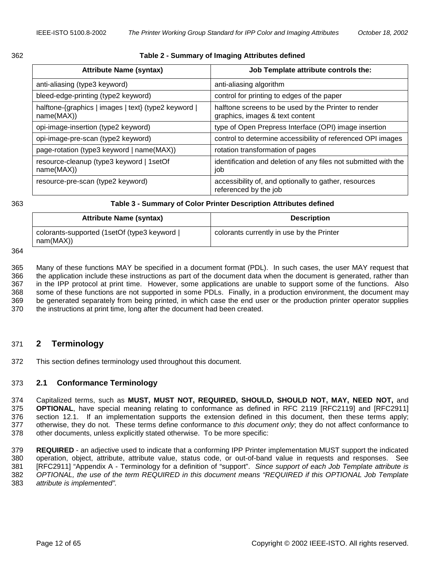<span id="page-11-0"></span>

| I<br>w<br>۰. | ۰.<br>×<br>۰. |
|--------------|---------------|

#### 362 **Table 2 - Summary of Imaging Attributes defined**

| <b>Attribute Name (syntax)</b>                                     | Job Template attribute controls the:                                                    |
|--------------------------------------------------------------------|-----------------------------------------------------------------------------------------|
| anti-aliasing (type3 keyword)                                      | anti-aliasing algorithm                                                                 |
| bleed-edge-printing (type2 keyword)                                | control for printing to edges of the paper                                              |
| halftone-{graphics   images   text} (type2 keyword  <br>name(MAX)) | halftone screens to be used by the Printer to render<br>graphics, images & text content |
| opi-image-insertion (type2 keyword)                                | type of Open Prepress Interface (OPI) image insertion                                   |
| opi-image-pre-scan (type2 keyword)                                 | control to determine accessibility of referenced OPI images                             |
| page-rotation (type3 keyword   name(MAX))                          | rotation transformation of pages                                                        |
| resource-cleanup (type3 keyword   1setOf<br>name(MAX))             | identification and deletion of any files not submitted with the<br>job                  |
| resource-pre-scan (type2 keyword)                                  | accessibility of, and optionally to gather, resources<br>referenced by the job          |

#### 363 **Table 3 - Summary of Color Printer Description Attributes defined**

| <b>Attribute Name (syntax)</b>                           | <b>Description</b>                        |
|----------------------------------------------------------|-------------------------------------------|
| colorants-supported (1setOf (type3 keyword)<br>nam(MAX)) | colorants currently in use by the Printer |

364

365 Many of these functions MAY be specified in a document format (PDL). In such cases, the user MAY request that 366 the application include these instructions as part of the document data when the document is generated, rather than 367 in the IPP protocol at print time. However, some applications are unable to support some of the functions. Also 368 some of these functions are not supported in some PDLs. Finally, in a production environment, the document may 369 be generated separately from being printed, in which case the end user or the production printer operator supplies 370 the instructions at print time, long after the document had been created.

#### 371 **2 Terminology**

372 This section defines terminology used throughout this document.

#### 373 **2.1 Conformance Terminology**

374 Capitalized terms, such as **MUST, MUST NOT, REQUIRED, SHOULD, SHOULD NOT, MAY, NEED NOT,** and 375 **OPTIONAL**, have special meaning relating to conformance as defined in RFC 2119 [RFC2119] and [RFC2911] 376 section 12.1. If an implementation supports the extension defined in this document, then these terms apply; 377 otherwise, they do not. These terms define conformance to *this document only*; they do not affect conformance to 378 other documents, unless explicitly stated otherwise. To be more specific:

379 **REQUIRED** - an adjective used to indicate that a conforming IPP Printer implementation MUST support the indicated 380 operation, object, attribute, attribute value, status code, or out-of-band value in requests and responses. See 381 [RFC2911] "Appendix A - Terminology for a definition of "support". *Since support of each Job Template attribute is*  382 *OPTIONAL, the use of the term REQUIRED in this document means "REQUIRED if this OPTIONAL Job Template*  383 *attribute is implemented".*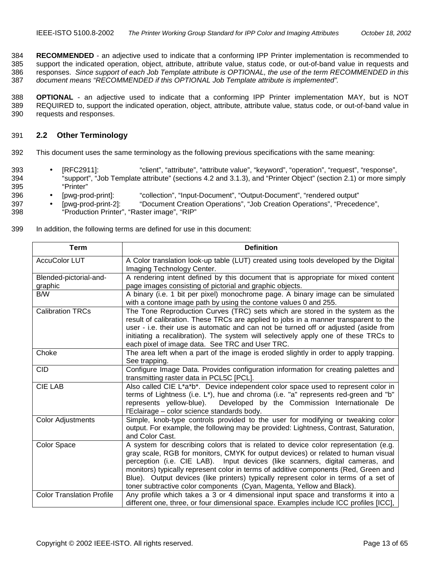<span id="page-12-0"></span>384 **RECOMMENDED** - an adjective used to indicate that a conforming IPP Printer implementation is recommended to 385 support the indicated operation, object, attribute, attribute value, status code, or out-of-band value in requests and 386 responses. *Since support of each Job Template attribute is OPTIONAL, the use of the term RECOMMENDED in this*  387 *document means "RECOMMENDED if this OPTIONAL Job Template attribute is implemented".*

388 **OPTIONAL** - an adjective used to indicate that a conforming IPP Printer implementation MAY, but is NOT 389 REQUIRED to, support the indicated operation, object, attribute, attribute value, status code, or out-of-band value in 390 requests and responses.

## 391 **2.2 Other Terminology**

- 392 This document uses the same terminology as the following previous specifications with the same meaning:
- 393 [RFC2911]: "client", "attribute", "attribute value", "keyword", "operation", "request", "response", 394 "support", "Job Template attribute" (sections 4.2 and 3.1.3), and "Printer Object" (section 2.1) or more simply 395 "Printer"
- 396 [pwg-prod-print]: "collection", "Input-Document", "Output-Document", "rendered output"
- 397 [pwg-prod-print-2]: "Document Creation Operations", "Job Creation Operations", "Precedence",
- 398 "Production Printer", "Raster image", "RIP"
- 399 In addition, the following terms are defined for use in this document:

| <b>Term</b>                      | <b>Definition</b>                                                                       |
|----------------------------------|-----------------------------------------------------------------------------------------|
| <b>AccuColor LUT</b>             | A Color translation look-up table (LUT) created using tools developed by the Digital    |
|                                  | Imaging Technology Center.                                                              |
| Blended-pictorial-and-           | A rendering intent defined by this document that is appropriate for mixed content       |
| graphic                          | page images consisting of pictorial and graphic objects.                                |
| <b>B/W</b>                       | A binary (i.e. 1 bit per pixel) monochrome page. A binary image can be simulated        |
|                                  | with a contone image path by using the contone values 0 and 255.                        |
| <b>Calibration TRCs</b>          | The Tone Reproduction Curves (TRC) sets which are stored in the system as the           |
|                                  | result of calibration. These TRCs are applied to jobs in a manner transparent to the    |
|                                  | user - i.e. their use is automatic and can not be turned off or adjusted (aside from    |
|                                  | initiating a recalibration). The system will selectively apply one of these TRCs to     |
|                                  | each pixel of image data. See TRC and User TRC.                                         |
| Choke                            | The area left when a part of the image is eroded slightly in order to apply trapping.   |
|                                  | See trapping.                                                                           |
| <b>CID</b>                       | Configure Image Data. Provides configuration information for creating palettes and      |
|                                  | transmitting raster data in PCL5C [PCL].                                                |
| <b>CIE LAB</b>                   | Also called CIE L*a*b*. Device independent color space used to represent color in       |
|                                  | terms of Lightness (i.e. $L^*$ ), hue and chroma (i.e. "a" represents red-green and "b" |
|                                  | Developed by the Commission Internationale De<br>represents yellow-blue).               |
|                                  | l'Eclairage - color science standards body.                                             |
| <b>Color Adjustments</b>         | Simple, knob-type controls provided to the user for modifying or tweaking color         |
|                                  | output. For example, the following may be provided: Lightness, Contrast, Saturation,    |
|                                  | and Color Cast.                                                                         |
| Color Space                      | A system for describing colors that is related to device color representation (e.g.     |
|                                  | gray scale, RGB for monitors, CMYK for output devices) or related to human visual       |
|                                  | perception (i.e. CIE LAB). Input devices (like scanners, digital cameras, and           |
|                                  | monitors) typically represent color in terms of additive components (Red, Green and     |
|                                  | Blue). Output devices (like printers) typically represent color in terms of a set of    |
|                                  | toner subtractive color components (Cyan, Magenta, Yellow and Black).                   |
| <b>Color Translation Profile</b> | Any profile which takes a 3 or 4 dimensional input space and transforms it into a       |
|                                  | different one, three, or four dimensional space. Examples include ICC profiles [ICC],   |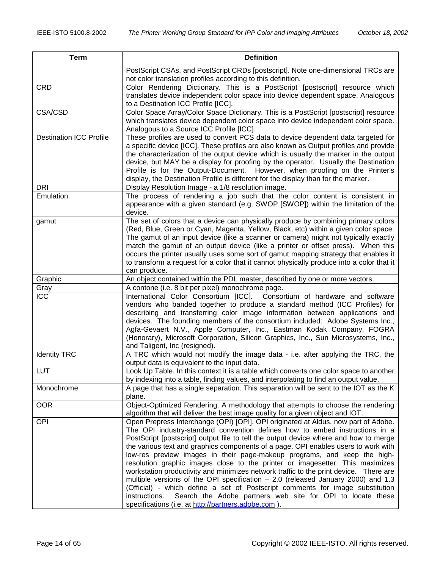| <b>Term</b>                    | <b>Definition</b>                                                                                                                                |
|--------------------------------|--------------------------------------------------------------------------------------------------------------------------------------------------|
|                                | PostScript CSAs, and PostScript CRDs [postscript]. Note one-dimensional TRCs are<br>not color translation profiles according to this definition. |
| <b>CRD</b>                     | Color Rendering Dictionary. This is a PostScript [postscript] resource which                                                                     |
|                                | translates device independent color space into device dependent space. Analogous                                                                 |
|                                | to a Destination ICC Profile [ICC].                                                                                                              |
| CSA/CSD                        | Color Space Array/Color Space Dictionary. This is a PostScript [postscript] resource                                                             |
|                                | which translates device dependent color space into device independent color space.                                                               |
|                                | Analogous to a Source ICC Profile [ICC].                                                                                                         |
| <b>Destination ICC Profile</b> | These profiles are used to convert PCS data to device dependent data targeted for                                                                |
|                                | a specific device [ICC]. These profiles are also known as Output profiles and provide                                                            |
|                                | the characterization of the output device which is usually the marker in the output                                                              |
|                                | device, but MAY be a display for proofing by the operator. Usually the Destination                                                               |
|                                | Profile is for the Output-Document. However, when proofing on the Printer's                                                                      |
|                                | display, the Destination Profile is different for the display than for the marker.                                                               |
| <b>DRI</b>                     | Display Resolution Image - a 1/8 resolution image.                                                                                               |
| Emulation                      | The process of rendering a job such that the color content is consistent in                                                                      |
|                                | appearance with a given standard (e.g. SWOP [SWOP]) within the limitation of the                                                                 |
|                                | device.                                                                                                                                          |
| gamut                          | The set of colors that a device can physically produce by combining primary colors                                                               |
|                                | (Red, Blue, Green or Cyan, Magenta, Yellow, Black, etc) within a given color space.                                                              |
|                                | The gamut of an input device (like a scanner or camera) might not typically exactly                                                              |
|                                | match the gamut of an output device (like a printer or offset press). When this                                                                  |
|                                | occurs the printer usually uses some sort of gamut mapping strategy that enables it                                                              |
|                                | to transform a request for a color that it cannot physically produce into a color that it                                                        |
|                                | can produce.                                                                                                                                     |
| Graphic                        | An object contained within the PDL master, described by one or more vectors.                                                                     |
| Gray                           | A contone (i.e. 8 bit per pixel) monochrome page.                                                                                                |
| ICC                            | International Color Consortium [ICC]. Consortium of hardware and software                                                                        |
|                                | vendors who banded together to produce a standard method (ICC Profiles) for                                                                      |
|                                | describing and transferring color image information between applications and                                                                     |
|                                | devices. The founding members of the consortium included: Adobe Systems Inc.,                                                                    |
|                                | Agfa-Gevaert N.V., Apple Computer, Inc., Eastman Kodak Company, FOGRA                                                                            |
|                                | (Honorary), Microsoft Corporation, Silicon Graphics, Inc., Sun Microsystems, Inc.,                                                               |
| <b>Identity TRC</b>            | and Taligent, Inc (resigned).<br>A TRC which would not modify the image data - i.e. after applying the TRC, the                                  |
|                                | output data is equivalent to the input data.                                                                                                     |
| <b>LUT</b>                     | Look Up Table. In this context it is a table which converts one color space to another                                                           |
|                                | by indexing into a table, finding values, and interpolating to find an output value.                                                             |
| Monochrome                     | A page that has a single separation. This separation will be sent to the IOT as the K                                                            |
|                                | plane.                                                                                                                                           |
| <b>OOR</b>                     | Object-Optimized Rendering. A methodology that attempts to choose the rendering                                                                  |
|                                | algorithm that will deliver the best image quality for a given object and IOT.                                                                   |
| OPI                            | Open Prepress Interchange (OPI) [OPI]. OPI originated at Aldus, now part of Adobe.                                                               |
|                                | The OPI industry-standard convention defines how to embed instructions in a                                                                      |
|                                | PostScript [postscript] output file to tell the output device where and how to merge                                                             |
|                                | the various text and graphics components of a page. OPI enables users to work with                                                               |
|                                | low-res preview images in their page-makeup programs, and keep the high-                                                                         |
|                                | resolution graphic images close to the printer or imagesetter. This maximizes                                                                    |
|                                | workstation productivity and minimizes network traffic to the print device. There are                                                            |
|                                | multiple versions of the OPI specification $-2.0$ (released January 2000) and 1.3                                                                |
|                                | (Official) - which define a set of Postscript comments for image substitution                                                                    |
|                                | instructions.<br>Search the Adobe partners web site for OPI to locate these                                                                      |
|                                | specifications (i.e. at http://partners.adobe.com).                                                                                              |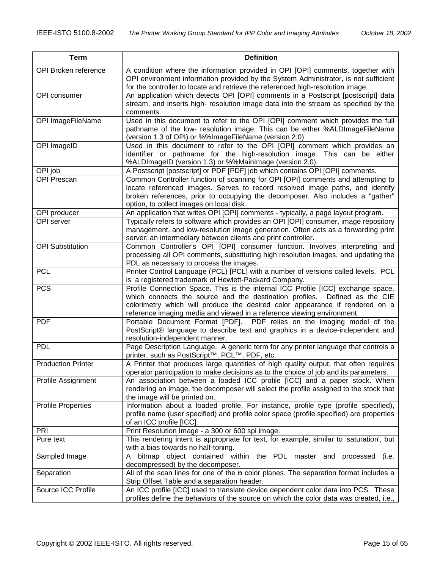<span id="page-14-0"></span>

| <b>Term</b>               | <b>Definition</b>                                                                                                                                          |
|---------------------------|------------------------------------------------------------------------------------------------------------------------------------------------------------|
| OPI Broken reference      | A condition where the information provided in OPI [OPI] comments, together with                                                                            |
|                           | OPI environment information provided by the System Administrator, is not sufficient                                                                        |
|                           | for the controller to locate and retrieve the referenced high-resolution image.                                                                            |
| OPI consumer              | An application which detects OPI [OPI] comments in a Postscript [postscript] data                                                                          |
|                           | stream, and inserts high- resolution image data into the stream as specified by the                                                                        |
|                           | comments.                                                                                                                                                  |
| OPI ImageFileName         | Used in this document to refer to the OPI [OPI] comment which provides the full                                                                            |
|                           | pathname of the low- resolution image. This can be either %ALDImageFileName<br>(version 1.3 of OPI) or %%ImageFileName (version 2.0).                      |
| OPI ImageID               | Used in this document to refer to the OPI [OPI] comment which provides an                                                                                  |
|                           | identifier or pathname for the high-resolution image. This can be either                                                                                   |
|                           | %ALDImageID (version 1.3) or %%MainImage (version 2.0).                                                                                                    |
| OPI job                   | A Postscript [postscript] or PDF [PDF] job which contains OPI [OPI] comments.                                                                              |
| <b>OPI Prescan</b>        | Common Controller function of scanning for OPI [OPI] comments and attempting to                                                                            |
|                           | locate referenced images. Serves to record resolved image paths, and identify                                                                              |
|                           | broken references, prior to occupying the decomposer. Also includes a "gather"                                                                             |
|                           | option, to collect images on local disk.                                                                                                                   |
| OPI producer              | An application that writes OPI [OPI] comments - typically, a page layout program.                                                                          |
| OPI server                | Typically refers to software which provides an OPI [OPI] consumer, image repository                                                                        |
|                           | management, and low-resolution image generation. Often acts as a forwarding print                                                                          |
|                           | server; an intermediary between clients and print controller.                                                                                              |
| <b>OPI Substitution</b>   | Common Controller's OPI [OPI] consumer function. Involves interpreting and                                                                                 |
|                           | processing all OPI comments, substituting high resolution images, and updating the                                                                         |
|                           | PDL as necessary to process the images.                                                                                                                    |
| <b>PCL</b>                | Printer Control Language (PCL) [PCL] with a number of versions called levels. PCL                                                                          |
|                           | is a registered trademark of Hewlett-Packard Company.                                                                                                      |
| <b>PCS</b>                | Profile Connection Space. This is the internal ICC Profile [ICC] exchange space,                                                                           |
|                           | which connects the source and the destination profiles. Defined as the CIE<br>colorimetry which will produce the desired color appearance if rendered on a |
|                           | reference imaging media and viewed in a reference viewing environment.                                                                                     |
| <b>PDF</b>                | Portable Document Format [PDF]. PDF relies on the imaging model of the                                                                                     |
|                           | PostScript® language to describe text and graphics in a device-independent and                                                                             |
|                           | resolution-independent manner.                                                                                                                             |
| <b>PDL</b>                | Page Description Language. A generic term for any printer language that controls a                                                                         |
|                           | printer. such as PostScript™, PCL™, PDF, etc.                                                                                                              |
| <b>Production Printer</b> | A Printer that produces large quantities of high quality output, that often requires                                                                       |
|                           | operator participation to make decisions as to the choice of job and its parameters.                                                                       |
| Profile Assignment        | An association between a loaded ICC profile [ICC] and a paper stock. When                                                                                  |
|                           | rendering an image, the decomposer will select the profile assigned to the stock that                                                                      |
|                           | the image will be printed on.                                                                                                                              |
| <b>Profile Properties</b> | Information about a loaded profile. For instance, profile type (profile specified),                                                                        |
|                           | profile name (user specified) and profile color space (profile specified) are properties                                                                   |
|                           | of an ICC profile [ICC].                                                                                                                                   |
| <b>PRI</b>                | Print Resolution Image - a 300 or 600 spi image.<br>This rendering intent is appropriate for text, for example, similar to 'saturation', but               |
| Pure text                 | with a bias towards no half-toning.                                                                                                                        |
| Sampled Image             | bitmap object contained within the PDL master and processed<br>(i.e.<br>A                                                                                  |
|                           | decompressed) by the decomposer.                                                                                                                           |
| Separation                | All of the scan lines for one of the n color planes. The separation format includes a                                                                      |
|                           | Strip Offset Table and a separation header.                                                                                                                |
| Source ICC Profile        | An ICC profile [ICC] used to translate device dependent color data into PCS. These                                                                         |
|                           | profiles define the behaviors of the source on which the color data was created, i.e.,                                                                     |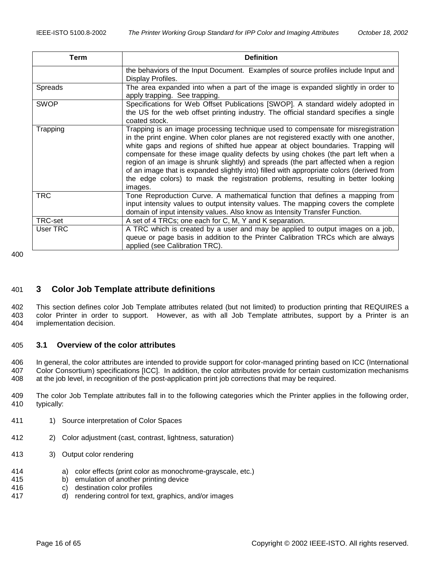| Term            | <b>Definition</b>                                                                                                                                                                                                                                                                                                                                                                                                                                                                                                                                                                                                                |
|-----------------|----------------------------------------------------------------------------------------------------------------------------------------------------------------------------------------------------------------------------------------------------------------------------------------------------------------------------------------------------------------------------------------------------------------------------------------------------------------------------------------------------------------------------------------------------------------------------------------------------------------------------------|
|                 | the behaviors of the Input Document. Examples of source profiles include Input and<br>Display Profiles.                                                                                                                                                                                                                                                                                                                                                                                                                                                                                                                          |
| Spreads         | The area expanded into when a part of the image is expanded slightly in order to<br>apply trapping. See trapping.                                                                                                                                                                                                                                                                                                                                                                                                                                                                                                                |
| <b>SWOP</b>     | Specifications for Web Offset Publications [SWOP]. A standard widely adopted in<br>the US for the web offset printing industry. The official standard specifies a single<br>coated stock.                                                                                                                                                                                                                                                                                                                                                                                                                                        |
| Trapping        | Trapping is an image processing technique used to compensate for misregistration<br>in the print engine. When color planes are not registered exactly with one another,<br>white gaps and regions of shifted hue appear at object boundaries. Trapping will<br>compensate for these image quality defects by using chokes (the part left when a<br>region of an image is shrunk slightly) and spreads (the part affected when a region<br>of an image that is expanded slightly into) filled with appropriate colors (derived from<br>the edge colors) to mask the registration problems, resulting in better looking<br>images. |
| <b>TRC</b>      | Tone Reproduction Curve. A mathematical function that defines a mapping from<br>input intensity values to output intensity values. The mapping covers the complete<br>domain of input intensity values. Also know as Intensity Transfer Function.                                                                                                                                                                                                                                                                                                                                                                                |
| TRC-set         | A set of 4 TRCs; one each for C, M, Y and K separation.                                                                                                                                                                                                                                                                                                                                                                                                                                                                                                                                                                          |
| <b>User TRC</b> | A TRC which is created by a user and may be applied to output images on a job,<br>queue or page basis in addition to the Printer Calibration TRCs which are always<br>applied (see Calibration TRC).                                                                                                                                                                                                                                                                                                                                                                                                                             |

400

# 401 **3 Color Job Template attribute definitions**

402 This section defines color Job Template attributes related (but not limited) to production printing that REQUIRES a 403 color Printer in order to support. However, as with all Job Template attributes, support by a Printer is an 404 implementation decision.

# 405 **3.1 Overview of the color attributes**

406 In general, the color attributes are intended to provide support for color-managed printing based on ICC (International 407 Color Consortium) specifications [ICC]. In addition, the color attributes provide for certain customization mechanisms 408 at the job level, in recognition of the post-application print job corrections that may be required.

409 The color Job Template attributes fall in to the following categories which the Printer applies in the following order, 410 typically:

- 411 1) Source interpretation of Color Spaces
- 412 2) Color adjustment (cast, contrast, lightness, saturation)
- 413 3) Output color rendering
- 414 a) color effects (print color as monochrome-grayscale, etc.)
- 415 b) emulation of another printing device<br>416 c) destination color profiles
- c) destination color profiles
- 417 d) rendering control for text, graphics, and/or images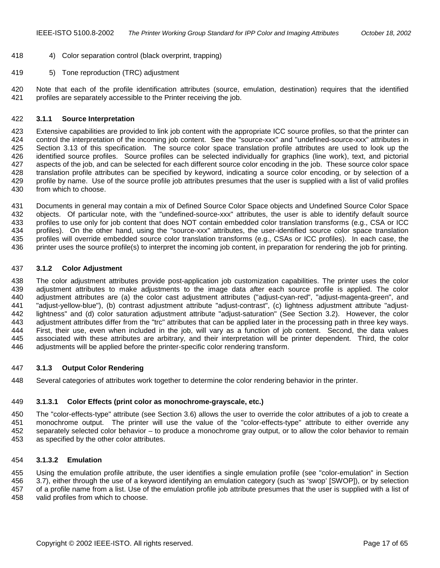- <span id="page-16-0"></span>418 4) Color separation control (black overprint, trapping)
- 419 5) Tone reproduction (TRC) adjustment

420 Note that each of the profile identification attributes (source, emulation, destination) requires that the identified 421 profiles are separately accessible to the Printer receiving the job.

#### 422 **3.1.1 Source Interpretation**

423 Extensive capabilities are provided to link job content with the appropriate ICC source profiles, so that the printer can 424 control the interpretation of the incoming job content. See the "source-xxx" and "undefined-source-xxx" attributes in 425 Section [3.13](#page-31-0) of this specification. The source color space translation profile attributes are used to look up the 426 identified source profiles. Source profiles can be selected individually for graphics (line work), text, and pictorial 427 aspects of the job, and can be selected for each different source color encoding in the job. These source color space 428 translation profile attributes can be specified by keyword, indicating a source color encoding, or by selection of a 429 profile by name. Use of the source profile job attributes presumes that the user is supplied with a list of valid profiles 430 from which to choose.

431 Documents in general may contain a mix of Defined Source Color Space objects and Undefined Source Color Space 432 objects. Of particular note, with the "undefined-source-xxx" attributes, the user is able to identify default source 433 profiles to use only for job content that does NOT contain embedded color translation transforms (e.g., CSA or ICC 434 profiles). On the other hand, using the "source-xxx" attributes, the user-identified source color space translation 435 profiles will override embedded source color translation transforms (e.g., CSAs or ICC profiles). In each case, the 436 printer uses the source profile(s) to interpret the incoming job content, in preparation for rendering the job for printing.

# 437 **3.1.2 Color Adjustment**

438 The color adjustment attributes provide post-application job customization capabilities. The printer uses the color 439 adjustment attributes to make adjustments to the image data after each source profile is applied. The color 440 adjustment attributes are (a) the color cast adjustment attributes ("adjust-cyan-red", "adjust-magenta-green", and 441 "adjust-yellow-blue"), (b) contrast adjustment attribute "adjust-contrast", (c) lightness adjustment attribute "adjust-442 lightness" and (d) color saturation adjustment attribute "adjust-saturation" (See Section [3.2\)](#page-18-0). However, the color 443 adjustment attributes differ from the "trc" attributes that can be applied later in the processing path in three key ways. 444 First, their use, even when included in the job, will vary as a function of job content. Second, the data values 445 associated with these attributes are arbitrary, and their interpretation will be printer dependent. Third, the color 446 adjustments will be applied before the printer-specific color rendering transform.

#### 447 **3.1.3 Output Color Rendering**

448 Several categories of attributes work together to determine the color rendering behavior in the printer.

#### 449 **3.1.3.1 Color Effects (print color as monochrome-grayscale, etc.)**

450 The "color-effects-type" attribute (see Section [3.6\)](#page-24-0) allows the user to override the color attributes of a job to create a 451 monochrome output. The printer will use the value of the "color-effects-type" attribute to either override any 452 separately selected color behavior – to produce a monochrome gray output, or to allow the color behavior to remain 453 as specified by the other color attributes.

#### 454 **3.1.3.2 Emulation**

455 Using the emulation profile attribute, the user identifies a single emulation profile (see "color-emulation" in Section 456 [3.7\)](#page-25-0), either through the use of a keyword identifying an emulation category (such as 'swop' [SWOP]), or by selection 457 of a profile name from a list. Use of the emulation profile job attribute presumes that the user is supplied with a list of 458 valid profiles from which to choose.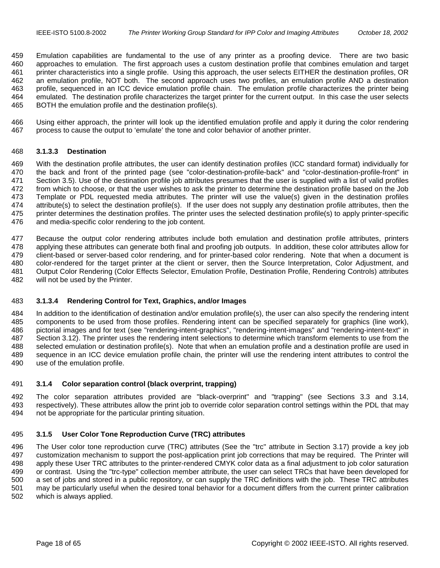<span id="page-17-0"></span>459 Emulation capabilities are fundamental to the use of any printer as a proofing device. There are two basic 460 approaches to emulation. The first approach uses a custom destination profile that combines emulation and target 461 printer characteristics into a single profile. Using this approach, the user selects EITHER the destination profiles, OR 462 an emulation profile, NOT both. The second approach uses two profiles, an emulation profile AND a destination 463 profile, sequenced in an ICC device emulation profile chain. The emulation profile characterizes the printer being 464 emulated. The destination profile characterizes the target printer for the current output. In this case the user selects 465 BOTH the emulation profile and the destination profile(s).

466 Using either approach, the printer will look up the identified emulation profile and apply it during the color rendering 467 process to cause the output to 'emulate' the tone and color behavior of another printer.

#### 468 **3.1.3.3 Destination**

469 With the destination profile attributes, the user can identify destination profiles (ICC standard format) individually for 470 the back and front of the printed page (see "color-destination-profile-back" and "color-destination-profile-front" in 471 Section [3.5\)](#page-22-0). Use of the destination profile job attributes presumes that the user is supplied with a list of valid profiles 472 from which to choose, or that the user wishes to ask the printer to determine the destination profile based on the Job 473 Template or PDL requested media attributes. The printer will use the value(s) given in the destination profiles 474 attribute(s) to select the destination profile(s). If the user does not supply any destination profile attributes, then the 475 printer determines the destination profiles. The printer uses the selected destination profile(s) to apply printer-specific 476 and media-specific color rendering to the job content.

477 Because the output color rendering attributes include both emulation and destination profile attributes, printers 478 applying these attributes can generate both final and proofing job outputs. In addition, these color attributes allow for 479 client-based or server-based color rendering, and for printer-based color rendering. Note that when a document is 480 color-rendered for the target printer at the client or server, then the Source Interpretation, Color Adjustment, and 481 Output Color Rendering (Color Effects Selector, Emulation Profile, Destination Profile, Rendering Controls) attributes 482 will not be used by the Printer.

#### 483 **3.1.3.4 Rendering Control for Text, Graphics, and/or Images**

484 In addition to the identification of destination and/or emulation profile(s), the user can also specify the rendering intent 485 components to be used from those profiles. Rendering intent can be specified separately for graphics (line work), 486 pictorial images and for text (see "rendering-intent-graphics", "rendering-intent-images" and "rendering-intent-text" in 487 Section [3.12\)](#page-30-0). The printer uses the rendering intent selections to determine which transform elements to use from the 488 selected emulation or destination profile(s). Note that when an emulation profile and a destination profile are used in 489 sequence in an ICC device emulation profile chain, the printer will use the rendering intent attributes to control the 490 use of the emulation profile.

#### 491 **3.1.4 Color separation control (black overprint, trapping)**

492 The color separation attributes provided are "black-overprint" and "trapping" (see Sections [3.3](#page-21-0) and [3.14,](#page-37-0) 493 respectively). These attributes allow the print job to override color separation control settings within the PDL that may 494 not be appropriate for the particular printing situation.

#### 495 **3.1.5 User Color Tone Reproduction Curve (TRC) attributes**

496 The User color tone reproduction curve (TRC) attributes (See the "trc" attribute in Section [3.17\)](#page-38-0) provide a key job 497 customization mechanism to support the post-application print job corrections that may be required. The Printer will 498 apply these User TRC attributes to the printer-rendered CMYK color data as a final adjustment to job color saturation 499 or contrast. Using the "trc-type" collection member attribute, the user can select TRCs that have been developed for 500 a set of jobs and stored in a public repository, or can supply the TRC definitions with the job. These TRC attributes 501 may be particularly useful when the desired tonal behavior for a document differs from the current printer calibration 502 which is always applied.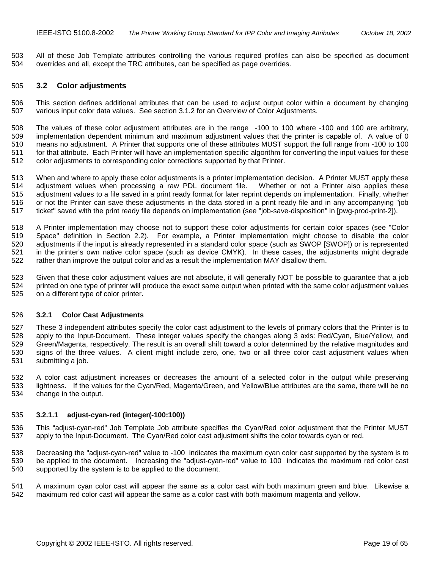<span id="page-18-0"></span>503 All of these Job Template attributes controlling the various required profiles can also be specified as document 504 overrides and all, except the TRC attributes, can be specified as page overrides.

#### 505 **3.2 Color adjustments**

506 This section defines additional attributes that can be used to adjust output color within a document by changing 507 various input color data values. See section [3.1.2](#page-16-0) for an Overview of Color Adjustments.

508 The values of these color adjustment attributes are in the range -100 to 100 where -100 and 100 are arbitrary, 509 implementation dependent minimum and maximum adjustment values that the printer is capable of. A value of 0 510 means no adjustment. A Printer that supports one of these attributes MUST support the full range from -100 to 100 511 for that attribute. Each Printer will have an implementation specific algorithm for converting the input values for these 512 color adjustments to corresponding color corrections supported by that Printer.

513 When and where to apply these color adjustments is a printer implementation decision. A Printer MUST apply these 514 adjustment values when processing a raw PDL document file. Whether or not a Printer also applies these 515 adjustment values to a file saved in a print ready format for later reprint depends on implementation. Finally, whether 516 or not the Printer can save these adjustments in the data stored in a print ready file and in any accompanying "job 517 ticket" saved with the print ready file depends on implementation (see "job-save-disposition" in [pwg-prod-print-2]).

518 A Printer implementation may choose not to support these color adjustments for certain color spaces (see "Color 519 Space" definition in Section [2.2\)](#page-12-0). For example, a Printer implementation might choose to disable the color 520 adjustments if the input is already represented in a standard color space (such as SWOP [SWOP]) or is represented 521 in the printer's own native color space (such as device CMYK). In these cases, the adjustments might degrade 522 rather than improve the output color and as a result the implementation MAY disallow them.

523 Given that these color adjustment values are not absolute, it will generally NOT be possible to guarantee that a job 524 printed on one type of printer will produce the exact same output when printed with the same color adjustment values 525 on a different type of color printer.

#### 526 **3.2.1 Color Cast Adjustments**

527 These 3 independent attributes specify the color cast adjustment to the levels of primary colors that the Printer is to 528 apply to the Input-Document. These integer values specify the changes along 3 axis: Red/Cyan, Blue/Yellow, and 529 Green/Magenta, respectively. The result is an overall shift toward a color determined by the relative magnitudes and 530 signs of the three values. A client might include zero, one, two or all three color cast adjustment values when 531 submitting a job.

532 A color cast adjustment increases or decreases the amount of a selected color in the output while preserving 533 lightness. If the values for the Cyan/Red, Magenta/Green, and Yellow/Blue attributes are the same, there will be no 534 change in the output.

#### 535 **3.2.1.1 adjust-cyan-red (integer(-100:100))**

536 This "adjust-cyan-red" Job Template Job attribute specifies the Cyan/Red color adjustment that the Printer MUST 537 apply to the Input-Document. The Cyan/Red color cast adjustment shifts the color towards cyan or red.

538 Decreasing the "adjust-cyan-red" value to -100 indicates the maximum cyan color cast supported by the system is to 539 be applied to the document. Increasing the "adjust-cyan-red" value to 100 indicates the maximum red color cast 540 supported by the system is to be applied to the document.

541 A maximum cyan color cast will appear the same as a color cast with both maximum green and blue. Likewise a 542 maximum red color cast will appear the same as a color cast with both maximum magenta and yellow.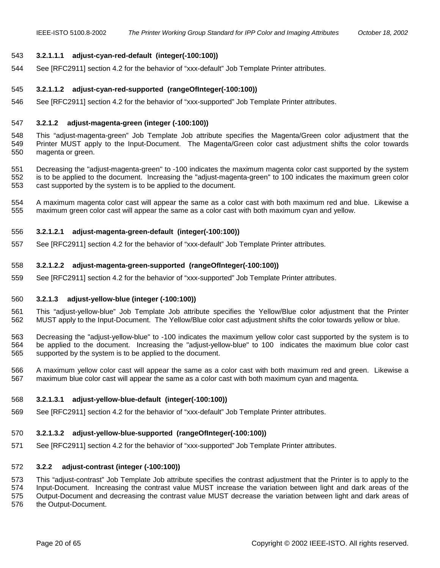#### <span id="page-19-0"></span>543 **3.2.1.1.1 adjust-cyan-red-default (integer(-100:100))**

544 See [RFC2911] section 4.2 for the behavior of "xxx-default" Job Template Printer attributes.

#### 545 **3.2.1.1.2 adjust-cyan-red-supported (rangeOfInteger(-100:100))**

546 See [RFC2911] section 4.2 for the behavior of "xxx-supported" Job Template Printer attributes.

#### 547 **3.2.1.2 adjust-magenta-green (integer (-100:100))**

548 This "adjust-magenta-green" Job Template Job attribute specifies the Magenta/Green color adjustment that the 549 Printer MUST apply to the Input-Document. The Magenta/Green color cast adjustment shifts the color towards 550 magenta or green.

551 Decreasing the "adjust-magenta-green" to -100 indicates the maximum magenta color cast supported by the system 552 is to be applied to the document. Increasing the "adjust-magenta-green" to 100 indicates the maximum green color 553 cast supported by the system is to be applied to the document.

554 A maximum magenta color cast will appear the same as a color cast with both maximum red and blue. Likewise a 555 maximum green color cast will appear the same as a color cast with both maximum cyan and yellow.

#### 556 **3.2.1.2.1 adjust-magenta-green-default (integer(-100:100))**

557 See [RFC2911] section 4.2 for the behavior of "xxx-default" Job Template Printer attributes.

#### 558 **3.2.1.2.2 adjust-magenta-green-supported (rangeOfInteger(-100:100))**

559 See [RFC2911] section 4.2 for the behavior of "xxx-supported" Job Template Printer attributes.

#### 560 **3.2.1.3 adjust-yellow-blue (integer (-100:100))**

561 This "adjust-yellow-blue" Job Template Job attribute specifies the Yellow/Blue color adjustment that the Printer 562 MUST apply to the Input-Document. The Yellow/Blue color cast adjustment shifts the color towards yellow or blue.

563 Decreasing the "adjust-yellow-blue" to -100 indicates the maximum yellow color cast supported by the system is to 564 be applied to the document. Increasing the "adjust-yellow-blue" to 100 indicates the maximum blue color cast 565 supported by the system is to be applied to the document.

566 A maximum yellow color cast will appear the same as a color cast with both maximum red and green. Likewise a 567 maximum blue color cast will appear the same as a color cast with both maximum cyan and magenta.

#### 568 **3.2.1.3.1 adjust-yellow-blue-default (integer(-100:100))**

569 See [RFC2911] section 4.2 for the behavior of "xxx-default" Job Template Printer attributes.

#### 570 **3.2.1.3.2 adjust-yellow-blue-supported (rangeOfInteger(-100:100))**

571 See [RFC2911] section 4.2 for the behavior of "xxx-supported" Job Template Printer attributes.

#### 572 **3.2.2 adjust-contrast (integer (-100:100))**

573 This "adjust-contrast" Job Template Job attribute specifies the contrast adjustment that the Printer is to apply to the 574 Input-Document. Increasing the contrast value MUST increase the variation between light and dark areas of the 575 Output-Document and decreasing the contrast value MUST decrease the variation between light and dark areas of 576 the Output-Document.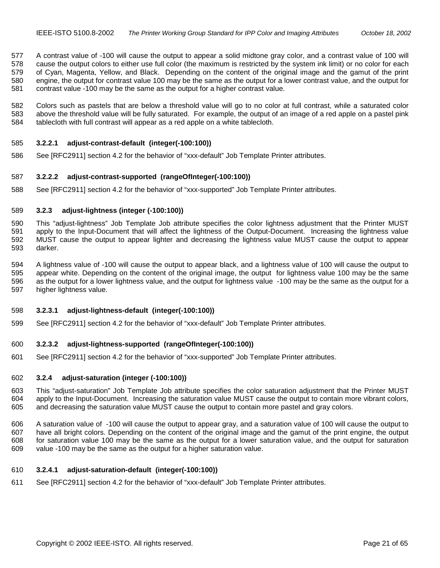<span id="page-20-0"></span>577 A contrast value of -100 will cause the output to appear a solid midtone gray color, and a contrast value of 100 will 578 cause the output colors to either use full color (the maximum is restricted by the system ink limit) or no color for each 579 of Cyan, Magenta, Yellow, and Black. Depending on the content of the original image and the gamut of the print 580 engine, the output for contrast value 100 may be the same as the output for a lower contrast value, and the output for 581 contrast value -100 may be the same as the output for a higher contrast value.

582 Colors such as pastels that are below a threshold value will go to no color at full contrast, while a saturated color 583 above the threshold value will be fully saturated. For example, the output of an image of a red apple on a pastel pink 584 tablecloth with full contrast will appear as a red apple on a white tablecloth.

#### 585 **3.2.2.1 adjust-contrast-default (integer(-100:100))**

586 See [RFC2911] section 4.2 for the behavior of "xxx-default" Job Template Printer attributes.

#### 587 **3.2.2.2 adjust-contrast-supported (rangeOfInteger(-100:100))**

588 See [RFC2911] section 4.2 for the behavior of "xxx-supported" Job Template Printer attributes.

#### 589 **3.2.3 adjust-lightness (integer (-100:100))**

590 This "adjust-lightness" Job Template Job attribute specifies the color lightness adjustment that the Printer MUST 591 apply to the Input-Document that will affect the lightness of the Output-Document. Increasing the lightness value 592 MUST cause the output to appear lighter and decreasing the lightness value MUST cause the output to appear 593 darker.

594 A lightness value of -100 will cause the output to appear black, and a lightness value of 100 will cause the output to 595 appear white. Depending on the content of the original image, the output for lightness value 100 may be the same 596 as the output for a lower lightness value, and the output for lightness value -100 may be the same as the output for a 597 higher lightness value.

#### 598 **3.2.3.1 adjust-lightness-default (integer(-100:100))**

599 See [RFC2911] section 4.2 for the behavior of "xxx-default" Job Template Printer attributes.

#### 600 **3.2.3.2 adjust-lightness-supported (rangeOfInteger(-100:100))**

601 See [RFC2911] section 4.2 for the behavior of "xxx-supported" Job Template Printer attributes.

# 602 **3.2.4 adjust-saturation (integer (-100:100))**

603 This "adjust-saturation" Job Template Job attribute specifies the color saturation adjustment that the Printer MUST 604 apply to the Input-Document. Increasing the saturation value MUST cause the output to contain more vibrant colors, 605 and decreasing the saturation value MUST cause the output to contain more pastel and gray colors.

606 A saturation value of -100 will cause the output to appear gray, and a saturation value of 100 will cause the output to 607 have all bright colors. Depending on the content of the original image and the gamut of the print engine, the output 608 for saturation value 100 may be the same as the output for a lower saturation value, and the output for saturation 609 value -100 may be the same as the output for a higher saturation value.

#### 610 **3.2.4.1 adjust-saturation-default (integer(-100:100))**

611 See [RFC2911] section 4.2 for the behavior of "xxx-default" Job Template Printer attributes.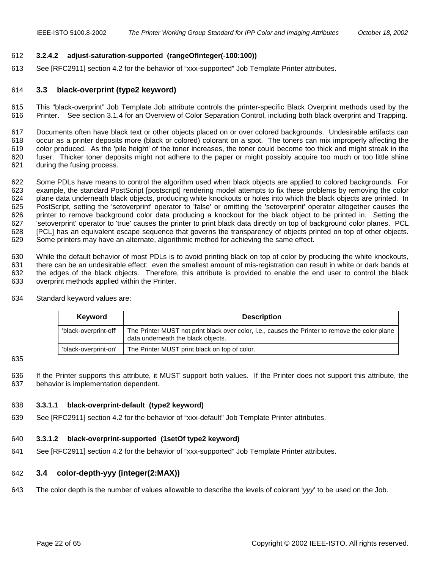#### <span id="page-21-0"></span>612 **3.2.4.2 adjust-saturation-supported (rangeOfInteger(-100:100))**

613 See [RFC2911] section 4.2 for the behavior of "xxx-supported" Job Template Printer attributes.

#### 614 **3.3 black-overprint (type2 keyword)**

615 This "black-overprint" Job Template Job attribute controls the printer-specific Black Overprint methods used by the 616 Printer. See section [3.1.4](#page-17-0) for an Overview of Color Separation Control, including both black overprint and Trapping.

617 Documents often have black text or other objects placed on or over colored backgrounds. Undesirable artifacts can 618 occur as a printer deposits more (black or colored) colorant on a spot. The toners can mix improperly affecting the 619 color produced. As the 'pile height' of the toner increases, the toner could become too thick and might streak in the 620 fuser. Thicker toner deposits might not adhere to the paper or might possibly acquire too much or too little shine 621 during the fusing process.

622 Some PDLs have means to control the algorithm used when black objects are applied to colored backgrounds. For 623 example, the standard PostScript [postscript] rendering model attempts to fix these problems by removing the color 624 plane data underneath black objects, producing white knockouts or holes into which the black objects are printed. In 625 PostScript, setting the 'setoverprint' operator to 'false' or omitting the 'setoverprint' operator altogether causes the 626 printer to remove background color data producing a knockout for the black object to be printed in. Setting the 627 'setoverprint' operator to 'true' causes the printer to print black data directly on top of background color planes. PCL 628 [PCL] has an equivalent escape sequence that governs the transparency of objects printed on top of other objects. 629 Some printers may have an alternate, algorithmic method for achieving the same effect.

630 While the default behavior of most PDLs is to avoid printing black on top of color by producing the white knockouts, 631 there can be an undesirable effect: even the smallest amount of mis-registration can result in white or dark bands at 632 the edges of the black objects. Therefore, this attribute is provided to enable the end user to control the black 633 overprint methods applied within the Printer.

| Keyword               | <b>Description</b>                                                                                                                    |
|-----------------------|---------------------------------------------------------------------------------------------------------------------------------------|
| 'black-overprint-off' | The Printer MUST not print black over color, i.e., causes the Printer to remove the color plane<br>data underneath the black objects. |
| 'black-overprint-on'  | The Printer MUST print black on top of color.                                                                                         |

634 Standard keyword values are:

635

636 If the Printer supports this attribute, it MUST support both values. If the Printer does not support this attribute, the 637 behavior is implementation dependent.

#### 638 **3.3.1.1 black-overprint-default (type2 keyword)**

639 See [RFC2911] section 4.2 for the behavior of "xxx-default" Job Template Printer attributes.

#### 640 **3.3.1.2 black-overprint-supported (1setOf type2 keyword)**

641 See [RFC2911] section 4.2 for the behavior of "xxx-supported" Job Template Printer attributes.

# 642 **3.4 color-depth-yyy (integer(2:MAX))**

643 The color depth is the number of values allowable to describe the levels of colorant '*yyy*' to be used on the Job.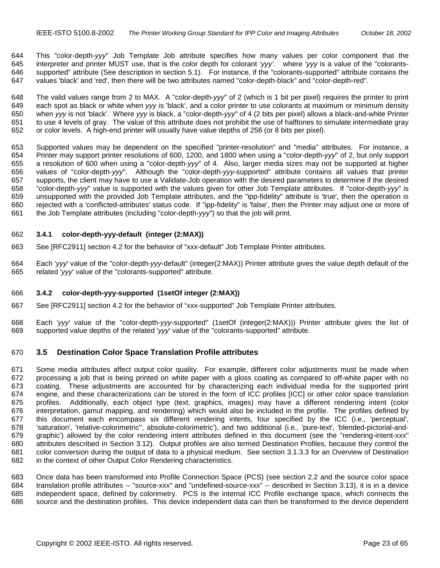<span id="page-22-0"></span>644 This "color-depth-*yyy*" Job Template Job attribute specifies how many values per color component that the 645 interpreter and printer MUST use, that is the color depth for colorant '*yyy'*. where '*yyy* is a value of the "colorants-646 supported" attribute (See description in section [5.1\)](#page-52-0). For instance, if the "colorants-supported" attribute contains the 647 values 'black' and 'red', then there will be two attributes named "color-depth-black" and "color-depth-red".

648 The valid values range from 2 to MAX. A "color-depth-*yyy*" of 2 (which is 1 bit per pixel) requires the printer to print 649 each spot as black or white when *yyy* is 'black', and a color printer to use colorants at maximum or minimum density 650 when *yyy* is not 'black'. Where *yyy* is black, a "color-depth-*yyy*" of 4 (2 bits per pixel) allows a black-and-white Printer 651 to use 4 levels of gray. The value of this attribute does not prohibit the use of halftones to simulate intermediate gray 652 or color levels. A high-end printer will usually have value depths of 256 (or 8 bits per pixel).

653 Supported values may be dependent on the specified "printer-resolution" and "media" attributes. For instance, a 654 Printer may support printer resolutions of 600, 1200, and 1800 when using a "color-depth-*yyy*" of 2, but only support 655 a resolution of 600 when using a "color-depth-*yyy*" of 4. Also, larger media sizes may not be supported at higher 656 values of "color-depth-*yyy*". Although the "color-depth-*yyy*-supported" attribute contains all values that printer 657 supports, the client may have to use a Validate-Job operation with the desired parameters to determine if the desired 658 "color-depth-*yyy*" value is supported with the values given for other Job Template attributes. If "color-depth-*yyy*" is 659 unsupported with the provided Job Template attributes, and the "ipp-fidelity" attribute is 'true', then the operation is 660 rejected with a 'conflicted-attributes' status code. If "ipp-fidelity" is 'false', then the Printer may adjust one or more of 661 the Job Template attributes (including "color-depth-*yyy*") so that the job will print.

#### 662 **3.4.1 color-depth-yyy-default (integer (2:MAX))**

- 663 See [RFC2911] section 4.2 for the behavior of "xxx-default" Job Template Printer attributes.
- 664 Each '*yyy*' value of the "color-depth-*yyy*-default" (integer(2:MAX)) Printer attribute gives the value depth default of the 665 related '*yyy*' value of the "colorants-supported" attribute.

#### 666 **3.4.2 color-depth-yyy-supported (1setOf integer (2:MAX))**

- 667 See [RFC2911] section 4.2 for the behavior of "xxx-supported" Job Template Printer attributes.
- 668 Each '*yyy*' value of the "color-depth-*yyy*-supported" (1setOf (integer(2:MAX))) Printer attribute gives the list of 669 supported value depths of the related '*yyy*' value of the "colorants-supported" attribute.

### 670 **3.5 Destination Color Space Translation Profile attributes**

671 Some media attributes affect output color quality. For example, different color adjustments must be made when 672 processing a job that is being printed on white paper with a gloss coating as compared to off-white paper with no 673 coating. These adjustments are accounted for by characterizing each individual media for the supported print 674 engine, and these characterizations can be stored in the form of ICC profiles [ICC] or other color space translation 675 profiles. Additionally, each object type (text, graphics, images) may have a different rendering intent (color 676 interpretation, gamut mapping, and rendering) which would also be included in the profile. The profiles defined by 677 this document each encompass six different rendering intents, four specified by the ICC (i.e., 'perceptual', 678 'saturation', 'relative-colorimetric'', absolute-colorimetric'), and two additional (i.e., 'pure-text', 'blended-pictorial-and-679 graphic') allowed by the color rendering intent attributes defined in this document (see the "rendering-intent-xxx" 680 attributes described in Section [3.12\)](#page-30-0). Output profiles are also termed Destination Profiles, because they control the 681 color conversion during the output of data to a physical medium. See section [3.1.3.3](#page-17-0) for an Overview of Destination 682 in the context of other Output Color Rendering characteristics.

683 Once data has been transformed into Profile Connection Space (PCS) (see section [2.2](#page-12-0) and the source color space 684 translation profile attributes -- "source-xxx" and "undefined-source-xxx" -- described in Section [3.13\)](#page-31-0), it is in a device 685 independent space, defined by colorimetry. PCS is the internal ICC Profile exchange space, which connects the 686 source and the destination profiles. This device independent data can then be transformed to the device dependent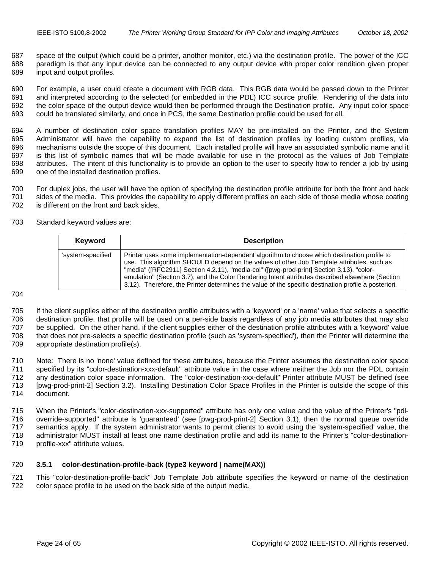<span id="page-23-0"></span>687 space of the output (which could be a printer, another monitor, etc.) via the destination profile. The power of the ICC 688 paradigm is that any input device can be connected to any output device with proper color rendition given proper 689 input and output profiles.

690 For example, a user could create a document with RGB data. This RGB data would be passed down to the Printer 691 and interpreted according to the selected (or embedded in the PDL) ICC source profile. Rendering of the data into 692 the color space of the output device would then be performed through the Destination profile. Any input color space 693 could be translated similarly, and once in PCS, the same Destination profile could be used for all.

694 A number of destination color space translation profiles MAY be pre-installed on the Printer, and the System 695 Administrator will have the capability to expand the list of destination profiles by loading custom profiles, via 696 mechanisms outside the scope of this document. Each installed profile will have an associated symbolic name and it 697 is this list of symbolic names that will be made available for use in the protocol as the values of Job Template 698 attributes. The intent of this functionality is to provide an option to the user to specify how to render a job by using 699 one of the installed destination profiles.

700 For duplex jobs, the user will have the option of specifying the destination profile attribute for both the front and back 701 sides of the media. This provides the capability to apply different profiles on each side of those media whose coating 702 is different on the front and back sides.

703 Standard keyword values are:

| Keyword            | <b>Description</b>                                                                                                                                                                                                                                                                                                                                                                                                                                                                               |
|--------------------|--------------------------------------------------------------------------------------------------------------------------------------------------------------------------------------------------------------------------------------------------------------------------------------------------------------------------------------------------------------------------------------------------------------------------------------------------------------------------------------------------|
| 'system-specified' | Printer uses some implementation-dependent algorithm to choose which destination profile to<br>use. This algorithm SHOULD depend on the values of other Job Template attributes, such as<br>"media" ([RFC2911] Section 4.2.11), "media-col" ([pwg-prod-print] Section 3.13), "color-<br>emulation" (Section 3.7), and the Color Rendering Intent attributes described elsewhere (Section<br>3.12). Therefore, the Printer determines the value of the specific destination profile a posteriori. |

704

705 If the client supplies either of the destination profile attributes with a 'keyword' or a 'name' value that selects a specific 706 destination profile, that profile will be used on a per-side basis regardless of any job media attributes that may also 707 be supplied. On the other hand, if the client supplies either of the destination profile attributes with a 'keyword' value 708 that does not pre-selects a specific destination profile (such as 'system-specified'), then the Printer will determine the 709 appropriate destination profile(s).

710 Note: There is no 'none' value defined for these attributes, because the Printer assumes the destination color space 711 specified by its "color-destination-xxx-default" attribute value in the case where neither the Job nor the PDL contain 712 any destination color space information. The "color-destination-xxx-default" Printer attribute MUST be defined (see 713 [pwg-prod-print-2] Section 3.2). Installing Destination Color Space Profiles in the Printer is outside the scope of this 714 document.

715 When the Printer's "color-destination-xxx-supported" attribute has only one value and the value of the Printer's "pdl-716 override-supported" attribute is 'guaranteed' (see [pwg-prod-print-2] Section 3.1), then the normal queue override 717 semantics apply. If the system administrator wants to permit clients to avoid using the 'system-specified' value, the 718 administrator MUST install at least one name destination profile and add its name to the Printer's "color-destination-719 profile-xxx" attribute values.

#### 720 **3.5.1 color-destination-profile-back (type3 keyword | name(MAX))**

721 This "color-destination-profile-back" Job Template Job attribute specifies the keyword or name of the destination 722 color space profile to be used on the back side of the output media.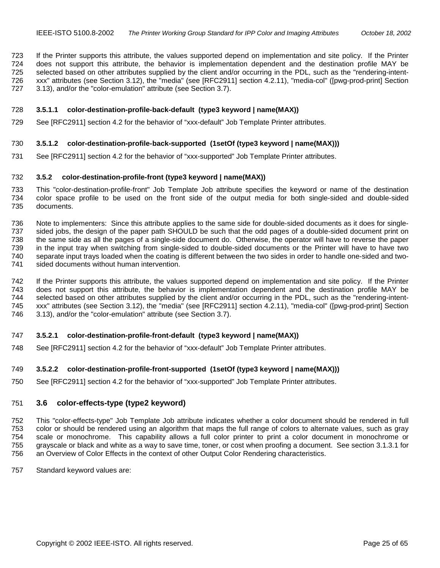<span id="page-24-0"></span>723 If the Printer supports this attribute, the values supported depend on implementation and site policy. If the Printer 724 does not support this attribute, the behavior is implementation dependent and the destination profile MAY be 725 selected based on other attributes supplied by the client and/or occurring in the PDL, such as the "rendering-intent-726 xxx" attributes (see Section [3.12\)](#page-30-0), the "media" (see [RFC2911] section 4.2.11), "media-col" ([pwg-prod-print] Section 727 3.13), and/or the "color-emulation" attribute (see Section [3.7\)](#page-25-0).

#### 728 **3.5.1.1 color-destination-profile-back-default (type3 keyword | name(MAX))**

729 See [RFC2911] section 4.2 for the behavior of "xxx-default" Job Template Printer attributes.

#### 730 **3.5.1.2 color-destination-profile-back-supported (1setOf (type3 keyword | name(MAX)))**

731 See [RFC2911] section 4.2 for the behavior of "xxx-supported" Job Template Printer attributes.

## 732 **3.5.2 color-destination-profile-front (type3 keyword | name(MAX))**

733 This "color-destination-profile-front" Job Template Job attribute specifies the keyword or name of the destination 734 color space profile to be used on the front side of the output media for both single-sided and double-sided 735 documents.

736 Note to implementers: Since this attribute applies to the same side for double-sided documents as it does for single-737 sided jobs, the design of the paper path SHOULD be such that the odd pages of a double-sided document print on 738 the same side as all the pages of a single-side document do. Otherwise, the operator will have to reverse the paper 739 in the input tray when switching from single-sided to double-sided documents or the Printer will have to have two 740 separate input trays loaded when the coating is different between the two sides in order to handle one-sided and two-<br>741 sided documents without human intervention. sided documents without human intervention.

742 If the Printer supports this attribute, the values supported depend on implementation and site policy. If the Printer 743 does not support this attribute, the behavior is implementation dependent and the destination profile MAY be 744 selected based on other attributes supplied by the client and/or occurring in the PDL, such as the "rendering-intent-745 xxx" attributes (see Section [3.12\)](#page-30-0), the "media" (see [RFC2911] section 4.2.11), "media-col" ([pwg-prod-print] Section 746 3.13), and/or the "color-emulation" attribute (see Section [3.7\)](#page-25-0).

#### 747 **3.5.2.1 color-destination-profile-front-default (type3 keyword | name(MAX))**

748 See [RFC2911] section 4.2 for the behavior of "xxx-default" Job Template Printer attributes.

#### 749 **3.5.2.2 color-destination-profile-front-supported (1setOf (type3 keyword | name(MAX)))**

750 See [RFC2911] section 4.2 for the behavior of "xxx-supported" Job Template Printer attributes.

#### 751 **3.6 color-effects-type (type2 keyword)**

752 This "color-effects-type" Job Template Job attribute indicates whether a color document should be rendered in full 753 color or should be rendered using an algorithm that maps the full range of colors to alternate values, such as gray 754 scale or monochrome. This capability allows a full color printer to print a color document in monochrome or 755 grayscale or black and white as a way to save time, toner, or cost when proofing a document. See section [3.1.3.1](#page-16-0) for 756 an Overview of Color Effects in the context of other Output Color Rendering characteristics.

757 Standard keyword values are: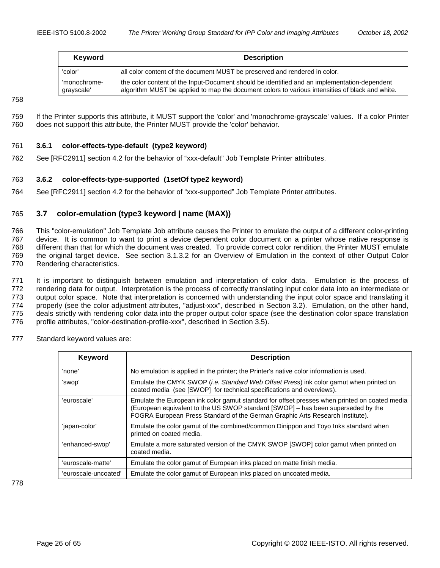<span id="page-25-0"></span>

| Keyword                    | <b>Description</b>                                                                                                                                                                              |
|----------------------------|-------------------------------------------------------------------------------------------------------------------------------------------------------------------------------------------------|
| 'color'                    | all color content of the document MUST be preserved and rendered in color.                                                                                                                      |
| 'monochrome-<br>grayscale' | the color content of the Input-Document should be identified and an implementation-dependent<br>algorithm MUST be applied to map the document colors to various intensities of black and white. |

758

759 If the Printer supports this attribute, it MUST support the 'color' and 'monochrome-grayscale' values. If a color Printer 760 does not support this attribute, the Printer MUST provide the 'color' behavior.

# 761 **3.6.1 color-effects-type-default (type2 keyword)**

762 See [RFC2911] section 4.2 for the behavior of "xxx-default" Job Template Printer attributes.

# 763 **3.6.2 color-effects-type-supported (1setOf type2 keyword)**

764 See [RFC2911] section 4.2 for the behavior of "xxx-supported" Job Template Printer attributes.

# 765 **3.7 color-emulation (type3 keyword | name (MAX))**

766 This "color-emulation" Job Template Job attribute causes the Printer to emulate the output of a different color-printing 767 device. It is common to want to print a device dependent color document on a printer whose native response is 768 different than that for which the document was created. To provide correct color rendition, the Printer MUST emulate 769 the original target device. See section [3.1.3.2](#page-16-0) for an Overview of Emulation in the context of other Output Color 770 Rendering characteristics.

771 It is important to distinguish between emulation and interpretation of color data. Emulation is the process of 772 rendering data for output. Interpretation is the process of correctly translating input color data into an intermediate or 773 output color space. Note that interpretation is concerned with understanding the input color space and translating it 774 properly (see the color adjustment attributes, "adjust-xxx", described in Section [3.2\)](#page-18-0). Emulation, on the other hand, 775 deals strictly with rendering color data into the proper output color space (see the destination color space translation 776 profile attributes, "color-destination-profile-xxx", described in Section [3.5\)](#page-22-0).

- **Keyword Description** 'none' No emulation is applied in the printer; the Printer's native color information is used. 'swop' Emulate the CMYK SWOP (*i.e. Standard Web Offset Press*) ink color gamut when printed on coated media (see [SWOP] for technical specifications and overviews). 'euroscale' | Emulate the European ink color gamut standard for offset presses when printed on coated media (European equivalent to the US SWOP standard [SWOP] – has been superseded by the FOGRA European Press Standard of the German Graphic Arts Research Institute). 'japan-color' Emulate the color gamut of the combined/common Dinippon and Toyo Inks standard when printed on coated media. 'enhanced-swop' | Emulate a more saturated version of the CMYK SWOP [SWOP] color gamut when printed on coated media. 'euroscale-matte' Emulate the color gamut of European inks placed on matte finish media. 'euroscale-uncoated' | Emulate the color gamut of European inks placed on uncoated media.
- 777 Standard keyword values are:

778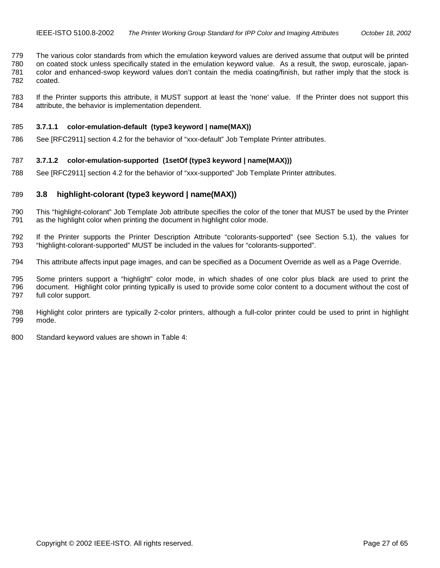<span id="page-26-0"></span>779 The various color standards from which the emulation keyword values are derived assume that output will be printed 780 on coated stock unless specifically stated in the emulation keyword value. As a result, the swop, euroscale, japan-781 color and enhanced-swop keyword values don't contain the media coating/finish, but rather imply that the stock is 782 coated.

783 If the Printer supports this attribute, it MUST support at least the 'none' value. If the Printer does not support this 784 attribute, the behavior is implementation dependent.

#### 785 **3.7.1.1 color-emulation-default (type3 keyword | name(MAX))**

786 See [RFC2911] section 4.2 for the behavior of "xxx-default" Job Template Printer attributes.

#### 787 **3.7.1.2 color-emulation-supported (1setOf (type3 keyword | name(MAX)))**

788 See [RFC2911] section 4.2 for the behavior of "xxx-supported" Job Template Printer attributes.

#### 789 **3.8 highlight-colorant (type3 keyword | name(MAX))**

- 790 This "highlight-colorant" Job Template Job attribute specifies the color of the toner that MUST be used by the Printer 791 as the highlight color when printing the document in highlight color mode.
- 792 If the Printer supports the Printer Description Attribute "colorants-supported" (see Section [5.1\)](#page-52-0), the values for 793 "highlight-colorant-supported" MUST be included in the values for "colorants-supported".
- 794 This attribute affects input page images, and can be specified as a Document Override as well as a Page Override.

795 Some printers support a "highlight" color mode, in which shades of one color plus black are used to print the 796 document. Highlight color printing typically is used to provide some color content to a document without the cost of 797 full color support.

- 798 Highlight color printers are typically 2-color printers, although a full-color printer could be used to print in highlight 799 mode.
- 800 Standard keyword values are shown in [Table 4:](#page-27-0)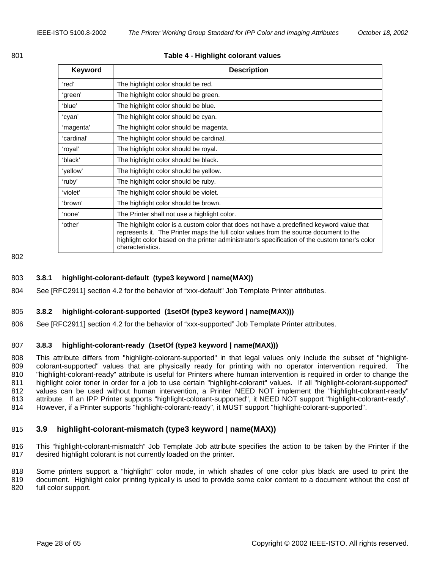<span id="page-27-0"></span>

### **Table 4 - Highlight colorant values**

| <b>Keyword</b> | <b>Description</b>                                                                                                                                                                                                                                                                                      |
|----------------|---------------------------------------------------------------------------------------------------------------------------------------------------------------------------------------------------------------------------------------------------------------------------------------------------------|
| ʻred'          | The highlight color should be red.                                                                                                                                                                                                                                                                      |
| 'green'        | The highlight color should be green.                                                                                                                                                                                                                                                                    |
| 'blue'         | The highlight color should be blue.                                                                                                                                                                                                                                                                     |
| 'cyan'         | The highlight color should be cyan.                                                                                                                                                                                                                                                                     |
| 'magenta'      | The highlight color should be magenta.                                                                                                                                                                                                                                                                  |
| 'cardinal'     | The highlight color should be cardinal.                                                                                                                                                                                                                                                                 |
| ʻroyal'        | The highlight color should be royal.                                                                                                                                                                                                                                                                    |
| 'black'        | The highlight color should be black.                                                                                                                                                                                                                                                                    |
| 'yellow'       | The highlight color should be yellow.                                                                                                                                                                                                                                                                   |
| 'ruby'         | The highlight color should be ruby.                                                                                                                                                                                                                                                                     |
| 'violet'       | The highlight color should be violet.                                                                                                                                                                                                                                                                   |
| 'brown'        | The highlight color should be brown.                                                                                                                                                                                                                                                                    |
| 'none'         | The Printer shall not use a highlight color.                                                                                                                                                                                                                                                            |
| 'other'        | The highlight color is a custom color that does not have a predefined keyword value that<br>represents it. The Printer maps the full color values from the source document to the<br>highlight color based on the printer administrator's specification of the custom toner's color<br>characteristics. |

802

# 803 **3.8.1 highlight-colorant-default (type3 keyword | name(MAX))**

804 See [RFC2911] section 4.2 for the behavior of "xxx-default" Job Template Printer attributes.

#### 805 **3.8.2 highlight-colorant-supported (1setOf (type3 keyword | name(MAX)))**

806 See [RFC2911] section 4.2 for the behavior of "xxx-supported" Job Template Printer attributes.

# 807 **3.8.3 highlight-colorant-ready (1setOf (type3 keyword | name(MAX)))**

808 This attribute differs from "highlight-colorant-supported" in that legal values only include the subset of "highlight-809 colorant-supported" values that are physically ready for printing with no operator intervention required. The 810 "highlight-colorant-ready" attribute is useful for Printers where human intervention is required in order to change the 811 highlight color toner in order for a job to use certain "highlight-colorant" values. If all "highlight-colorant-supported" 812 values can be used without human intervention, a Printer NEED NOT implement the "highlight-colorant-ready" 813 attribute. If an IPP Printer supports "highlight-colorant-supported", it NEED NOT support "highlight-colorant-ready". 814 However, if a Printer supports "highlight-colorant-ready", it MUST support "highlight-colorant-supported".

# 815 **3.9 highlight-colorant-mismatch (type3 keyword | name(MAX))**

816 This "highlight-colorant-mismatch" Job Template Job attribute specifies the action to be taken by the Printer if the 817 desired highlight colorant is not currently loaded on the printer.

818 Some printers support a "highlight" color mode, in which shades of one color plus black are used to print the 819 document. Highlight color printing typically is used to provide some color content to a document without the cost of 820 full color support.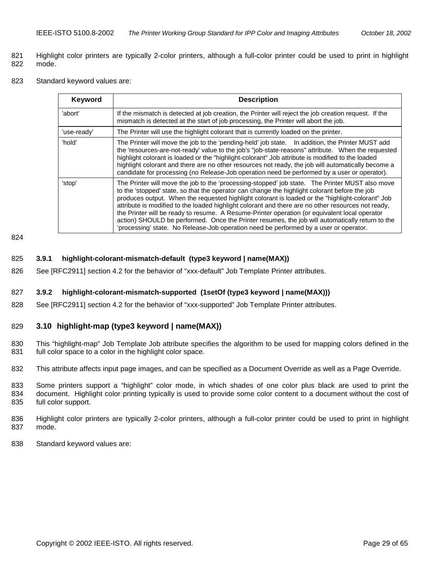- <span id="page-28-0"></span>821 Highlight color printers are typically 2-color printers, although a full-color printer could be used to print in highlight 822 mode.
- 823 Standard keyword values are:

| Keyword     | <b>Description</b>                                                                                                                                                                                                                                                                                                                                                                                                                                                                                                                                                                                                                                                                                      |
|-------------|---------------------------------------------------------------------------------------------------------------------------------------------------------------------------------------------------------------------------------------------------------------------------------------------------------------------------------------------------------------------------------------------------------------------------------------------------------------------------------------------------------------------------------------------------------------------------------------------------------------------------------------------------------------------------------------------------------|
| 'abort'     | If the mismatch is detected at job creation, the Printer will reject the job creation request. If the<br>mismatch is detected at the start of job processing, the Printer will abort the job.                                                                                                                                                                                                                                                                                                                                                                                                                                                                                                           |
| 'use-ready' | The Printer will use the highlight colorant that is currently loaded on the printer.                                                                                                                                                                                                                                                                                                                                                                                                                                                                                                                                                                                                                    |
| 'hold'      | The Printer will move the job to the 'pending-held' job state.  In addition, the Printer MUST add<br>the 'resources-are-not-ready' value to the job's "job-state-reasons" attribute. When the requested<br>highlight colorant is loaded or the "highlight-colorant" Job attribute is modified to the loaded<br>highlight colorant and there are no other resources not ready, the job will automatically become a<br>candidate for processing (no Release-Job operation need be performed by a user or operator).                                                                                                                                                                                       |
| 'stop'      | The Printer will move the job to the 'processing-stopped' job state. The Printer MUST also move<br>to the 'stopped' state, so that the operator can change the highlight colorant before the job<br>produces output. When the requested highlight colorant is loaded or the "highlight-colorant" Job<br>attribute is modified to the loaded highlight colorant and there are no other resources not ready,<br>the Printer will be ready to resume. A Resume-Printer operation (or equivalent local operator<br>action) SHOULD be performed. Once the Printer resumes, the job will automatically return to the<br>'processing' state. No Release-Job operation need be performed by a user or operator. |

824

#### 825 **3.9.1 highlight-colorant-mismatch-default (type3 keyword | name(MAX))**

826 See [RFC2911] section 4.2 for the behavior of "xxx-default" Job Template Printer attributes.

## 827 **3.9.2 highlight-colorant-mismatch-supported (1setOf (type3 keyword | name(MAX)))**

828 See [RFC2911] section 4.2 for the behavior of "xxx-supported" Job Template Printer attributes.

#### 829 **3.10 highlight-map (type3 keyword | name(MAX))**

- 830 This "highlight-map" Job Template Job attribute specifies the algorithm to be used for mapping colors defined in the 831 full color space to a color in the highlight color space.
- 832 This attribute affects input page images, and can be specified as a Document Override as well as a Page Override.
- 833 Some printers support a "highlight" color mode, in which shades of one color plus black are used to print the 834 document. Highlight color printing typically is used to provide some color content to a document without the cost of 835 full color support.
- 836 Highlight color printers are typically 2-color printers, although a full-color printer could be used to print in highlight 837 mode.
- 838 Standard keyword values are: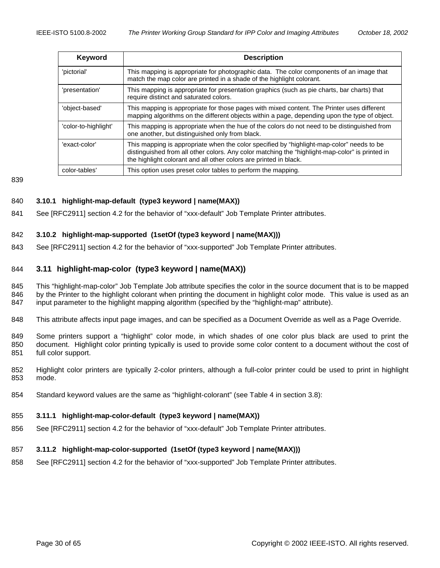<span id="page-29-0"></span>

| Keyword              | <b>Description</b>                                                                                                                                                                                                                                                |
|----------------------|-------------------------------------------------------------------------------------------------------------------------------------------------------------------------------------------------------------------------------------------------------------------|
| 'pictorial'          | This mapping is appropriate for photographic data. The color components of an image that<br>match the map color are printed in a shade of the highlight colorant.                                                                                                 |
| 'presentation'       | This mapping is appropriate for presentation graphics (such as pie charts, bar charts) that<br>require distinct and saturated colors.                                                                                                                             |
| 'object-based'       | This mapping is appropriate for those pages with mixed content. The Printer uses different<br>mapping algorithms on the different objects within a page, depending upon the type of object.                                                                       |
| 'color-to-highlight' | This mapping is appropriate when the hue of the colors do not need to be distinguished from<br>one another, but distinguished only from black.                                                                                                                    |
| 'exact-color'        | This mapping is appropriate when the color specified by "highlight-map-color" needs to be<br>distinguished from all other colors. Any color matching the "highlight-map-color" is printed in<br>the highlight colorant and all other colors are printed in black. |
| color-tables'        | This option uses preset color tables to perform the mapping.                                                                                                                                                                                                      |

839

# 840 **3.10.1 highlight-map-default (type3 keyword | name(MAX))**

841 See [RFC2911] section 4.2 for the behavior of "xxx-default" Job Template Printer attributes.

# 842 **3.10.2 highlight-map-supported (1setOf (type3 keyword | name(MAX)))**

843 See [RFC2911] section 4.2 for the behavior of "xxx-supported" Job Template Printer attributes.

# 844 **3.11 highlight-map-color (type3 keyword | name(MAX))**

845 This "highlight-map-color" Job Template Job attribute specifies the color in the source document that is to be mapped 846 by the Printer to the highlight colorant when printing the document in highlight color mode. This value is used as an 847 input parameter to the highlight mapping algorithm (specified by the "highlight-map" attribute).

- 848 This attribute affects input page images, and can be specified as a Document Override as well as a Page Override.
- 849 Some printers support a "highlight" color mode, in which shades of one color plus black are used to print the 850 document. Highlight color printing typically is used to provide some color content to a document without the cost of 851 full color support.
- 852 Highlight color printers are typically 2-color printers, although a full-color printer could be used to print in highlight 853 mode.
- 854 Standard keyword values are the same as "highlight-colorant" (see [Table 4](#page-27-0) in section [3.8\)](#page-26-0):

#### 855 **3.11.1 highlight-map-color-default (type3 keyword | name(MAX))**

856 See [RFC2911] section 4.2 for the behavior of "xxx-default" Job Template Printer attributes.

# 857 **3.11.2 highlight-map-color-supported (1setOf (type3 keyword | name(MAX)))**

858 See [RFC2911] section 4.2 for the behavior of "xxx-supported" Job Template Printer attributes.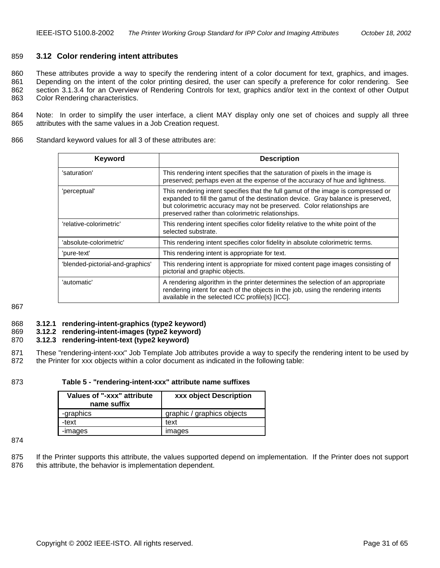# <span id="page-30-0"></span>859 **3.12 Color rendering intent attributes**

860 These attributes provide a way to specify the rendering intent of a color document for text, graphics, and images. 861 Depending on the intent of the color printing desired, the user can specify a preference for color rendering. See 862 section [3.1.3.4](#page-17-0) for an Overview of Rendering Controls for text, graphics and/or text in the context of other Output 863 Color Rendering characteristics.

864 Note: In order to simplify the user interface, a client MAY display only one set of choices and supply all three 865 attributes with the same values in a Job Creation request.

866 Standard keyword values for all 3 of these attributes are:

| <b>Keyword</b>                   | <b>Description</b>                                                                                                                                                                                                                                                                                    |
|----------------------------------|-------------------------------------------------------------------------------------------------------------------------------------------------------------------------------------------------------------------------------------------------------------------------------------------------------|
| 'saturation'                     | This rendering intent specifies that the saturation of pixels in the image is<br>preserved; perhaps even at the expense of the accuracy of hue and lightness.                                                                                                                                         |
| 'perceptual'                     | This rendering intent specifies that the full gamut of the image is compressed or<br>expanded to fill the gamut of the destination device. Gray balance is preserved,<br>but colorimetric accuracy may not be preserved. Color relationships are<br>preserved rather than colorimetric relationships. |
| 'relative-colorimetric'          | This rendering intent specifies color fidelity relative to the white point of the<br>selected substrate.                                                                                                                                                                                              |
| 'absolute-colorimetric'          | This rendering intent specifies color fidelity in absolute colorimetric terms.                                                                                                                                                                                                                        |
| 'pure-text'                      | This rendering intent is appropriate for text.                                                                                                                                                                                                                                                        |
| 'blended-pictorial-and-graphics' | This rendering intent is appropriate for mixed content page images consisting of<br>pictorial and graphic objects.                                                                                                                                                                                    |
| 'automatic'                      | A rendering algorithm in the printer determines the selection of an appropriate<br>rendering intent for each of the objects in the job, using the rendering intents<br>available in the selected ICC profile(s) [ICC].                                                                                |

867

#### 868 **3.12.1 rendering-intent-graphics (type2 keyword)**

# 869 **3.12.2 rendering-intent-images (type2 keyword)**

# 870 **3.12.3 rendering-intent-text (type2 keyword)**

871 These "rendering-intent-xxx" Job Template Job attributes provide a way to specify the rendering intent to be used by 872 the Printer for xxx objects within a color document as indicated in the following table:

#### 873 **Table 5 - "rendering-intent-xxx" attribute name suffixes**

| Values of "-xxx" attribute<br>name suffix | xxx object Description     |
|-------------------------------------------|----------------------------|
| -graphics                                 | graphic / graphics objects |
| -text                                     | text                       |
| -images                                   | images                     |

874

875 If the Printer supports this attribute, the values supported depend on implementation. If the Printer does not support 876 this attribute, the behavior is implementation dependent.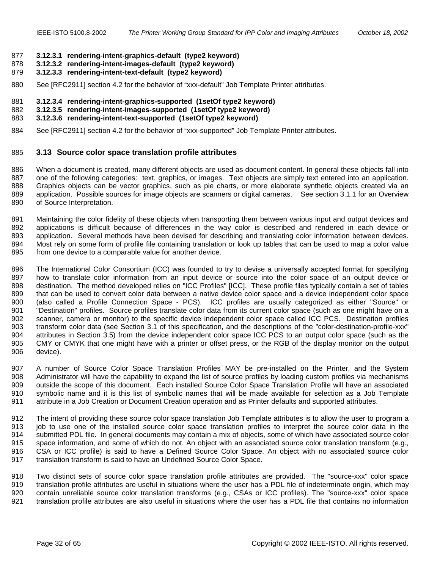#### <span id="page-31-0"></span>877 **3.12.3.1 rendering-intent-graphics-default (type2 keyword)**

- 878 **3.12.3.2 rendering-intent-images-default (type2 keyword)**
- 879 **3.12.3.3 rendering-intent-text-default (type2 keyword)**
- 880 See [RFC2911] section 4.2 for the behavior of "xxx-default" Job Template Printer attributes.
- 881 **3.12.3.4 rendering-intent-graphics-supported (1setOf type2 keyword)**
- 882 **3.12.3.5 rendering-intent-images-supported (1setOf type2 keyword)**
- 883 **3.12.3.6 rendering-intent-text-supported (1setOf type2 keyword)**
- 884 See [RFC2911] section 4.2 for the behavior of "xxx-supported" Job Template Printer attributes.

#### 885 **3.13 Source color space translation profile attributes**

886 When a document is created, many different objects are used as document content. In general these objects fall into 887 one of the following categories: text, graphics, or images. Text objects are simply text entered into an application. 888 Graphics objects can be vector graphics, such as pie charts, or more elaborate synthetic objects created via an 889 application. Possible sources for image objects are scanners or digital cameras. See section [3.1.1](#page-16-0) for an Overview 890 of Source Interpretation.

891 Maintaining the color fidelity of these objects when transporting them between various input and output devices and 892 applications is difficult because of differences in the way color is described and rendered in each device or 893 application. Several methods have been devised for describing and translating color information between devices. 894 Most rely on some form of profile file containing translation or look up tables that can be used to map a color value 895 from one device to a comparable value for another device.

896 The International Color Consortium (ICC) was founded to try to devise a universally accepted format for specifying 897 how to translate color information from an input device or source into the color space of an output device or 898 destination. The method developed relies on "ICC Profiles" [ICC]. These profile files typically contain a set of tables 899 that can be used to convert color data between a native device color space and a device independent color space 900 (also called a Profile Connection Space - PCS). ICC profiles are usually categorized as either "Source" or 901 "Destination" profiles. Source profiles translate color data from its current color space (such as one might have on a 902 scanner, camera or monitor) to the specific device independent color space called ICC PCS. Destination profiles 903 transform color data (see Section [3.1](#page-14-0) of this specification, and the descriptions of the "color-destination-profile-xxx" 904 attributes in Section [3.5\)](#page-22-0) from the device independent color space ICC PCS to an output color space (such as the 905 CMY or CMYK that one might have with a printer or offset press, or the RGB of the display monitor on the output 906 device).

907 A number of Source Color Space Translation Profiles MAY be pre-installed on the Printer, and the System 908 Administrator will have the capability to expand the list of source profiles by loading custom profiles via mechanisms 909 outside the scope of this document. Each installed Source Color Space Translation Profile will have an associated 910 symbolic name and it is this list of symbolic names that will be made available for selection as a Job Template 911 attribute in a Job Creation or Document Creation operation and as Printer defaults and supported attributes.

912 The intent of providing these source color space translation Job Template attributes is to allow the user to program a 913 job to use one of the installed source color space translation profiles to interpret the source color data in the<br>914 submitted PDL file. In general documents may contain a mix of objects, some of which have associated submitted PDL file. In general documents may contain a mix of objects, some of which have associated source color 915 space information, and some of which do not. An object with an associated source color translation transform (e.g., 916 CSA or ICC profile) is said to have a Defined Source Color Space. An object with no associated source color 917 translation transform is said to have an Undefined Source Color Space.

918 Two distinct sets of source color space translation profile attributes are provided. The "source-xxx" color space 919 translation profile attributes are useful in situations where the user has a PDL file of indeterminate origin, which may 920 contain unreliable source color translation transforms (e.g., CSAs or ICC profiles). The "source-xxx" color space 921 translation profile attributes are also useful in situations where the user has a PDL file that contains no information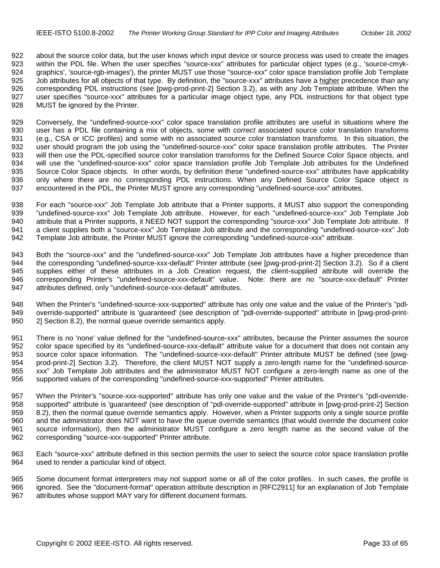922 about the source color data, but the user knows which input device or source process was used to create the images 923 within the PDL file. When the user specifies "source-xxx" attributes for particular object types (e.g., 'source-cmyk-924 graphics', 'source-rgb-images'), the printer MUST use those "source-xxx" color space translation profile Job Template 925 Job attributes for all objects of that type. By definition, the "source-xxx" attributes have a higher precedence than any 926 corresponding PDL instructions (see [pwg-prod-print-2] Section 3.2), as with any Job Template attribute. When the 927 user specifies "source-xxx" attributes for a particular image object type, any PDL instructions for that object type 928 MUST be ignored by the Printer.

929 Conversely, the "undefined-source-xxx" color space translation profile attributes are useful in situations where the 930 user has a PDL file containing a mix of objects, some with *correct* associated source color translation transforms 931 (e.g., CSA or ICC profiles) and some with no associated source color translation transforms. In this situation, the 932 user should program the job using the "undefined-source-xxx" color space translation profile attributes. The Printer 933 will then use the PDL-specified source color translation transforms for the Defined Source Color Space objects, and 934 will use the "undefined-source-xxx" color space translation profile Job Template Job attributes for the Undefined 935 Source Color Space objects. In other words, by definition these "undefined-source-xxx" attributes have applicability 936 only where there are no corresponding PDL instructions. When any Defined Source Color Space object is 937 encountered in the PDL, the Printer MUST ignore any corresponding "undefined-source-xxx" attributes.

938 For each "source-xxx" Job Template Job attribute that a Printer supports, it MUST also support the corresponding 939 "undefined-source-xxx" Job Template Job attribute. However, for each "undefined-source-xxx" Job Template Job 940 attribute that a Printer supports, it NEED NOT support the corresponding "source-xxx" Job Template Job attribute. If 941 a client supplies both a "source-xxx" Job Template Job attribute and the corresponding "undefined-source-xxx" Job 942 Template Job attribute, the Printer MUST ignore the corresponding "undefined-source-xxx" attribute.

943 Both the "source-xxx" and the "undefined-source-xxx" Job Template Job attributes have a higher precedence than 944 the corresponding "undefined-source-xxx-default" Printer attribute (see [pwg-prod-print-2] Section 3.2). So if a client 945 supplies either of these attributes in a Job Creation request, the client-supplied attribute will override the 946 corresponding Printer's "undefined-source-xxx-default" value. Note: there are no "source-xxx-default" Printer 947 attributes defined, only "undefined-source-xxx-default" attributes.

948 When the Printer's "undefined-source-xxx-supported" attribute has only one value and the value of the Printer's "pdl-949 override-supported" attribute is 'guaranteed' (see description of "pdl-override-supported" attribute in [pwg-prod-print-950 2] Section 8.2), the normal queue override semantics apply.

951 There is no 'none' value defined for the "undefined-source-xxx" attributes, because the Printer assumes the source 952 color space specified by its "undefined-source-xxx-default" attribute value for a document that does not contain any 953 source color space information. The "undefined-source-xxx-default" Printer attribute MUST be defined (see [pwg-<br>954 prod-print-2] Section 3.2). Therefore, the client MUST NOT supply a zero-length name for the "undefine prod-print-2] Section 3.2). Therefore, the client MUST NOT supply a zero-length name for the "undefined-source-955 xxx" Job Template Job attributes and the administrator MUST NOT configure a zero-length name as one of the 956 supported values of the corresponding "undefined-source-xxx-supported" Printer attributes.

957 When the Printer's "source-xxx-supported" attribute has only one value and the value of the Printer's "pdl-override-958 supported" attribute is 'guaranteed' (see description of "pdl-override-supported" attribute in [pwg-prod-print-2] Section 959 8.2), then the normal queue override semantics apply. However, when a Printer supports only a single source profile 960 and the administrator does NOT want to have the queue override semantics (that would override the document color 961 source information), then the administrator MUST configure a zero length name as the second value of the 962 corresponding "source-xxx-supported" Printer attribute.

963 Each "source-xxx" attribute defined in this section permits the user to select the source color space translation profile 964 used to render a particular kind of object.

965 Some document format interpreters may not support some or all of the color profiles. In such cases, the profile is 966 ignored. See the "document-format" operation attribute description in [RFC2911] for an explanation of Job Template 967 attributes whose support MAY vary for different document formats.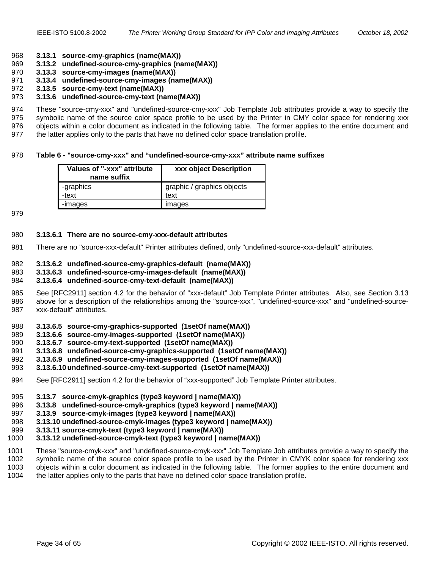#### <span id="page-33-0"></span>968 **3.13.1 source-cmy-graphics (name(MAX))**

- 969 **3.13.2 undefined-source-cmy-graphics (name(MAX))**
- 970 **3.13.3 source-cmy-images (name(MAX))**
- 971 **3.13.4 undefined-source-cmy-images (name(MAX))**
- 972 **3.13.5 source-cmy-text (name(MAX))**

#### 973 **3.13.6 undefined-source-cmy-text (name(MAX))**

974 These "source-cmy-xxx" and "undefined-source-cmy-xxx" Job Template Job attributes provide a way to specify the 975 symbolic name of the source color space profile to be used by the Printer in CMY color space for rendering xxx 976 objects within a color document as indicated in the following table. The former applies to the entire document and 977 the latter applies only to the parts that have no defined color space translation profile.

#### 978 **Table 6 - "source-cmy-xxx" and "undefined-source-cmy-xxx" attribute name suffixes**

| Values of "-xxx" attribute<br>name suffix | xxx object Description     |
|-------------------------------------------|----------------------------|
| -graphics                                 | graphic / graphics objects |
| -text                                     | text                       |
| -images                                   | images                     |

979

#### 980 **3.13.6.1 There are no source-cmy-xxx-default attributes**

981 There are no "source-xxx-default" Printer attributes defined, only "undefined-source-xxx-default" attributes.

#### 982 **3.13.6.2 undefined-source-cmy-graphics-default (name(MAX))**

983 **3.13.6.3 undefined-source-cmy-images-default (name(MAX))** 

#### 984 **3.13.6.4 undefined-source-cmy-text-default (name(MAX))**

- 985 See [RFC2911] section 4.2 for the behavior of "xxx-default" Job Template Printer attributes. Also, see Section [3.13](#page-31-0)  986 above for a description of the relationships among the "source-xxx", "undefined-source-xxx" and "undefined-source-987 xxx-default" attributes.
- 988 **3.13.6.5 source-cmy-graphics-supported (1setOf name(MAX))**
- 989 **3.13.6.6 source-cmy-images-supported (1setOf name(MAX))**
- 990 **3.13.6.7 source-cmy-text-supported (1setOf name(MAX))**
- 991 **3.13.6.8 undefined-source-cmy-graphics-supported (1setOf name(MAX))**
- 992 **3.13.6.9 undefined-source-cmy-images-supported (1setOf name(MAX))**
- 993 **3.13.6.10 undefined-source-cmy-text-supported (1setOf name(MAX))**
- 994 See [RFC2911] section 4.2 for the behavior of "xxx-supported" Job Template Printer attributes.
- 995 **3.13.7 source-cmyk-graphics (type3 keyword | name(MAX))**
- 996 **3.13.8 undefined-source-cmyk-graphics (type3 keyword | name(MAX))**
- 997 **3.13.9 source-cmyk-images (type3 keyword | name(MAX))**
- 998 **3.13.10 undefined-source-cmyk-images (type3 keyword | name(MAX))**
- 999 **3.13.11 source-cmyk-text (type3 keyword | name(MAX))**
- 1000 **3.13.12 undefined-source-cmyk-text (type3 keyword | name(MAX))**
- 1001 These "source-cmyk-xxx" and "undefined-source-cmyk-xxx" Job Template Job attributes provide a way to specify the
- 1002 symbolic name of the source color space profile to be used by the Printer in CMYK color space for rendering xxx
- 1003 objects within a color document as indicated in the following table. The former applies to the entire document and 1004 the latter applies only to the parts that have no defined color space translation profile.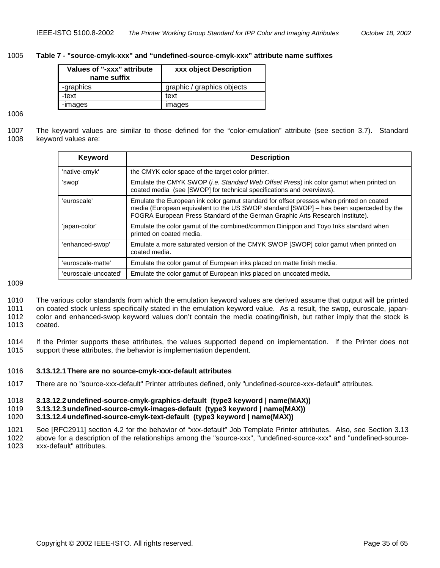#### <span id="page-34-0"></span>1005 **Table 7 - "source-cmyk-xxx" and "undefined-source-cmyk-xxx" attribute name suffixes**

| Values of "-xxx" attribute<br>name suffix | xxx object Description     |
|-------------------------------------------|----------------------------|
| -graphics                                 | graphic / graphics objects |
| -text                                     | text                       |
| -images                                   | images                     |

#### 1006

1007 The keyword values are similar to those defined for the "color-emulation" attribute (see section [3.7\)](#page-25-0). Standard 1008 keyword values are:

| Keyword              | <b>Description</b>                                                                                                                                                                                                                                                 |
|----------------------|--------------------------------------------------------------------------------------------------------------------------------------------------------------------------------------------------------------------------------------------------------------------|
| 'native-cmyk'        | the CMYK color space of the target color printer.                                                                                                                                                                                                                  |
| 'swop'               | Emulate the CMYK SWOP <i>(i.e. Standard Web Offset Press)</i> ink color gamut when printed on<br>coated media (see [SWOP] for technical specifications and overviews).                                                                                             |
| 'euroscale'          | Emulate the European ink color gamut standard for offset presses when printed on coated<br>media (European equivalent to the US SWOP standard [SWOP] - has been superceded by the<br>FOGRA European Press Standard of the German Graphic Arts Research Institute). |
| 'iapan-color'        | Emulate the color gamut of the combined/common Dinippon and Toyo Inks standard when<br>printed on coated media.                                                                                                                                                    |
| 'enhanced-swop'      | Emulate a more saturated version of the CMYK SWOP [SWOP] color gamut when printed on<br>coated media.                                                                                                                                                              |
| 'euroscale-matte'    | Emulate the color gamut of European inks placed on matte finish media.                                                                                                                                                                                             |
| 'euroscale-uncoated' | Emulate the color gamut of European inks placed on uncoated media.                                                                                                                                                                                                 |

1009

1010 The various color standards from which the emulation keyword values are derived assume that output will be printed 1011 on coated stock unless specifically stated in the emulation keyword value. As a result, the swop, euroscale, japan-1012 color and enhanced-swop keyword values don't contain the media coating/finish, but rather imply that the stock is 1013 coated.

1014 If the Printer supports these attributes, the values supported depend on implementation. If the Printer does not 1015 support these attributes, the behavior is implementation dependent.

#### 1016 **3.13.12.1 There are no source-cmyk-xxx-default attributes**

1017 There are no "source-xxx-default" Printer attributes defined, only "undefined-source-xxx-default" attributes.

#### 1018 **3.13.12.2 undefined-source-cmyk-graphics-default (type3 keyword | name(MAX))**

1019 **3.13.12.3 undefined-source-cmyk-images-default (type3 keyword | name(MAX))** 

1020 **3.13.12.4 undefined-source-cmyk-text-default (type3 keyword | name(MAX))** 

1021 See [RFC2911] section 4.2 for the behavior of "xxx-default" Job Template Printer attributes. Also, see Section [3.13](#page-31-0)  1022 above for a description of the relationships among the "source-xxx", "undefined-source-xxx" and "undefined-source-1023 xxx-default" attributes.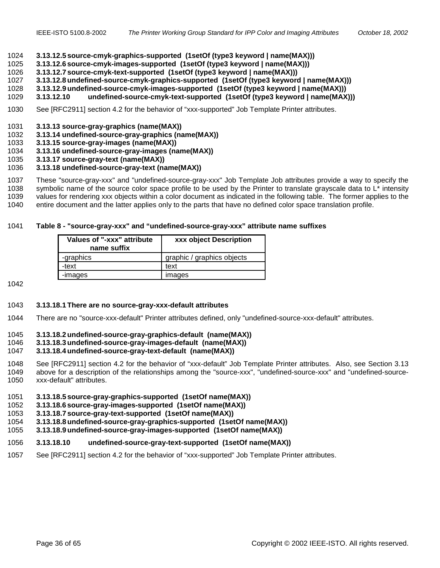#### <span id="page-35-0"></span>1024 **3.13.12.5 source-cmyk-graphics-supported (1setOf (type3 keyword | name(MAX)))**

- 1025 **3.13.12.6 source-cmyk-images-supported (1setOf (type3 keyword | name(MAX)))**
- 1026 **3.13.12.7 source-cmyk-text-supported (1setOf (type3 keyword | name(MAX)))**
- 1027 **3.13.12.8 undefined-source-cmyk-graphics-supported (1setOf (type3 keyword | name(MAX)))**
- 1028 **3.13.12.9 undefined-source-cmyk-images-supported (1setOf (type3 keyword | name(MAX)))**
- 1029 **3.13.12.10 undefined-source-cmyk-text-supported (1setOf (type3 keyword | name(MAX)))**
- 1030 See [RFC2911] section 4.2 for the behavior of "xxx-supported" Job Template Printer attributes.
- 1031 **3.13.13 source-gray-graphics (name(MAX))**
- 1032 **3.13.14 undefined-source-gray-graphics (name(MAX))**
- 1033 **3.13.15 source-gray-images (name(MAX))**
- 1034 **3.13.16 undefined-source-gray-images (name(MAX))**
- 1035 **3.13.17 source-gray-text (name(MAX))**
- 1036 **3.13.18 undefined-source-gray-text (name(MAX))**

1037 These "source-gray-xxx" and "undefined-source-gray-xxx" Job Template Job attributes provide a way to specify the 1038 symbolic name of the source color space profile to be used by the Printer to translate grayscale data to  $L^*$  intensity

1039 values for rendering xxx objects within a color document as indicated in the following table. The former applies to the

1040 entire document and the latter applies only to the parts that have no defined color space translation profile.

#### 1041 **Table 8 - "source-gray-xxx" and "undefined-source-gray-xxx" attribute name suffixes**

| Values of "-xxx" attribute<br>name suffix | xxx object Description     |
|-------------------------------------------|----------------------------|
| -graphics                                 | graphic / graphics objects |
| -text                                     | text                       |
| -images                                   | mages                      |

1042

#### 1043 **3.13.18.1 There are no source-gray-xxx-default attributes**

1044 There are no "source-xxx-default" Printer attributes defined, only "undefined-source-xxx-default" attributes.

#### 1045 **3.13.18.2 undefined-source-gray-graphics-default (name(MAX))**

#### 1046 **3.13.18.3 undefined-source-gray-images-default (name(MAX))**

# 1047 **3.13.18.4 undefined-source-gray-text-default (name(MAX))**

1048 See [RFC2911] section 4.2 for the behavior of "xxx-default" Job Template Printer attributes. Also, see Section [3.13](#page-31-0)  1049 above for a description of the relationships among the "source-xxx", "undefined-source-xxx" and "undefined-source-1050 xxx-default" attributes.

- 1051 **3.13.18.5 source-gray-graphics-supported (1setOf name(MAX))**
- 1052 **3.13.18.6 source-gray-images-supported (1setOf name(MAX))**
- 1053 **3.13.18.7 source-gray-text-supported (1setOf name(MAX))**
- 1054 **3.13.18.8 undefined-source-gray-graphics-supported (1setOf name(MAX))**
- 1055 **3.13.18.9 undefined-source-gray-images-supported (1setOf name(MAX))**

## 1056 **3.13.18.10 undefined-source-gray-text-supported (1setOf name(MAX))**

1057 See [RFC2911] section 4.2 for the behavior of "xxx-supported" Job Template Printer attributes.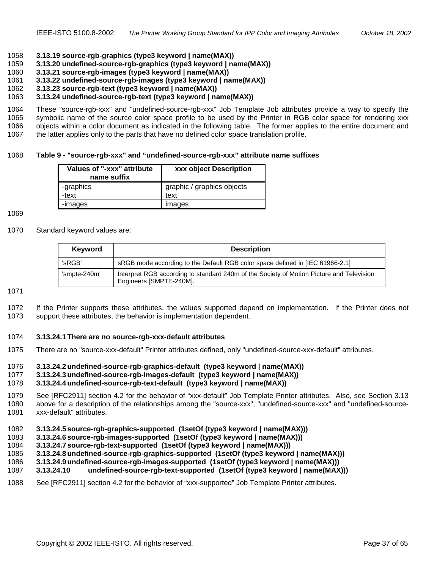#### <span id="page-36-0"></span>1058 **3.13.19 source-rgb-graphics (type3 keyword | name(MAX))**

- 1059 **3.13.20 undefined-source-rgb-graphics (type3 keyword | name(MAX))**
- 1060 **3.13.21 source-rgb-images (type3 keyword | name(MAX))**
- 1061 **3.13.22 undefined-source-rgb-images (type3 keyword | name(MAX))**
- 1062 **3.13.23 source-rgb-text (type3 keyword | name(MAX))**

#### 1063 **3.13.24 undefined-source-rgb-text (type3 keyword | name(MAX))**

1064 These "source-rgb-xxx" and "undefined-source-rgb-xxx" Job Template Job attributes provide a way to specify the 1065 symbolic name of the source color space profile to be used by the Printer in RGB color space for rendering xxx 1066 objects within a color document as indicated in the following table. The former applies to the entire document and 1067 the latter applies only to the parts that have no defined color space translation profile.

#### 1068 **Table 9 - "source-rgb-xxx" and "undefined-source-rgb-xxx" attribute name suffixes**

| Values of "-xxx" attribute<br>name suffix | xxx object Description     |
|-------------------------------------------|----------------------------|
| -graphics                                 | graphic / graphics objects |
| -text                                     | text                       |
| -images                                   | images                     |

#### 1069

#### 1070 Standard keyword values are:

| Keyword      | <b>Description</b>                                                                                                  |
|--------------|---------------------------------------------------------------------------------------------------------------------|
| 'sRGB'       | sRGB mode according to the Default RGB color space defined in [IEC 61966-2.1]                                       |
| 'smpte-240m' | Interpret RGB according to standard 240m of the Society of Motion Picture and Television<br>Engineers [SMPTE-240M]. |

#### 1071

1072 If the Printer supports these attributes, the values supported depend on implementation. If the Printer does not 1073 support these attributes, the behavior is implementation dependent.

#### 1074 **3.13.24.1 There are no source-rgb-xxx-default attributes**

1075 There are no "source-xxx-default" Printer attributes defined, only "undefined-source-xxx-default" attributes.

#### 1076 **3.13.24.2 undefined-source-rgb-graphics-default (type3 keyword | name(MAX))**

1077 **3.13.24.3 undefined-source-rgb-images-default (type3 keyword | name(MAX))** 

#### 1078 **3.13.24.4 undefined-source-rgb-text-default (type3 keyword | name(MAX))**

1079 See [RFC2911] section 4.2 for the behavior of "xxx-default" Job Template Printer attributes. Also, see Section [3.13](#page-31-0)  1080 above for a description of the relationships among the "source-xxx", "undefined-source-xxx" and "undefined-source-1081 xxx-default" attributes.

#### 1082 **3.13.24.5 source-rgb-graphics-supported (1setOf (type3 keyword | name(MAX)))**

- 1083 **3.13.24.6 source-rgb-images-supported (1setOf (type3 keyword | name(MAX)))**
- 1084 **3.13.24.7 source-rgb-text-supported (1setOf (type3 keyword | name(MAX)))**
- 1085 **3.13.24.8 undefined-source-rgb-graphics-supported (1setOf (type3 keyword | name(MAX)))**
- 1086 **3.13.24.9 undefined-source-rgb-images-supported (1setOf (type3 keyword | name(MAX)))**
- 1087 **3.13.24.10 undefined-source-rgb-text-supported (1setOf (type3 keyword | name(MAX)))**

#### 1088 See [RFC2911] section 4.2 for the behavior of "xxx-supported" Job Template Printer attributes.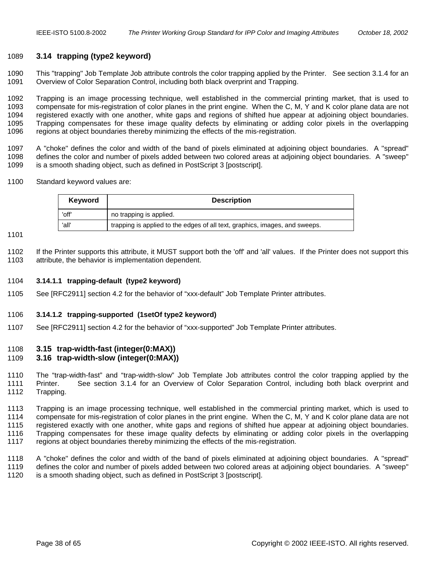## <span id="page-37-0"></span>1089 **3.14 trapping (type2 keyword)**

1090 This "trapping" Job Template Job attribute controls the color trapping applied by the Printer. See section [3.1.4](#page-17-0) for an 1091 Overview of Color Separation Control, including both black overprint and Trapping.

1092 Trapping is an image processing technique, well established in the commercial printing market, that is used to 1093 compensate for mis-registration of color planes in the print engine. When the C, M, Y and K color plane data are not 1094 registered exactly with one another, white gaps and regions of shifted hue appear at adjoining object boundaries. 1095 Trapping compensates for these image quality defects by eliminating or adding color pixels in the overlapping 1096 regions at object boundaries thereby minimizing the effects of the mis-registration.

1097 A "choke" defines the color and width of the band of pixels eliminated at adjoining object boundaries. A "spread" 1098 defines the color and number of pixels added between two colored areas at adjoining object boundaries. A "sweep" 1099 is a smooth shading object, such as defined in PostScript 3 [postscript].

1100 Standard keyword values are:

| Keyword | <b>Description</b>                                                          |  |
|---------|-----------------------------------------------------------------------------|--|
| 'off'   | no trapping is applied.                                                     |  |
| 'all'   | trapping is applied to the edges of all text, graphics, images, and sweeps. |  |

1101

1102 If the Printer supports this attribute, it MUST support both the 'off' and 'all' values. If the Printer does not support this 1103 attribute, the behavior is implementation dependent.

#### 1104 **3.14.1.1 trapping-default (type2 keyword)**

1105 See [RFC2911] section 4.2 for the behavior of "xxx-default" Job Template Printer attributes.

#### 1106 **3.14.1.2 trapping-supported (1setOf type2 keyword)**

1107 See [RFC2911] section 4.2 for the behavior of "xxx-supported" Job Template Printer attributes.

#### 1108 **3.15 trap-width-fast (integer(0:MAX))**

#### 1109 **3.16 trap-width-slow (integer(0:MAX))**

1110 The "trap-width-fast" and "trap-width-slow" Job Template Job attributes control the color trapping applied by the 1111 Printer. See section [3.1.4](#page-17-0) for an Overview of Color Separation Control, including both black overprint and 1112 Trapping.

1113 Trapping is an image processing technique, well established in the commercial printing market, which is used to 1114 compensate for mis-registration of color planes in the print engine. When the C, M, Y and K color plane data are not 1115 registered exactly with one another, white gaps and regions of shifted hue appear at adjoining object boundaries. 1116 Trapping compensates for these image quality defects by eliminating or adding color pixels in the overlapping 1117 regions at object boundaries thereby minimizing the effects of the mis-registration.

1118 A "choke" defines the color and width of the band of pixels eliminated at adjoining object boundaries. A "spread" 1119 defines the color and number of pixels added between two colored areas at adjoining object boundaries. A "sweep" 1120 is a smooth shading object, such as defined in PostScript 3 [postscript].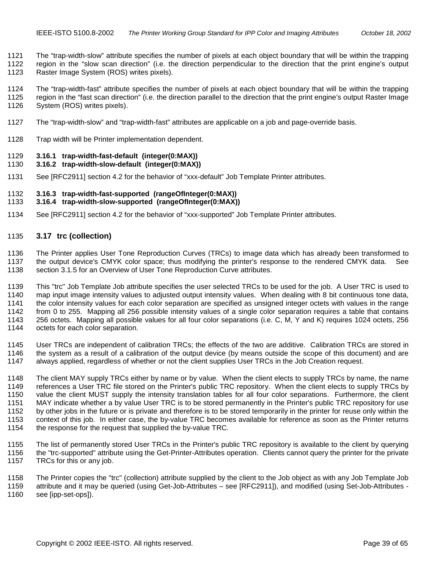<span id="page-38-0"></span>1121 The "trap-width-slow" attribute specifies the number of pixels at each object boundary that will be within the trapping 1122 region in the "slow scan direction" (i.e. the direction perpendicular to the direction that the print engine's output

1123 Raster Image System (ROS) writes pixels).

1124 The "trap-width-fast" attribute specifies the number of pixels at each object boundary that will be within the trapping 1125 region in the "fast scan direction" (i.e. the direction parallel to the direction that the print engine's output Raster Image 1126 System (ROS) writes pixels).

- 1127 The "trap-width-slow" and "trap-width-fast" attributes are applicable on a job and page-override basis.
- 1128 Trap width will be Printer implementation dependent.

#### 1129 **3.16.1 trap-width-fast-default (integer(0:MAX))**

#### 1130 **3.16.2 trap-width-slow-default (integer(0:MAX))**

1131 See [RFC2911] section 4.2 for the behavior of "xxx-default" Job Template Printer attributes.

#### 1132 **3.16.3 trap-width-fast-supported (rangeOfInteger(0:MAX))**

#### 1133 **3.16.4 trap-width-slow-supported (rangeOfInteger(0:MAX))**

1134 See [RFC2911] section 4.2 for the behavior of "xxx-supported" Job Template Printer attributes.

#### 1135 **3.17 trc (collection)**

1136 The Printer applies User Tone Reproduction Curves (TRCs) to image data which has already been transformed to 1137 the output device's CMYK color space; thus modifying the printer's response to the rendered CMYK data. See 1138 section [3.1.5](#page-17-0) for an Overview of User Tone Reproduction Curve attributes.

1139 This "trc" Job Template Job attribute specifies the user selected TRCs to be used for the job. A User TRC is used to 1140 map input image intensity values to adjusted output intensity values. When dealing with 8 bit continuous tone data, 1141 the color intensity values for each color separation are specified as unsigned integer octets with values in the range 1142 from 0 to 255. Mapping all 256 possible intensity values of a single color separation requires a table that contains 1143 256 octets. Mapping all possible values for all four color separations (i.e. C, M, Y and K) requires 1024 octets, 256 1144 octets for each color separation.

1145 User TRCs are independent of calibration TRCs; the effects of the two are additive. Calibration TRCs are stored in 1146 the system as a result of a calibration of the output device (by means outside the scope of this document) and are 1147 always applied, regardless of whether or not the client supplies User TRCs in the Job Creation request.

1148 The client MAY supply TRCs either by name or by value. When the client elects to supply TRCs by name, the name 1149 references a User TRC file stored on the Printer's public TRC repository. When the client elects to supply TRCs by 1150 value the client MUST supply the intensity translation tables for all four color separations. Furthermore, the client 1151 MAY indicate whether a by value User TRC is to be stored permanently in the Printer's public TRC repository for use 1152 by other jobs in the future or is private and therefore is to be stored temporarily in the printer for reuse only within the 1153 context of this job. In either case, the by-value TRC becomes available for reference as soon as the Printer returns 1154 the response for the request that supplied the by-value TRC.

1155 The list of permanently stored User TRCs in the Printer's public TRC repository is available to the client by querying 1156 the "trc-supported" attribute using the Get-Printer-Attributes operation. Clients cannot query the printer for the private 1157 TRCs for this or any job.

1158 The Printer copies the "trc" (collection) attribute supplied by the client to the Job object as with any Job Template Job 1159 attribute and it may be queried (using Get-Job-Attributes – see [RFC2911]), and modified (using Set-Job-Attributes -

1160 see [ipp-set-ops]).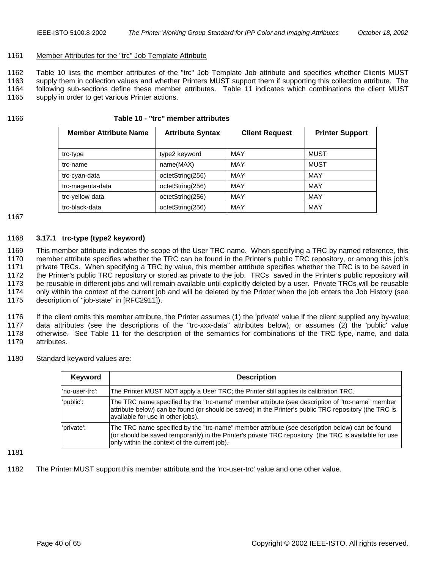#### <span id="page-39-0"></span>1161 Member Attributes for the "trc" Job Template Attribute

1162 Table 10 lists the member attributes of the "trc" Job Template Job attribute and specifies whether Clients MUST 1163 supply them in collection values and whether Printers MUST support them if supporting this collection attribute. The 1164 following sub-sections define these member attributes. [Table 11](#page-41-0) indicates which combinations the client MUST 1165 supply in order to get various Printer actions.

# 1166 **Table 10 - "trc" member attributes**

| <b>Member Attribute Name</b> | <b>Attribute Syntax</b> | <b>Client Request</b> | <b>Printer Support</b> |
|------------------------------|-------------------------|-----------------------|------------------------|
| trc-type                     | type2 keyword           | MAY                   | MUST                   |
| trc-name                     | name(MAX)               | <b>MAY</b>            | MUST                   |
| trc-cyan-data                | octetString(256)        | MAY                   | MAY                    |
| trc-magenta-data             | octetString(256)        | MAY                   | MAY                    |
| trc-yellow-data              | octetString(256)        | MAY                   | MAY                    |
| trc-black-data               | octetString(256)        | MAY                   | MAY                    |

#### 1167

#### 1168 **3.17.1 trc-type (type2 keyword)**

1169 This member attribute indicates the scope of the User TRC name. When specifying a TRC by named reference, this 1170 member attribute specifies whether the TRC can be found in the Printer's public TRC repository, or among this job's 1171 private TRCs. When specifying a TRC by value, this member attribute specifies whether the TRC is to be saved in 1172 the Printer's public TRC repository or stored as private to the job. TRCs saved in the Printer's public repository will 1173 be reusable in different jobs and will remain available until explicitly deleted by a user. Private TRCs will be reusable 1174 only within the context of the current job and will be deleted by the Printer when the job enters the Job History (see 1175 description of "job-state" in [RFC2911]).

1176 If the client omits this member attribute, the Printer assumes (1) the 'private' value if the client supplied any by-value 1177 data attributes (see the descriptions of the "trc-xxx-data" attributes below), or assumes (2) the 'public' value 1178 otherwise. See [Table 11](#page-41-0) for the description of the semantics for combinations of the TRC type, name, and data 1179 attributes.

1180 Standard keyword values are:

| Keyword        | <b>Description</b>                                                                                                                                                                                                                                       |  |  |
|----------------|----------------------------------------------------------------------------------------------------------------------------------------------------------------------------------------------------------------------------------------------------------|--|--|
| 'no-user-trc': | The Printer MUST NOT apply a User TRC; the Printer still applies its calibration TRC.                                                                                                                                                                    |  |  |
| 'public':      | The TRC name specified by the "trc-name" member attribute (see description of "trc-name" member<br>attribute below) can be found (or should be saved) in the Printer's public TRC repository (the TRC is<br>available for use in other jobs).            |  |  |
| 'private':     | The TRC name specified by the "trc-name" member attribute (see description below) can be found<br>(or should be saved temporarily) in the Printer's private TRC repository (the TRC is available for use<br>only within the context of the current job). |  |  |

1181

1182 The Printer MUST support this member attribute and the 'no-user-trc' value and one other value.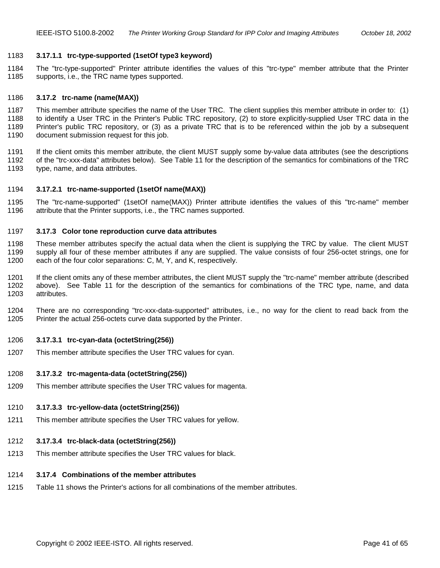#### <span id="page-40-0"></span>1183 **3.17.1.1 trc-type-supported (1setOf type3 keyword)**

1184 The "trc-type-supported" Printer attribute identifies the values of this "trc-type" member attribute that the Printer 1185 supports, i.e., the TRC name types supported.

#### 1186 **3.17.2 trc-name (name(MAX))**

1187 This member attribute specifies the name of the User TRC. The client supplies this member attribute in order to: (1) 1188 to identify a User TRC in the Printer's Public TRC repository, (2) to store explicitly-supplied User TRC data in the 1189 Printer's public TRC repository, or (3) as a private TRC that is to be referenced within the job by a subsequent 1190 document submission request for this job.

1191 If the client omits this member attribute, the client MUST supply some by-value data attributes (see the descriptions 1192 of the "trc-xxx-data" attributes below). See [Table 11](#page-41-0) for the description of the semantics for combinations of the TRC 1193 type, name, and data attributes.

- 1194 **3.17.2.1 trc-name-supported (1setOf name(MAX))**
- 1195 The "trc-name-supported" (1setOf name(MAX)) Printer attribute identifies the values of this "trc-name" member 1196 attribute that the Printer supports, i.e., the TRC names supported.

#### 1197 **3.17.3 Color tone reproduction curve data attributes**

1198 These member attributes specify the actual data when the client is supplying the TRC by value. The client MUST 1199 supply all four of these member attributes if any are supplied. The value consists of four 256-octet strings, one for 1200 each of the four color separations: C, M, Y, and K, respectively.

1201 If the client omits any of these member attributes, the client MUST supply the "trc-name" member attribute (described 1202 above). See [Table 11](#page-41-0) for the description of the semantics for combinations of the TRC type, name, and data 1203 attributes.

1204 There are no corresponding "trc-xxx-data-supported" attributes, i.e., no way for the client to read back from the 1205 Printer the actual 256-octets curve data supported by the Printer.

#### 1206 **3.17.3.1 trc-cyan-data (octetString(256))**

1207 This member attribute specifies the User TRC values for cyan.

#### 1208 **3.17.3.2 trc-magenta-data (octetString(256))**

1209 This member attribute specifies the User TRC values for magenta.

# 1210 **3.17.3.3 trc-yellow-data (octetString(256))**

1211 This member attribute specifies the User TRC values for yellow.

# 1212 **3.17.3.4 trc-black-data (octetString(256))**

1213 This member attribute specifies the User TRC values for black.

# 1214 **3.17.4 Combinations of the member attributes**

1215 [Table 11](#page-41-0) shows the Printer's actions for all combinations of the member attributes.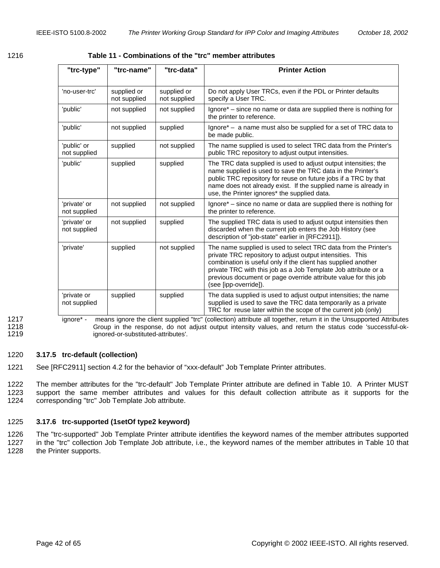<span id="page-41-0"></span>

|--|--|

1216 **Table 11 - Combinations of the "trc" member attributes** 

| "trc-type"                   | "trc-name"                  | "trc-data"                  | <b>Printer Action</b>                                                                                                                                                                                                                                                                                                                                       |
|------------------------------|-----------------------------|-----------------------------|-------------------------------------------------------------------------------------------------------------------------------------------------------------------------------------------------------------------------------------------------------------------------------------------------------------------------------------------------------------|
| 'no-user-trc'                | supplied or<br>not supplied | supplied or<br>not supplied | Do not apply User TRCs, even if the PDL or Printer defaults<br>specify a User TRC.                                                                                                                                                                                                                                                                          |
| 'public'                     | not supplied                | not supplied                | Ignore* – since no name or data are supplied there is nothing for<br>the printer to reference.                                                                                                                                                                                                                                                              |
| 'public'                     | not supplied                | supplied                    | Ignore $^*$ – a name must also be supplied for a set of TRC data to<br>be made public.                                                                                                                                                                                                                                                                      |
| 'public' or<br>not supplied  | supplied                    | not supplied                | The name supplied is used to select TRC data from the Printer's<br>public TRC repository to adjust output intensities.                                                                                                                                                                                                                                      |
| 'public'                     | supplied                    | supplied                    | The TRC data supplied is used to adjust output intensities; the<br>name supplied is used to save the TRC data in the Printer's<br>public TRC repository for reuse on future jobs if a TRC by that<br>name does not already exist. If the supplied name is already in<br>use, the Printer ignores* the supplied data.                                        |
| 'private' or<br>not supplied | not supplied                | not supplied                | Ignore* – since no name or data are supplied there is nothing for<br>the printer to reference.                                                                                                                                                                                                                                                              |
| 'private' or<br>not supplied | not supplied                | supplied                    | The supplied TRC data is used to adjust output intensities then<br>discarded when the current job enters the Job History (see<br>description of "job-state" earlier in [RFC2911]).                                                                                                                                                                          |
| 'private'                    | supplied                    | not supplied                | The name supplied is used to select TRC data from the Printer's<br>private TRC repository to adjust output intensities. This<br>combination is useful only if the client has supplied another<br>private TRC with this job as a Job Template Job attribute or a<br>previous document or page override attribute value for this job<br>(see [ipp-override]). |
| 'private or<br>not supplied  | supplied                    | supplied                    | The data supplied is used to adjust output intensities; the name<br>supplied is used to save the TRC data temporarily as a private<br>TRC for reuse later within the scope of the current job (only)                                                                                                                                                        |

1217 ignore\* - means ignore the client supplied "trc" (collection) attribute all together, return it in the Unsupported Attributes<br>1218 Group in the response, do not adjust output intensity values, and return the status co Group in the response, do not adjust output intensity values, and return the status code 'successful-ok-1219 ignored-or-substituted-attributes'.

#### 1220 **3.17.5 trc-default (collection)**

1221 See [RFC2911] section 4.2 for the behavior of "xxx-default" Job Template Printer attributes.

1222 The member attributes for the "trc-default" Job Template Printer attribute are defined in [Table 10.](#page-39-0) A Printer MUST 1223 support the same member attributes and values for this default collection attribute as it supports for the 1224 corresponding "trc" Job Template Job attribute.

#### 1225 **3.17.6 trc-supported (1setOf type2 keyword)**

1226 The "trc-supported" Job Template Printer attribute identifies the keyword names of the member attributes supported 1227 in the "trc" collection Job Template Job attribute, i.e., the keyword names of the member attributes in [Table 10](#page-39-0) that 1228 the Printer supports.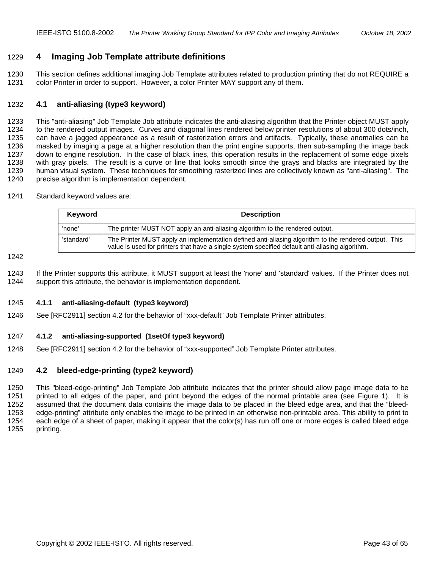# <span id="page-42-0"></span>1229 **4 Imaging Job Template attribute definitions**

1230 This section defines additional imaging Job Template attributes related to production printing that do not REQUIRE a 1231 color Printer in order to support. However, a color Printer MAY support any of them.

# 1232 **4.1 anti-aliasing (type3 keyword)**

1233 This "anti-aliasing" Job Template Job attribute indicates the anti-aliasing algorithm that the Printer object MUST apply 1234 to the rendered output images. Curves and diagonal lines rendered below printer resolutions of about 300 dots/inch, 1235 can have a jagged appearance as a result of rasterization errors and artifacts. Typically, these anomalies can be 1236 masked by imaging a page at a higher resolution than the print engine supports, then sub-sampling the image back 1237 down to engine resolution. In the case of black lines, this operation results in the replacement of some edge pixels 1238 with gray pixels. The result is a curve or line that looks smooth since the grays and blacks are integrated by the 1239 human visual system. These techniques for smoothing rasterized lines are collectively known as "anti-aliasing". The 1240 precise algorithm is implementation dependent.

1241 Standard keyword values are:

| Keyword    | <b>Description</b>                                                                                                                                                                                       |
|------------|----------------------------------------------------------------------------------------------------------------------------------------------------------------------------------------------------------|
| 'none'     | The printer MUST NOT apply an anti-aliasing algorithm to the rendered output.                                                                                                                            |
| 'standard' | The Printer MUST apply an implementation defined anti-aliasing algorithm to the rendered output. This<br>value is used for printers that have a single system specified default anti-aliasing algorithm. |

1242

1243 If the Printer supports this attribute, it MUST support at least the 'none' and 'standard' values. If the Printer does not 1244 support this attribute, the behavior is implementation dependent.

#### 1245 **4.1.1 anti-aliasing-default (type3 keyword)**

1246 See [RFC2911] section 4.2 for the behavior of "xxx-default" Job Template Printer attributes.

#### 1247 **4.1.2 anti-aliasing-supported (1setOf type3 keyword)**

1248 See [RFC2911] section 4.2 for the behavior of "xxx-supported" Job Template Printer attributes.

#### 1249 **4.2 bleed-edge-printing (type2 keyword)**

1250 This "bleed-edge-printing" Job Template Job attribute indicates that the printer should allow page image data to be 1251 printed to all edges of the paper, and print beyond the edges of the normal printable area (see [Figure 1\)](#page-43-0). It is 1252 assumed that the document data contains the image data to be placed in the bleed edge area, and that the "bleed-1253 edge-printing" attribute only enables the image to be printed in an otherwise non-printable area. This ability to print to 1254 each edge of a sheet of paper, making it appear that the color(s) has run off one or more edges is called bleed edge 1255 printing.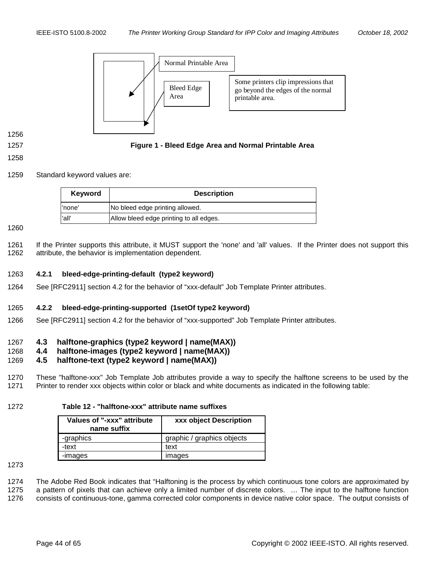<span id="page-43-0"></span>

1256

#### 1257 **Figure 1 - Bleed Edge Area and Normal Printable Area**

#### 1258

1259 Standard keyword values are:

| <b>Keyword</b> | <b>Description</b>                      |
|----------------|-----------------------------------------|
| l'none'        | No bleed edge printing allowed.         |
| 'all'          | Allow bleed edge printing to all edges. |

#### 1260

1261 If the Printer supports this attribute, it MUST support the 'none' and 'all' values. If the Printer does not support this 1262 attribute, the behavior is implementation dependent.

# 1263 **4.2.1 bleed-edge-printing-default (type2 keyword)**

1264 See [RFC2911] section 4.2 for the behavior of "xxx-default" Job Template Printer attributes.

#### 1265 **4.2.2 bleed-edge-printing-supported (1setOf type2 keyword)**

1266 See [RFC2911] section 4.2 for the behavior of "xxx-supported" Job Template Printer attributes.

# 1267 **4.3 halftone-graphics (type2 keyword | name(MAX))**

#### 1268 **4.4 halftone-images (type2 keyword | name(MAX))**

# 1269 **4.5 halftone-text (type2 keyword | name(MAX))**

1270 These "halftone-xxx" Job Template Job attributes provide a way to specify the halftone screens to be used by the 1271 Printer to render xxx objects within color or black and white documents as indicated in the following table:

# 1272 **Table 12 - "halftone-xxx" attribute name suffixes**

| Values of "-xxx" attribute<br>name suffix | xxx object Description     |
|-------------------------------------------|----------------------------|
| -graphics                                 | graphic / graphics objects |
| -text                                     | text                       |
| -images                                   | images                     |

# 1273

1274 The Adobe Red Book indicates that "Halftoning is the process by which continuous tone colors are approximated by

1275 a pattern of pixels that can achieve only a limited number of discrete colors. … The input to the halftone function

1276 consists of continuous-tone, gamma corrected color components in device native color space. The output consists of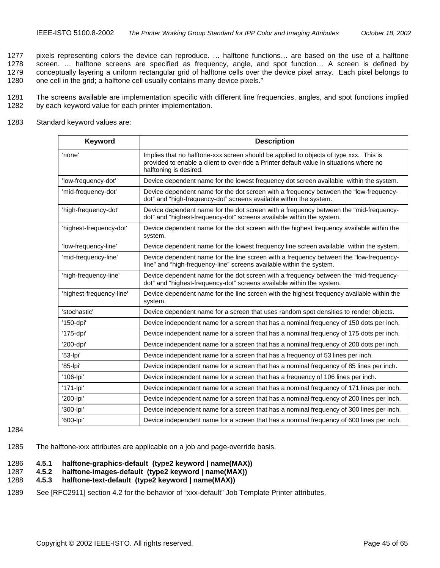<span id="page-44-0"></span>1277 pixels representing colors the device can reproduce. … halftone functions… are based on the use of a halftone 1278 screen. … halftone screens are specified as frequency, angle, and spot function… A screen is defined by 1279 conceptually layering a uniform rectangular grid of halftone cells over the device pixel array. Each pixel belongs to 1280 one cell in the grid; a halftone cell usually contains many device pixels."

1281 The screens available are implementation specific with different line frequencies, angles, and spot functions implied 1282 by each keyword value for each printer implementation.

1283 Standard keyword values are:

| Keyword                  | <b>Description</b>                                                                                                                                                                                         |
|--------------------------|------------------------------------------------------------------------------------------------------------------------------------------------------------------------------------------------------------|
| 'none'                   | Implies that no halftone-xxx screen should be applied to objects of type xxx. This is<br>provided to enable a client to over-ride a Printer default value in situations where no<br>halftoning is desired. |
| 'low-frequency-dot'      | Device dependent name for the lowest frequency dot screen available within the system.                                                                                                                     |
| 'mid-frequency-dot'      | Device dependent name for the dot screen with a frequency between the "low-frequency-<br>dot" and "high-frequency-dot" screens available within the system.                                                |
| 'high-frequency-dot'     | Device dependent name for the dot screen with a frequency between the "mid-frequency-<br>dot" and "highest-frequency-dot" screens available within the system.                                             |
| 'highest-frequency-dot'  | Device dependent name for the dot screen with the highest frequency available within the<br>system.                                                                                                        |
| 'low-frequency-line'     | Device dependent name for the lowest frequency line screen available within the system.                                                                                                                    |
| 'mid-frequency-line'     | Device dependent name for the line screen with a frequency between the "low-frequency-<br>line" and "high-frequency-line" screens available within the system.                                             |
| 'high-frequency-line'    | Device dependent name for the dot screen with a frequency between the "mid-frequency-<br>dot" and "highest-frequency-dot" screens available within the system.                                             |
| 'highest-frequency-line' | Device dependent name for the line screen with the highest frequency available within the<br>system.                                                                                                       |
| 'stochastic'             | Device dependent name for a screen that uses random spot densities to render objects.                                                                                                                      |
| '150-dpi'                | Device independent name for a screen that has a nominal frequency of 150 dots per inch.                                                                                                                    |
| '175-dpi'                | Device independent name for a screen that has a nominal frequency of 175 dots per inch.                                                                                                                    |
| '200-dpi'                | Device independent name for a screen that has a nominal frequency of 200 dots per inch.                                                                                                                    |
| '53-lpi'                 | Device independent name for a screen that has a frequency of 53 lines per inch.                                                                                                                            |
| '85-lpi'                 | Device independent name for a screen that has a nominal frequency of 85 lines per inch.                                                                                                                    |
| '106-lpi'                | Device independent name for a screen that has a frequency of 106 lines per inch.                                                                                                                           |
| '171-lpi'                | Device independent name for a screen that has a nominal frequency of 171 lines per inch.                                                                                                                   |
| '200-lpi'                | Device independent name for a screen that has a nominal frequency of 200 lines per inch.                                                                                                                   |
| '300-lpi'                | Device independent name for a screen that has a nominal frequency of 300 lines per inch.                                                                                                                   |
| '600-lpi'                | Device independent name for a screen that has a nominal frequency of 600 lines per inch.                                                                                                                   |

1284

1285 The halftone-xxx attributes are applicable on a job and page-override basis.

#### 1286 **4.5.1 halftone-graphics-default (type2 keyword | name(MAX))**

1287 **4.5.2 halftone-images-default (type2 keyword | name(MAX))** 

# 1288 **4.5.3 halftone-text-default (type2 keyword | name(MAX))**

1289 See [RFC2911] section 4.2 for the behavior of "xxx-default" Job Template Printer attributes.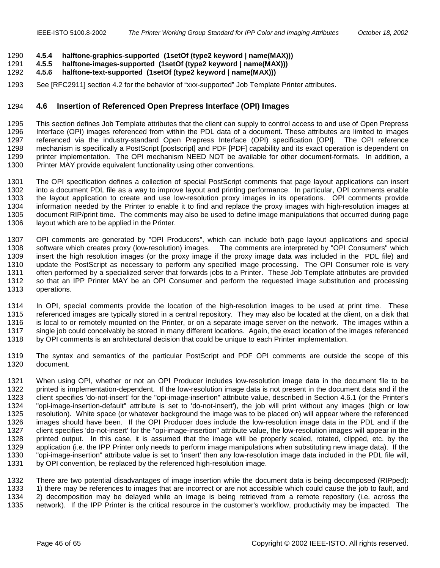#### <span id="page-45-0"></span>1290 **4.5.4 halftone-graphics-supported (1setOf (type2 keyword | name(MAX)))**

- 1291 **4.5.5 halftone-images-supported (1setOf (type2 keyword | name(MAX)))**
- 1292 **4.5.6 halftone-text-supported (1setOf (type2 keyword | name(MAX)))**
- 1293 See [RFC2911] section 4.2 for the behavior of "xxx-supported" Job Template Printer attributes.

## 1294 **4.6 Insertion of Referenced Open Prepress Interface (OPI) Images**

1295 This section defines Job Template attributes that the client can supply to control access to and use of Open Prepress 1296 Interface (OPI) images referenced from within the PDL data of a document. These attributes are limited to images 1297 referenced via the industry-standard Open Prepress Interface (OPI) specification [OPI]. The OPI reference 1298 mechanism is specifically a PostScript [postscript] and PDF [PDF] capability and its exact operation is dependent on 1299 printer implementation. The OPI mechanism NEED NOT be available for other document-formats. In addition, a 1300 Printer MAY provide equivalent functionality using other conventions.

1301 The OPI specification defines a collection of special PostScript comments that page layout applications can insert 1302 into a document PDL file as a way to improve layout and printing performance. In particular, OPI comments enable 1303 the layout application to create and use low-resolution proxy images in its operations. OPI comments provide 1304 information needed by the Printer to enable it to find and replace the proxy images with high-resolution images at 1305 document RIP/print time. The comments may also be used to define image manipulations that occurred during page 1306 layout which are to be applied in the Printer.

1307 OPI comments are generated by "OPI Producers", which can include both page layout applications and special 1308 software which creates proxy (low-resolution) images. The comments are interpreted by "OPI Consumers" which 1309 insert the high resolution images (or the proxy image if the proxy image data was included in the PDL file) and 1310 update the PostScript as necessary to perform any specified image processing. The OPI Consumer role is very 1311 often performed by a specialized server that forwards jobs to a Printer. These Job Template attributes are provided 1312 so that an IPP Printer MAY be an OPI Consumer and perform the requested image substitution and processing 1313 operations.

1314 In OPI, special comments provide the location of the high-resolution images to be used at print time. These 1315 referenced images are typically stored in a central repository. They may also be located at the client, on a disk that 1316 is local to or remotely mounted on the Printer, or on a separate image server on the network. The images within a 1317 single job could conceivably be stored in many different locations. Again, the exact location of the images referenced 1318 by OPI comments is an architectural decision that could be unique to each Printer implementation.

- 1319 The syntax and semantics of the particular PostScript and PDF OPI comments are outside the scope of this 1320 document.
- 1321 When using OPI, whether or not an OPI Producer includes low-resolution image data in the document file to be 1322 printed is implementation-dependent. If the low-resolution image data is not present in the document data and if the 1323 client specifies 'do-not-insert' for the "opi-image-insertion" attribute value, described in Section [4.6.1](#page-46-0) (or the Printer's 1324 "opi-image-insertion-default" attribute is set to 'do-not-insert'), the job will print without any images (high or low<br>1325 resolution). White space (or whatever background the image was to be placed on) will appear w resolution). White space (or whatever background the image was to be placed on) will appear where the referenced 1326 images should have been. If the OPI Producer does include the low-resolution image data in the PDL and if the 1327 client specifies 'do-not-insert' for the "opi-image-insertion" attribute value, the low-resolution images will appear in the<br>1328 printed output. In this case, it is assumed that the image will be properly scaled, rot printed output. In this case, it is assumed that the image will be properly scaled, rotated, clipped, etc. by the 1329 application (i.e. the IPP Printer only needs to perform image manipulations when substituting new image data). If the 1330 "opi-image-insertion" attribute value is set to 'insert' then any low-resolution image data included in the PDL file will, 1331 by OPI convention, be replaced by the referenced high-resolution image.

1332 There are two potential disadvantages of image insertion while the document data is being decomposed (RIPped): 1333 1) there may be references to images that are incorrect or are not accessible which could cause the job to fault, and 1334 2) decomposition may be delayed while an image is being retrieved from a remote repository (i.e. across the 1335 network). If the IPP Printer is the critical resource in the customer's workflow, productivity may be impacted. The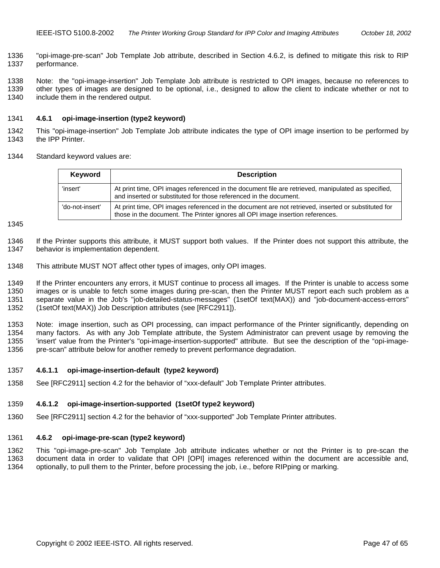<span id="page-46-0"></span>1336 "opi-image-pre-scan" Job Template Job attribute, described in Section 4.6.2, is defined to mitigate this risk to RIP 1337 performance.

1338 Note: the "opi-image-insertion" Job Template Job attribute is restricted to OPI images, because no references to 1339 other types of images are designed to be optional, i.e., designed to allow the client to indicate whether or not to 1340 include them in the rendered output.

# 1341 **4.6.1 opi-image-insertion (type2 keyword)**

1342 This "opi-image-insertion" Job Template Job attribute indicates the type of OPI image insertion to be performed by 1343 the IPP Printer.

1344 Standard keyword values are:

| Keyword         | <b>Description</b>                                                                                                                                                                    |
|-----------------|---------------------------------------------------------------------------------------------------------------------------------------------------------------------------------------|
| 'insert'        | At print time, OPI images referenced in the document file are retrieved, manipulated as specified,<br>and inserted or substituted for those referenced in the document.               |
| 'do-not-insert' | At print time, OPI images referenced in the document are not retrieved, inserted or substituted for<br>those in the document. The Printer ignores all OPI image insertion references. |

1345

1346 If the Printer supports this attribute, it MUST support both values. If the Printer does not support this attribute, the 1347 behavior is implementation dependent.

1348 This attribute MUST NOT affect other types of images, only OPI images.

1349 If the Printer encounters any errors, it MUST continue to process all images. If the Printer is unable to access some 1350 images or is unable to fetch some images during pre-scan, then the Printer MUST report each such problem as a 1351 separate value in the Job's "job-detailed-status-messages" (1setOf text(MAX)) and "job-document-access-errors" 1352 (1setOf text(MAX)) Job Description attributes (see [RFC2911]).

1353 Note: image insertion, such as OPI processing, can impact performance of the Printer significantly, depending on 1354 many factors. As with any Job Template attribute, the System Administrator can prevent usage by removing the 1355 'insert' value from the Printer's "opi-image-insertion-supported" attribute. But see the description of the "opi-image-1356 pre-scan" attribute below for another remedy to prevent performance degradation.

#### 1357 **4.6.1.1 opi-image-insertion-default (type2 keyword)**

1358 See [RFC2911] section 4.2 for the behavior of "xxx-default" Job Template Printer attributes.

#### 1359 **4.6.1.2 opi-image-insertion-supported (1setOf type2 keyword)**

1360 See [RFC2911] section 4.2 for the behavior of "xxx-supported" Job Template Printer attributes.

#### 1361 **4.6.2 opi-image-pre-scan (type2 keyword)**

1362 This "opi-image-pre-scan" Job Template Job attribute indicates whether or not the Printer is to pre-scan the 1363 document data in order to validate that OPI [OPI] images referenced within the document are accessible and, 1364 optionally, to pull them to the Printer, before processing the job, i.e., before RIPping or marking.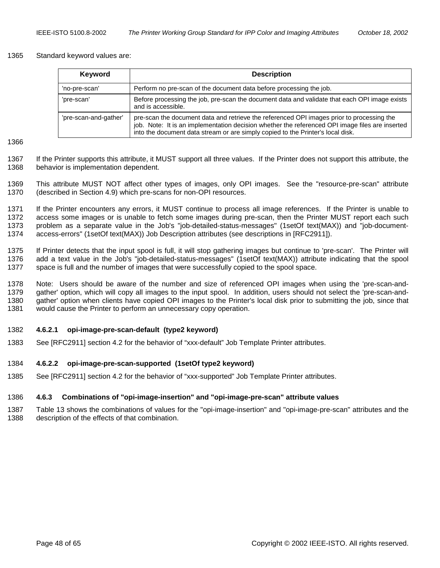#### <span id="page-47-0"></span>1365 Standard keyword values are:

| Keyword               | <b>Description</b>                                                                                                                                                                                                                                                              |
|-----------------------|---------------------------------------------------------------------------------------------------------------------------------------------------------------------------------------------------------------------------------------------------------------------------------|
| 'no-pre-scan'         | Perform no pre-scan of the document data before processing the job.                                                                                                                                                                                                             |
| 'pre-scan'            | Before processing the job, pre-scan the document data and validate that each OPI image exists<br>and is accessible.                                                                                                                                                             |
| 'pre-scan-and-gather' | pre-scan the document data and retrieve the referenced OPI images prior to processing the<br>job. Note: It is an implementation decision whether the referenced OPI image files are inserted<br>into the document data stream or are simply copied to the Printer's local disk. |

1366

1367 If the Printer supports this attribute, it MUST support all three values. If the Printer does not support this attribute, the 1368 behavior is implementation dependent.

1369 This attribute MUST NOT affect other types of images, only OPI images. See the "resource-pre-scan" attribute 1370 (described in Section [4.9\)](#page-51-0) which pre-scans for non-OPI resources.

1371 If the Printer encounters any errors, it MUST continue to process all image references. If the Printer is unable to 1372 access some images or is unable to fetch some images during pre-scan, then the Printer MUST report each such 1373 problem as a separate value in the Job's "job-detailed-status-messages" (1setOf text(MAX)) and "job-document-1374 access-errors" (1setOf text(MAX)) Job Description attributes (see descriptions in [RFC2911]).

1375 If Printer detects that the input spool is full, it will stop gathering images but continue to 'pre-scan'. The Printer will 1376 add a text value in the Job's "job-detailed-status-messages" (1setOf text(MAX)) attribute indicating that the spool 1377 space is full and the number of images that were successfully copied to the spool space.

1378 Note: Users should be aware of the number and size of referenced OPI images when using the 'pre-scan-and-1379 gather' option, which will copy all images to the input spool. In addition, users should not select the 'pre-scan-and-1380 gather' option when clients have copied OPI images to the Printer's local disk prior to submitting the job, since that 1381 would cause the Printer to perform an unnecessary copy operation.

#### 1382 **4.6.2.1 opi-image-pre-scan-default (type2 keyword)**

1383 See [RFC2911] section 4.2 for the behavior of "xxx-default" Job Template Printer attributes.

#### 1384 **4.6.2.2 opi-image-pre-scan-supported (1setOf type2 keyword)**

1385 See [RFC2911] section 4.2 for the behavior of "xxx-supported" Job Template Printer attributes.

#### 1386 **4.6.3 Combinations of "opi-image-insertion" and "opi-image-pre-scan" attribute values**

1387 [Table 13](#page-48-0) shows the combinations of values for the "opi-image-insertion" and "opi-image-pre-scan" attributes and the 1388 description of the effects of that combination.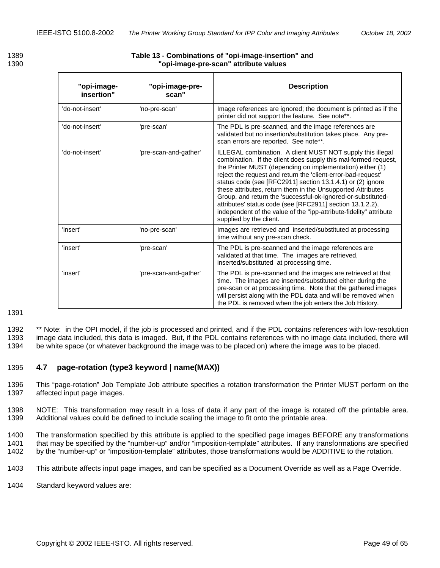| "opi-image-<br>insertion" | "opi-image-pre-<br>scan" | <b>Description</b>                                                                                                                                                                                                                                                                                                                                                                                                                                                                                                                                                                                                    |
|---------------------------|--------------------------|-----------------------------------------------------------------------------------------------------------------------------------------------------------------------------------------------------------------------------------------------------------------------------------------------------------------------------------------------------------------------------------------------------------------------------------------------------------------------------------------------------------------------------------------------------------------------------------------------------------------------|
| 'do-not-insert'           | 'no-pre-scan'            | Image references are ignored; the document is printed as if the<br>printer did not support the feature. See note**.                                                                                                                                                                                                                                                                                                                                                                                                                                                                                                   |
| 'do-not-insert'           | 'pre-scan'               | The PDL is pre-scanned, and the image references are<br>validated but no insertion/substitution takes place. Any pre-<br>scan errors are reported. See note**.                                                                                                                                                                                                                                                                                                                                                                                                                                                        |
| 'do-not-insert'           | 'pre-scan-and-gather'    | ILLEGAL combination. A client MUST NOT supply this illegal<br>combination. If the client does supply this mal-formed request,<br>the Printer MUST (depending on implementation) either (1)<br>reject the request and return the 'client-error-bad-request'<br>status code (see [RFC2911] section 13.1.4.1) or (2) ignore<br>these attributes, return them in the Unsupported Attributes<br>Group, and return the 'successful-ok-ignored-or-substituted-<br>attributes' status code (see [RFC2911] section 13.1.2.2),<br>independent of the value of the "ipp-attribute-fidelity" attribute<br>supplied by the client. |
| 'insert'                  | 'no-pre-scan'            | Images are retrieved and inserted/substituted at processing<br>time without any pre-scan check.                                                                                                                                                                                                                                                                                                                                                                                                                                                                                                                       |
| 'insert'                  | 'pre-scan'               | The PDL is pre-scanned and the image references are<br>validated at that time. The images are retrieved,<br>inserted/substituted at processing time.                                                                                                                                                                                                                                                                                                                                                                                                                                                                  |
| 'insert'                  | 'pre-scan-and-gather'    | The PDL is pre-scanned and the images are retrieved at that<br>time. The images are inserted/substituted either during the<br>pre-scan or at processing time. Note that the gathered images<br>will persist along with the PDL data and will be removed when<br>the PDL is removed when the job enters the Job History.                                                                                                                                                                                                                                                                                               |

# <span id="page-48-0"></span>1389 **Table 13 - Combinations of "opi-image-insertion" and**  1390 **"opi-image-pre-scan" attribute values**

1391

1392 \*\* Note: in the OPI model, if the job is processed and printed, and if the PDL contains references with low-resolution 1393 image data included, this data is imaged. But, if the PDL contains references with no image data included, there will 1394 be white space (or whatever background the image was to be placed on) where the image was to be placed.

# 1395 **4.7 page-rotation (type3 keyword | name(MAX))**

1396 This "page-rotation" Job Template Job attribute specifies a rotation transformation the Printer MUST perform on the 1397 affected input page images.

1398 NOTE: This transformation may result in a loss of data if any part of the image is rotated off the printable area. 1399 Additional values could be defined to include scaling the image to fit onto the printable area.

1400 The transformation specified by this attribute is applied to the specified page images BEFORE any transformations 1401 that may be specified by the "number-up" and/or "imposition-template" attributes. If any transformations are specified 1402 by the "number-up" or "imposition-template" attributes, those transformations would be ADDITIVE to the rotation.

- 1403 This attribute affects input page images, and can be specified as a Document Override as well as a Page Override.
- 1404 Standard keyword values are: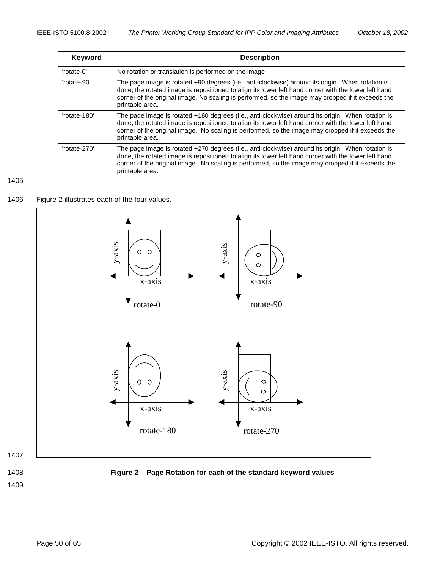<span id="page-49-0"></span>

| <b>Keyword</b> | <b>Description</b>                                                                                                                                                                                                                                                                                                                |
|----------------|-----------------------------------------------------------------------------------------------------------------------------------------------------------------------------------------------------------------------------------------------------------------------------------------------------------------------------------|
| 'rotate-0'     | No rotation or translation is performed on the image.                                                                                                                                                                                                                                                                             |
| 'rotate-90'    | The page image is rotated +90 degrees (i.e., anti-clockwise) around its origin. When rotation is<br>done, the rotated image is repositioned to align its lower left hand corner with the lower left hand<br>corner of the original image. No scaling is performed, so the image may cropped if it exceeds the<br>printable area.  |
| 'rotate-180'   | The page image is rotated +180 degrees (i.e., anti-clockwise) around its origin. When rotation is<br>done, the rotated image is repositioned to align its lower left hand corner with the lower left hand<br>corner of the original image. No scaling is performed, so the image may cropped if it exceeds the<br>printable area. |
| 'rotate-270'   | The page image is rotated +270 degrees (i.e., anti-clockwise) around its origin. When rotation is<br>done, the rotated image is repositioned to align its lower left hand corner with the lower left hand<br>corner of the original image. No scaling is performed, so the image may cropped if it exceeds the<br>printable area. |

#### 1405

# 1406 Figure 2 illustrates each of the four values.







# 1408 **Figure 2 – Page Rotation for each of the standard keyword values**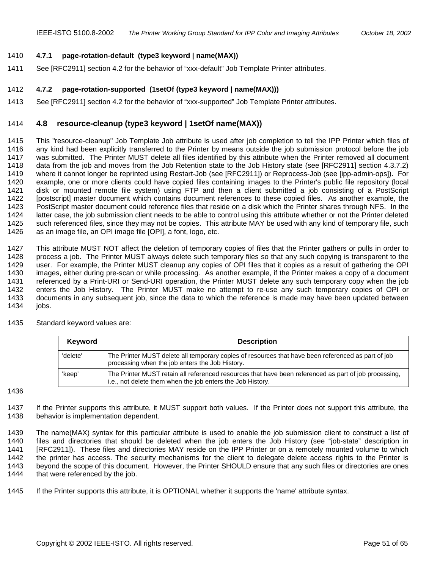### <span id="page-50-0"></span>1410 **4.7.1 page-rotation-default (type3 keyword | name(MAX))**

1411 See [RFC2911] section 4.2 for the behavior of "xxx-default" Job Template Printer attributes.

## 1412 **4.7.2 page-rotation-supported (1setOf (type3 keyword | name(MAX)))**

1413 See [RFC2911] section 4.2 for the behavior of "xxx-supported" Job Template Printer attributes.

# 1414 **4.8 resource-cleanup (type3 keyword | 1setOf name(MAX))**

1415 This "resource-cleanup" Job Template Job attribute is used after job completion to tell the IPP Printer which files of 1416 any kind had been explicitly transferred to the Printer by means outside the job submission protocol before the job 1417 was submitted. The Printer MUST delete all files identified by this attribute when the Printer removed all document 1418 data from the job and moves from the Job Retention state to the Job History state (see [RFC2911] section 4.3.7.2) 1419 where it cannot longer be reprinted using Restart-Job (see [RFC2911]) or Reprocess-Job (see [ipp-admin-ops]). For 1420 example, one or more clients could have copied files containing images to the Printer's public file repository (local 1421 disk or mounted remote file system) using FTP and then a client submitted a job consisting of a PostScript 1422 [postscript] master document which contains document references to these copied files. As another example, the 1423 PostScript master document could reference files that reside on a disk which the Printer shares through NFS. In the 1424 latter case, the job submission client needs to be able to control using this attribute whether or not the Printer deleted 1425 such referenced files, since they may not be copies. This attribute MAY be used with any kind of temporary file, such 1426 as an image file, an OPI image file [OPI], a font, logo, etc.

1427 This attribute MUST NOT affect the deletion of temporary copies of files that the Printer gathers or pulls in order to<br>1428 process a job. The Printer MUST always delete such temporary files so that any such copying i process a job. The Printer MUST always delete such temporary files so that any such copying is transparent to the 1429 user. For example, the Printer MUST cleanup any copies of OPI files that it copies as a result of gathering the OPI 1430 images, either during pre-scan or while processing. As another example, if the Printer makes a copy of a document 1431 referenced by a Print-URI or Send-URI operation, the Printer MUST delete any such temporary copy when the job 1432 enters the Job History. The Printer MUST make no attempt to re-use any such temporary copies of OPI or 1433 documents in any subsequent job, since the data to which the reference is made may have been updated between 1434 jobs.

1435 Standard keyword values are:

| Keyword  | <b>Description</b>                                                                                                                                                  |
|----------|---------------------------------------------------------------------------------------------------------------------------------------------------------------------|
| 'delete' | The Printer MUST delete all temporary copies of resources that have been referenced as part of job<br>processing when the job enters the Job History.               |
| 'keep'   | The Printer MUST retain all referenced resources that have been referenced as part of job processing.<br>i.e., not delete them when the job enters the Job History. |

#### 1436

1437 If the Printer supports this attribute, it MUST support both values. If the Printer does not support this attribute, the 1438 behavior is implementation dependent.

1439 The name(MAX) syntax for this particular attribute is used to enable the job submission client to construct a list of 1440 files and directories that should be deleted when the job enters the Job History (see "job-state" description in 1441 [RFC2911]). These files and directories MAY reside on the IPP Printer or on a remotely mounted volume to which 1442 the printer has access. The security mechanisms for the client to delegate delete access rights to the Printer is 1443 beyond the scope of this document. However, the Printer SHOULD ensure that any such files or directories are ones 1444 that were referenced by the job.

1445 If the Printer supports this attribute, it is OPTIONAL whether it supports the 'name' attribute syntax.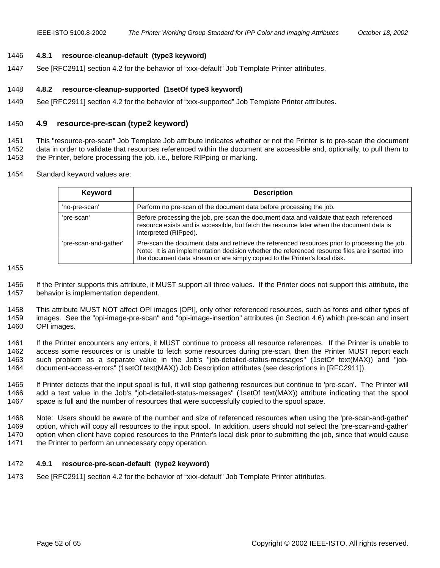#### <span id="page-51-0"></span>1446 **4.8.1 resource-cleanup-default (type3 keyword)**

1447 See [RFC2911] section 4.2 for the behavior of "xxx-default" Job Template Printer attributes.

#### 1448 **4.8.2 resource-cleanup-supported (1setOf type3 keyword)**

1449 See [RFC2911] section 4.2 for the behavior of "xxx-supported" Job Template Printer attributes.

#### 1450 **4.9 resource-pre-scan (type2 keyword)**

1451 This "resource-pre-scan" Job Template Job attribute indicates whether or not the Printer is to pre-scan the document 1452 data in order to validate that resources referenced within the document are accessible and, optionally, to pull them to 1453 the Printer, before processing the job, i.e., before RIPping or marking.

1454 Standard keyword values are:

| <b>Keyword</b>        | <b>Description</b>                                                                                                                                                                                                                                                            |
|-----------------------|-------------------------------------------------------------------------------------------------------------------------------------------------------------------------------------------------------------------------------------------------------------------------------|
| 'no-pre-scan'         | Perform no pre-scan of the document data before processing the job.                                                                                                                                                                                                           |
| 'pre-scan'            | Before processing the job, pre-scan the document data and validate that each referenced<br>resource exists and is accessible, but fetch the resource later when the document data is<br>interpreted (RIPped).                                                                 |
| 'pre-scan-and-gather' | Pre-scan the document data and retrieve the referenced resources prior to processing the job.<br>Note: It is an implementation decision whether the referenced resource files are inserted into<br>the document data stream or are simply copied to the Printer's local disk. |

1455

1456 If the Printer supports this attribute, it MUST support all three values. If the Printer does not support this attribute, the 1457 behavior is implementation dependent.

1458 This attribute MUST NOT affect OPI images [OPI], only other referenced resources, such as fonts and other types of 1459 images. See the "opi-image-pre-scan" and "opi-image-insertion" attributes (in Section [4.6\)](#page-45-0) which pre-scan and insert 1460 OPI images.

1461 If the Printer encounters any errors, it MUST continue to process all resource references. If the Printer is unable to 1462 access some resources or is unable to fetch some resources during pre-scan, then the Printer MUST report each 1463 such problem as a separate value in the Job's "job-detailed-status-messages" (1setOf text(MAX)) and "job-1464 document-access-errors" (1setOf text(MAX)) Job Description attributes (see descriptions in [RFC2911]).

1465 If Printer detects that the input spool is full, it will stop gathering resources but continue to 'pre-scan'. The Printer will 1466 add a text value in the Job's "job-detailed-status-messages" (1setOf text(MAX)) attribute indicating that the spool 1467 space is full and the number of resources that were successfully copied to the spool space.

1468 Note: Users should be aware of the number and size of referenced resources when using the 'pre-scan-and-gather' 1469 option, which will copy all resources to the input spool. In addition, users should not select the 'pre-scan-and-gather' 1470 option when client have copied resources to the Printer's local disk prior to submitting the job, since that would cause 1471 the Printer to perform an unnecessary copy operation.

#### 1472 **4.9.1 resource-pre-scan-default (type2 keyword)**

1473 See [RFC2911] section 4.2 for the behavior of "xxx-default" Job Template Printer attributes.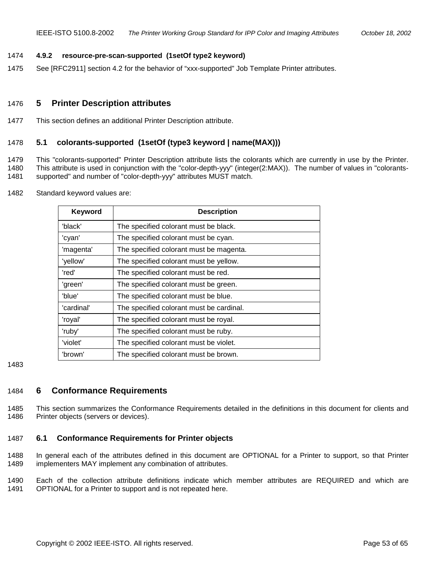#### <span id="page-52-0"></span>1474 **4.9.2 resource-pre-scan-supported (1setOf type2 keyword)**

1475 See [RFC2911] section 4.2 for the behavior of "xxx-supported" Job Template Printer attributes.

## 1476 **5 Printer Description attributes**

1477 This section defines an additional Printer Description attribute.

#### 1478 **5.1 colorants-supported (1setOf (type3 keyword | name(MAX)))**

1479 This "colorants-supported" Printer Description attribute lists the colorants which are currently in use by the Printer. 1480 This attribute is used in conjunction with the "color-depth-yyy" (integer(2:MAX)). The number of values in "colorants-1481 supported" and number of "color-depth-yyy" attributes MUST match.

1482 Standard keyword values are:

| <b>Keyword</b> | <b>Description</b>                       |
|----------------|------------------------------------------|
| 'black'        | The specified colorant must be black.    |
| 'cyan'         | The specified colorant must be cyan.     |
| 'magenta'      | The specified colorant must be magenta.  |
| 'yellow'       | The specified colorant must be yellow.   |
| 'red'          | The specified colorant must be red.      |
| 'green'        | The specified colorant must be green.    |
| 'blue'         | The specified colorant must be blue.     |
| 'cardinal'     | The specified colorant must be cardinal. |
| 'royal'        | The specified colorant must be royal.    |
| 'ruby'         | The specified colorant must be ruby.     |
| 'violet'       | The specified colorant must be violet.   |
| 'brown'        | The specified colorant must be brown.    |

1483

## 1484 **6 Conformance Requirements**

1485 This section summarizes the Conformance Requirements detailed in the definitions in this document for clients and 1486 Printer objects (servers or devices).

#### 1487 **6.1 Conformance Requirements for Printer objects**

1488 In general each of the attributes defined in this document are OPTIONAL for a Printer to support, so that Printer 1489 implementers MAY implement any combination of attributes.

1490 Each of the collection attribute definitions indicate which member attributes are REQUIRED and which are 1491 OPTIONAL for a Printer to support and is not repeated here.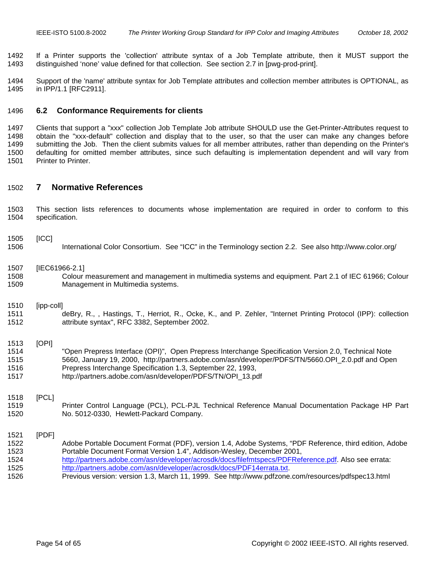<span id="page-53-0"></span>1492 If a Printer supports the 'collection' attribute syntax of a Job Template attribute, then it MUST support the 1493 distinguished 'none' value defined for that collection. See section 2.7 in [pwg-prod-print].

1494 Support of the 'name' attribute syntax for Job Template attributes and collection member attributes is OPTIONAL, as 1495 in IPP/1.1 [RFC2911].

#### 1496 **6.2 Conformance Requirements for clients**

1497 Clients that support a "xxx" collection Job Template Job attribute SHOULD use the Get-Printer-Attributes request to 1498 obtain the "xxx-default" collection and display that to the user, so that the user can make any changes before 1499 submitting the Job. Then the client submits values for all member attributes, rather than depending on the Printer's 1500 defaulting for omitted member attributes, since such defaulting is implementation dependent and will vary from 1501 Printer to Printer.

#### 1502 **7 Normative References**

1503 This section lists references to documents whose implementation are required in order to conform to this 1504 specification.

#### 1505 [ICC]

1506 International Color Consortium. See "ICC" in the Terminology section [2.2.](#page-12-0) See also http://www.color.org/

#### 1507 [IEC61966-2.1]

1508 Colour measurement and management in multimedia systems and equipment. Part 2.1 of IEC 61966; Colour 1509 Management in Multimedia systems.

#### 1510 [ipp-coll]

1511 deBry, R., , Hastings, T., Herriot, R., Ocke, K., and P. Zehler, "Internet Printing Protocol (IPP): collection 1512 attribute syntax", RFC 3382, September 2002.

# 1513 [OPI]

1514 "Open Prepress Interface (OPI)", Open Prepress Interchange Specification Version 2.0, Technical Note 1515 5660, January 19, 2000, http://partners.adobe.com/asn/developer/PDFS/TN/5660.OPI\_2.0.pdf and Open 1516 Prepress Interchange Specification 1.3, September 22, 1993, 1517 http://partners.adobe.com/asn/developer/PDFS/TN/OPI\_13.pdf

#### 1518 [PCL]

1519 Printer Control Language (PCL), PCL-PJL Technical Reference Manual Documentation Package HP Part 1520 No. 5012-0330, Hewlett-Packard Company.

#### 1521 [PDF]

- 1522 Adobe Portable Document Format (PDF), version 1.4, Adobe Systems, "PDF Reference, third edition, Adobe 1523 Portable Document Format Version 1.4", Addison-Wesley, December 2001, 1524 http://partners.adobe.com/asn/developer/acrosdk/docs/filefmtspecs/PDFReference.pdf. Also see errata: 1525 http://partners.adobe.com/asn/developer/acrosdk/docs/PDF14errata.txt.
- 1526 Previous version: version 1.3, March 11, 1999. See http://www.pdfzone.com/resources/pdfspec13.html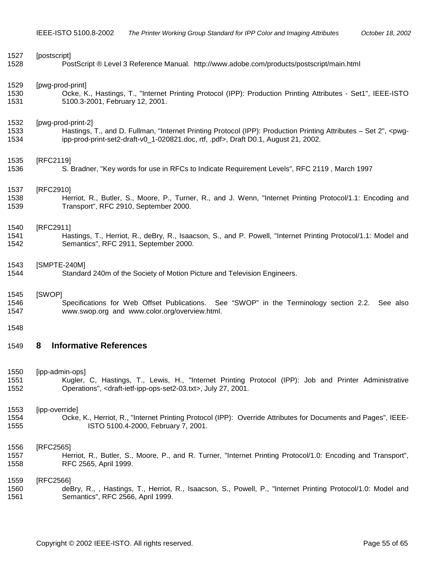<span id="page-54-0"></span>

| 1527 | [postscript]                                                                                                                    |
|------|---------------------------------------------------------------------------------------------------------------------------------|
| 1528 | PostScript ® Level 3 Reference Manual. http://www.adobe.com/products/postscript/main.html                                       |
| 1529 | [pwg-prod-print]                                                                                                                |
| 1530 | Ocke, K., Hastings, T., "Internet Printing Protocol (IPP): Production Printing Attributes - Set1", IEEE-ISTO                    |
| 1531 | 5100.3-2001, February 12, 2001.                                                                                                 |
| 1532 | [pwg-prod-print-2]                                                                                                              |
| 1533 | Hastings, T., and D. Fullman, "Internet Printing Protocol (IPP): Production Printing Attributes - Set 2", <pwg-< td=""></pwg-<> |
| 1534 | ipp-prod-print-set2-draft-v0_1-020821.doc, rtf, .pdf>, Draft D0.1, August 21, 2002.                                             |
| 1535 | [RFC2119]                                                                                                                       |
| 1536 | S. Bradner, "Key words for use in RFCs to Indicate Requirement Levels", RFC 2119, March 1997                                    |
| 1537 | [RFC2910]                                                                                                                       |
| 1538 | Herriot, R., Butler, S., Moore, P., Turner, R., and J. Wenn, "Internet Printing Protocol/1.1: Encoding and                      |
| 1539 | Transport", RFC 2910, September 2000.                                                                                           |
| 1540 | [RFC2911]                                                                                                                       |
| 1541 | Hastings, T., Herriot, R., deBry, R., Isaacson, S., and P. Powell, "Internet Printing Protocol/1.1: Model and                   |
| 1542 | Semantics", RFC 2911, September 2000.                                                                                           |
| 1543 | [SMPTE-240M]                                                                                                                    |
| 1544 | Standard 240m of the Society of Motion Picture and Television Engineers.                                                        |
| 1545 | [SWOP]                                                                                                                          |
| 1546 | Specifications for Web Offset Publications. See "SWOP" in the Terminology section 2.2. See also                                 |
| 1547 | www.swop.org and www.color.org/overview.html.                                                                                   |
| 1548 |                                                                                                                                 |
| 1549 | <b>Informative References</b><br>8                                                                                              |
| 1550 | [ipp-admin-ops]                                                                                                                 |
| 1551 | Kugler, C, Hastings, T., Lewis, H., "Internet Printing Protocol (IPP): Job and Printer Administrative                           |
| 1552 | Operations", <draft-ietf-ipp-ops-set2-03.txt>, July 27, 2001.</draft-ietf-ipp-ops-set2-03.txt>                                  |
| 1553 | [ipp-override]                                                                                                                  |
| 1554 | Ocke, K., Herriot, R., "Internet Printing Protocol (IPP): Override Attributes for Documents and Pages", IEEE-                   |
| 1555 | ISTO 5100.4-2000, February 7, 2001.                                                                                             |
| 1556 | [RFC2565]                                                                                                                       |
| 1557 | Herriot, R., Butler, S., Moore, P., and R. Turner, "Internet Printing Protocol/1.0: Encoding and Transport",                    |
| 1558 | RFC 2565, April 1999.                                                                                                           |
| 1559 | [RFC2566]                                                                                                                       |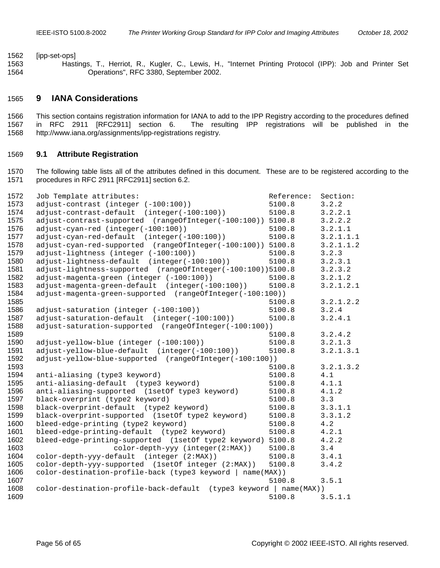<span id="page-55-0"></span>1562 [ipp-set-ops]

1563 Hastings, T., Herriot, R., Kugler, C., Lewis, H., "Internet Printing Protocol (IPP): Job and Printer Set 1564 Operations", RFC 3380, September 2002.

# **9 IANA Considerations**

1566 This section contains registration information for IANA to add to the IPP Registry according to the procedures defined 1567 in RFC 2911 [RFC2911] section 6. The resulting IPP registrations will be published in the 1568 http://www.iana.org/assignments/ipp-registrations registry.

#### **9.1 Attribute Registration**

1570 The following table lists all of the attributes defined in this document. These are to be registered according to the 1571 procedures in RFC 2911 [RFC2911] section 6.2.

| 1572 | Job Template attributes:                                           | Reference: | Section:  |
|------|--------------------------------------------------------------------|------------|-----------|
| 1573 | adjust-contrast (integer (-100:100))                               | 5100.8     | 3.2.2     |
| 1574 | adjust-contrast-default (integer(-100:100))                        | 5100.8     | 3.2.2.1   |
| 1575 | adjust-contrast-supported (rangeOfInteger(-100:100))               | 5100.8     | 3.2.2.2   |
| 1576 | adjust-cyan-red (integer(-100:100))                                | 5100.8     | 3.2.1.1   |
| 1577 | adjust-cyan-red-default (integer(-100:100))                        | 5100.8     | 3.2.1.1.1 |
| 1578 | adjust-cyan-red-supported (rangeOfInteger(-100:100))               | 5100.8     | 3.2.1.1.2 |
| 1579 | adjust-lightness (integer (-100:100))                              | 5100.8     | 3.2.3     |
| 1580 | adjust-lightness-default (integer(-100:100))                       | 5100.8     | 3.2.3.1   |
| 1581 | adjust-lightness-supported (rangeOfInteger(-100:100))5100.8        |            | 3.2.3.2   |
| 1582 | adjust-magenta-green (integer (-100:100))                          | 5100.8     | 3.2.1.2   |
| 1583 | adjust-magenta-green-default (integer(-100:100))                   | 5100.8     | 3.2.1.2.1 |
| 1584 | adjust-magenta-green-supported (rangeOfInteger(-100:100))          |            |           |
| 1585 |                                                                    | 5100.8     | 3.2.1.2.2 |
| 1586 | adjust-saturation (integer (-100:100))                             | 5100.8     | 3.2.4     |
| 1587 | adjust-saturation-default (integer(-100:100))                      | 5100.8     | 3.2.4.1   |
| 1588 | adjust-saturation-supported (rangeOfInteger(-100:100))             |            |           |
| 1589 |                                                                    | 5100.8     | 3.2.4.2   |
| 1590 | adjust-yellow-blue (integer (-100:100))                            | 5100.8     | 3.2.1.3   |
| 1591 | adjust-yellow-blue-default (integer(-100:100))                     | 5100.8     | 3.2.1.3.1 |
| 1592 | adjust-yellow-blue-supported (rangeOfInteger(-100:100))            |            |           |
| 1593 |                                                                    | 5100.8     | 3.2.1.3.2 |
| 1594 | anti-aliasing (type3 keyword)                                      | 5100.8     | 4.1       |
| 1595 | anti-aliasing-default (type3 keyword)                              | 5100.8     | 4.1.1     |
| 1596 | anti-aliasing-supported (1setOf type3 keyword)                     | 5100.8     | 4.1.2     |
| 1597 | black-overprint (type2 keyword)                                    | 5100.8     | 3.3       |
| 1598 | black-overprint-default (type2 keyword)                            | 5100.8     | 3.3.1.1   |
| 1599 | black-overprint-supported (1setOf type2 keyword)                   | 5100.8     | 3.3.1.2   |
| 1600 | bleed-edge-printing (type2 keyword)                                | 5100.8     | 4.2       |
| 1601 | bleed-edge-printing-default (type2 keyword)                        | 5100.8     | 4.2.1     |
| 1602 | bleed-edge-printing-supported (1setOf type2 keyword)               | 5100.8     | 4.2.2     |
| 1603 | color-depth-yyy (integer(2:MAX))                                   | 5100.8     | 3.4       |
| 1604 | color-depth-yyy-default (integer (2:MAX))                          | 5100.8     | 3.4.1     |
| 1605 | color-depth-yyy-supported (1setOf integer (2:MAX))                 | 5100.8     | 3.4.2     |
| 1606 | color-destination-profile-back (type3 keyword   name(MAX))         |            |           |
| 1607 |                                                                    | 5100.8     | 3.5.1     |
| 1608 | color-destination-profile-back-default (type3 keyword   name(MAX)) |            |           |
| 1609 |                                                                    | 5100.8     | 3.5.1.1   |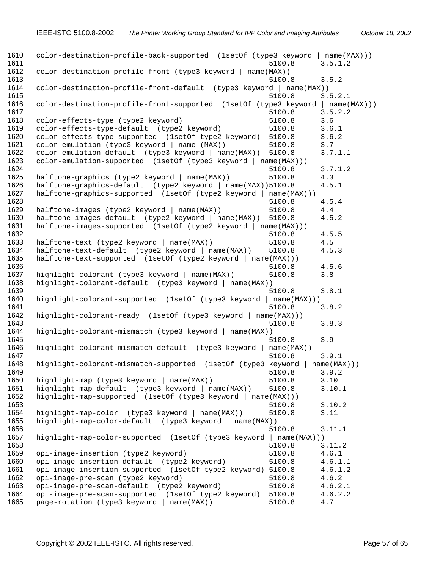1610 color-destination-profile-back-supported (1setOf (type3 keyword | name(MAX)))<br>1611 5100.8 3.5.1.2 5100.8 3.5.1.2 color-destination-profile-front (type3 keyword | name(MAX)) 5100.8 3.5.2 color-destination-profile-front-default (type3 keyword | name(MAX)) 5100.8 3.5.2.1 color-destination-profile-front-supported (1setOf (type3 keyword | name(MAX))) 5100.8 3.5.2.2 color-effects-type (type2 keyword) 5100.8 3.6 color-effects-type-default (type2 keyword) 5100.8 3.6.1 color-effects-type-supported (1setOf type2 keyword) 5100.8 3.6.2 color-emulation (type3 keyword | name (MAX)) 5100.8 3.7 color-emulation-default (type3 keyword | name(MAX)) 5100.8 3.7.1.1 color-emulation-supported (1setOf (type3 keyword | name(MAX))) 5100.8 3.7.1.2 1625 halftone-graphics (type2 keyword | name(MAX)) 5100.8 4.3<br>1626 halftone-graphics-default (type2 keyword | name(MAX))5100.8 4.5 halftone-graphics-default (type2 keyword | name(MAX))5100.8 4.5.1 halftone-graphics-supported (1setOf (type2 keyword | name(MAX))) 5100.8 4.5.4 halftone-images (type2 keyword | name(MAX)) 5100.8 4.4 halftone-images-default (type2 keyword | name(MAX)) 5100.8 4.5.2 halftone-images-supported (1setOf (type2 keyword | name(MAX))) 5100.8 4.5.5 halftone-text (type2 keyword | name(MAX)) 5100.8 4.5 1634 halftone-text-default (type2 keyword | name(MAX)) 5100.8 4.5.3<br>1635 halftone-text-supported (1setOf (type2 keyword | name(MAX))) halftone-text-supported (1setOf (type2 keyword | name(MAX))) 5100.8 4.5.6 highlight-colorant (type3 keyword | name(MAX)) 5100.8 3.8 highlight-colorant-default (type3 keyword | name(MAX)) 5100.8 3.8.1 highlight-colorant-supported (1setOf (type3 keyword | name(MAX))) 5100.8 3.8.2 highlight-colorant-ready (1setOf (type3 keyword | name(MAX))) 5100.8 3.8.3 highlight-colorant-mismatch (type3 keyword | name(MAX)) 5100.8 3.9 highlight-colorant-mismatch-default (type3 keyword | name(MAX)) 5100.8 3.9.1 highlight-colorant-mismatch-supported (1setOf (type3 keyword | name(MAX))) 5100.8 3.9.2 highlight-map (type3 keyword | name(MAX)) 5100.8 3.10 highlight-map-default (type3 keyword | name(MAX)) 5100.8 3.10.1 highlight-map-supported (1setOf (type3 keyword | name(MAX))) 5100.8 3.10.2 highlight-map-color (type3 keyword | name(MAX)) 5100.8 3.11 highlight-map-color-default (type3 keyword | name(MAX)) 5100.8 3.11.1 highlight-map-color-supported (1setOf (type3 keyword | name(MAX))) 5100.8 3.11.2 opi-image-insertion (type2 keyword) 5100.8 4.6.1 opi-image-insertion-default (type2 keyword) 5100.8 4.6.1.1 opi-image-insertion-supported (1setOf type2 keyword) 5100.8 4.6.1.2 opi-image-pre-scan (type2 keyword) 5100.8 4.6.2 opi-image-pre-scan-default (type2 keyword) 5100.8 4.6.2.1 opi-image-pre-scan-supported (1setOf type2 keyword) 5100.8 4.6.2.2 page-rotation (type3 keyword | name(MAX)) 5100.8 4.7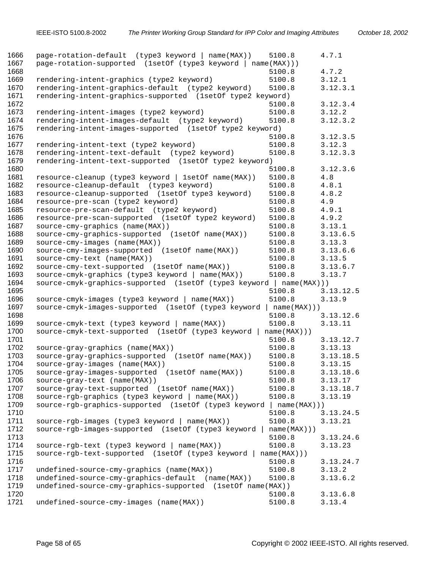| 1666<br>1667 | page-rotation-default (type3 keyword   name(MAX))<br>page-rotation-supported (1setOf (type3 keyword   name(MAX))) | 5100.8                | 4.7.1     |
|--------------|-------------------------------------------------------------------------------------------------------------------|-----------------------|-----------|
| 1668         |                                                                                                                   | 5100.8                | 4.7.2     |
| 1669         | rendering-intent-graphics (type2 keyword)                                                                         | 5100.8                | 3.12.1    |
| 1670         | rendering-intent-graphics-default (type2 keyword)                                                                 | 5100.8                | 3.12.3.1  |
| 1671         | rendering-intent-graphics-supported (1setOf type2 keyword)                                                        |                       |           |
| 1672         |                                                                                                                   | 5100.8                | 3.12.3.4  |
| 1673         | rendering-intent-images (type2 keyword)                                                                           | 5100.8                | 3.12.2    |
| 1674         | rendering-intent-images-default (type2 keyword)                                                                   | 5100.8                | 3.12.3.2  |
| 1675         | rendering-intent-images-supported (lsetOf type2 keyword)                                                          |                       |           |
| 1676         |                                                                                                                   | 5100.8                | 3.12.3.5  |
| 1677         | rendering-intent-text (type2 keyword)                                                                             | 5100.8                | 3.12.3    |
| 1678         | rendering-intent-text-default (type2 keyword)                                                                     | 5100.8                | 3.12.3.3  |
| 1679         | rendering-intent-text-supported (1setOf type2 keyword)                                                            |                       |           |
| 1680         |                                                                                                                   | 5100.8                | 3.12.3.6  |
| 1681         | resource-cleanup (type3 keyword   1setOf name(MAX))                                                               | 5100.8                | 4.8       |
| 1682         | resource-cleanup-default (type3 keyword)                                                                          | 5100.8                | 4.8.1     |
| 1683         | resource-cleanup-supported (1setOf type3 keyword)                                                                 | 5100.8                | 4.8.2     |
| 1684         | resource-pre-scan (type2 keyword)                                                                                 | 5100.8                | 4.9       |
| 1685         | resource-pre-scan-default (type2 keyword)                                                                         | 5100.8                | 4.9.1     |
| 1686         | resource-pre-scan-supported (1setOf type2 keyword)                                                                | 5100.8                | 4.9.2     |
| 1687         | source-cmy-graphics (name(MAX))                                                                                   | 5100.8                | 3.13.1    |
| 1688         | source-cmy-graphics-supported (1setOf name(MAX))                                                                  | 5100.8                | 3.13.6.5  |
| 1689         | source-cmy-images (name(MAX))                                                                                     | 5100.8                | 3.13.3    |
| 1690         | source-cmy-images-supported (1setOf name(MAX))                                                                    | 5100.8                | 3.13.6.6  |
| 1691         | source-cmy-text (name(MAX))                                                                                       | 5100.8                | 3.13.5    |
| 1692         | source-cmy-text-supported (1setOf name(MAX))                                                                      | 5100.8                | 3.13.6.7  |
| 1693         | source-cmyk-graphics (type3 keyword   name(MAX))                                                                  | 5100.8                | 3.13.7    |
| 1694         | source-cmyk-graphics-supported (1setOf (type3 keyword                                                             | name(MAX))            |           |
| 1695         |                                                                                                                   | 5100.8                | 3.13.12.5 |
| 1696<br>1697 | source-cmyk-images (type3 keyword   name(MAX))                                                                    | 5100.8                | 3.13.9    |
| 1698         | source-cmyk-images-supported (1setOf (type3 keyword                                                               | name(MAX)))<br>5100.8 | 3.13.12.6 |
| 1699         |                                                                                                                   |                       |           |
| 1700         | source-cmyk-text (type3 keyword   name(MAX))<br>source-cmyk-text-supported (1setOf (type3 keyword                 | 5100.8                | 3.13.11   |
| 1701         |                                                                                                                   | name(MAX))<br>5100.8  | 3.13.12.7 |
| 1702         | source-gray-graphics (name(MAX))                                                                                  | 5100.8                | 3.13.13   |
| 1703         | source-gray-graphics-supported (1setOf name(MAX))                                                                 | 5100.8                | 3.13.18.5 |
| 1704         | source-gray-images (name(MAX))                                                                                    | 5100.8                | 3.13.15   |
| 1705         | source-gray-images-supported (1setOf name(MAX))                                                                   | 5100.8                | 3.13.18.6 |
| 1706         | source-gray-text (name(MAX))                                                                                      | 5100.8                | 3.13.17   |
| 1707         | source-gray-text-supported (1setOf name(MAX))                                                                     | 5100.8                | 3.13.18.7 |
| 1708         | source-rgb-graphics (type3 keyword   name(MAX))                                                                   | 5100.8                | 3.13.19   |
| 1709         | source-rgb-graphics-supported (1setOf (type3 keyword   name(MAX)))                                                |                       |           |
| 1710         |                                                                                                                   | 5100.8                | 3.13.24.5 |
| 1711         | source-rgb-images (type3 keyword   name(MAX))                                                                     | 5100.8                | 3.13.21   |
| 1712         | source-rgb-images-supported (1setOf (type3 keyword                                                                | name(MAX))            |           |
| 1713         |                                                                                                                   | 5100.8                | 3.13.24.6 |
| 1714         | source-rgb-text (type3 keyword   name(MAX))                                                                       | 5100.8                | 3.13.23   |
| 1715         | source-rgb-text-supported (1setOf (type3 keyword                                                                  | name(MAX)))           |           |
| 1716         |                                                                                                                   | 5100.8                | 3.13.24.7 |
| 1717         | undefined-source-cmy-graphics (name(MAX))                                                                         | 5100.8                | 3.13.2    |
| 1718         | undefined-source-cmy-graphics-default (name(MAX))                                                                 | 5100.8                | 3.13.6.2  |
| 1719         | undefined-source-cmy-graphics-supported (lsetOf name(MAX))                                                        |                       |           |
| 1720         |                                                                                                                   | 5100.8                | 3.13.6.8  |
| 1721         | undefined-source-cmy-images (name(MAX))                                                                           | 5100.8                | 3.13.4    |
|              |                                                                                                                   |                       |           |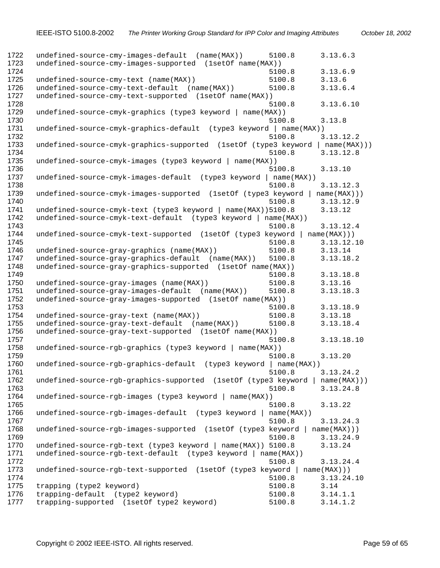1722 undefined-source-cmy-images-default (name(MAX)) 5100.8 3.13.6.3<br>1723 undefined-source-cmy-images-supported (1setOf name(MAX)) undefined-source-cmy-images-supported (1setOf name(MAX)) 5100.8 3.13.6.9 undefined-source-cmy-text (name(MAX)) 5100.8 3.13.6 undefined-source-cmy-text-default (name(MAX)) 5100.8 3.13.6.4 undefined-source-cmy-text-supported (1setOf name(MAX)) 5100.8 3.13.6.10 undefined-source-cmyk-graphics (type3 keyword | name(MAX)) 5100.8 3.13.8 undefined-source-cmyk-graphics-default (type3 keyword | name(MAX)) 5100.8 3.13.12.2 undefined-source-cmyk-graphics-supported (1setOf (type3 keyword | name(MAX))) 5100.8 3.13.12.8 undefined-source-cmyk-images (type3 keyword | name(MAX)) 5100.8 3.13.10 1737 undefined-source-cmyk-images-default (type3 keyword | name(MAX))<br>1738 5100.8 5100.8 3.13.12.3 undefined-source-cmyk-images-supported (1setOf (type3 keyword | name(MAX))) 5100.8 3.13.12.9 undefined-source-cmyk-text (type3 keyword | name(MAX))5100.8 3.13.12 undefined-source-cmyk-text-default (type3 keyword | name(MAX)) 5100.8 3.13.12.4 undefined-source-cmyk-text-supported (1setOf (type3 keyword | name(MAX))) 5100.8 3.13.12.10 undefined-source-gray-graphics (name(MAX)) 5100.8 3.13.14 undefined-source-gray-graphics-default (name(MAX)) 5100.8 3.13.18.2 undefined-source-gray-graphics-supported (1setOf name(MAX)) 5100.8 3.13.18.8 undefined-source-gray-images (name(MAX)) 5100.8 3.13.16 undefined-source-gray-images-default (name(MAX)) 5100.8 3.13.18.3 undefined-source-gray-images-supported (1setOf name(MAX)) 5100.8 3.13.18.9 undefined-source-gray-text (name(MAX)) 5100.8 3.13.18 undefined-source-gray-text-default (name(MAX)) 5100.8 3.13.18.4 undefined-source-gray-text-supported (1setOf name(MAX)) 5100.8 3.13.18.10 undefined-source-rgb-graphics (type3 keyword | name(MAX)) 5100.8 3.13.20 undefined-source-rgb-graphics-default (type3 keyword | name(MAX)) 5100.8 3.13.24.2 undefined-source-rgb-graphics-supported (1setOf (type3 keyword | name(MAX))) 5100.8 3.13.24.8 undefined-source-rgb-images (type3 keyword | name(MAX)) 5100.8 3.13.22 undefined-source-rgb-images-default (type3 keyword | name(MAX)) 5100.8 3.13.24.3 undefined-source-rgb-images-supported (1setOf (type3 keyword | name(MAX))) 5100.8 3.13.24.9 1770 undefined-source-rgb-text (type3 keyword | name(MAX)) 5100.8 3.13.24<br>1771 undefined-source-rgb-text-default (type3 keyword | name(MAX)) undefined-source-rgb-text-default (type3 keyword | name(MAX)) 5100.8 3.13.24.4 undefined-source-rgb-text-supported (1setOf (type3 keyword | name(MAX))) 5100.8 3.13.24.10 trapping (type2 keyword) 5100.8 3.14 trapping-default (type2 keyword) 5100.8 3.14.1.1 trapping-supported (1setOf type2 keyword) 5100.8 3.14.1.2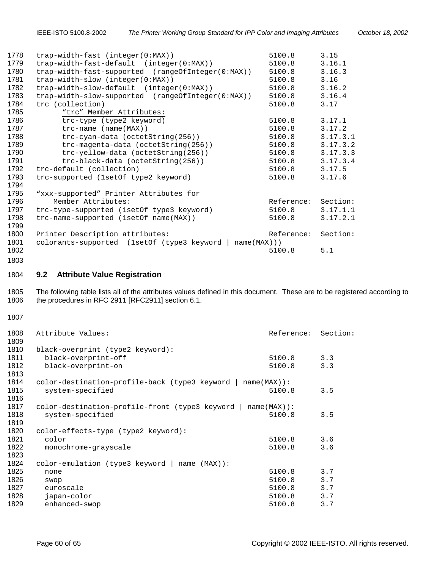<span id="page-59-0"></span>

| 1778 | $trap-width-fast (integer(0:MAX))$                         | 5100.8     | 3.15     |
|------|------------------------------------------------------------|------------|----------|
| 1779 | trap-width-fast-default (integer(0:MAX))                   | 5100.8     | 3.16.1   |
| 1780 | trap-width-fast-supported (rangeOfInteger(0:MAX))          | 5100.8     | 3.16.3   |
| 1781 | $trap-width-slow (integer(0:MAX))$                         | 5100.8     | 3.16     |
| 1782 | trap-width-slow-default (integer(0:MAX))                   | 5100.8     | 3.16.2   |
| 1783 | trap-width-slow-supported (rangeOfInteger(0:MAX))          | 5100.8     | 3.16.4   |
| 1784 | trc (collection)                                           | 5100.8     | 3.17     |
| 1785 | "trc" Member Attributes:                                   |            |          |
| 1786 | trc-type (type2 keyword)                                   | 5100.8     | 3.17.1   |
| 1787 | $\text{trc-name}$ (name (MAX))                             | 5100.8     | 3.17.2   |
| 1788 | $\text{trc-cyan-data}$ (octetString(256))                  | 5100.8     | 3.17.3.1 |
| 1789 | trc-magenta-data (octetString(256))                        | 5100.8     | 3.17.3.2 |
| 1790 | trc-yellow-data (octetString(256))                         | 5100.8     | 3.17.3.3 |
| 1791 | $trc-black-data (octetString(256))$                        | 5100.8     | 3.17.3.4 |
| 1792 | trc-default (collection)                                   | 5100.8     | 3.17.5   |
| 1793 | trc-supported (1setOf type2 keyword)                       | 5100.8     | 3.17.6   |
| 1794 |                                                            |            |          |
| 1795 | "xxx-supported" Printer Attributes for                     |            |          |
| 1796 | Member Attributes:                                         | Reference: | Section: |
| 1797 | trc-type-supported (1setOf type3 keyword)                  | 5100.8     | 3.17.1.1 |
| 1798 | trc-name-supported (1setOf name(MAX))                      | 5100.8     | 3.17.2.1 |
| 1799 |                                                            |            |          |
| 1800 | Printer Description attributes:                            | Reference: | Section: |
| 1801 | colorants-supported (1setOf (type3 keyword )<br>name(MAX)) |            |          |
| 1802 |                                                            | 5100.8     | 5.1      |
|      |                                                            |            |          |

#### 

**9.2 Attribute Value Registration** 

1805 The following table lists all of the attributes values defined in this document. These are to be registered according to 1806 the procedures in RFC 2911 [RFC2911] section 6.1.

| Attribute Values:                               |        | Section:                                     |
|-------------------------------------------------|--------|----------------------------------------------|
|                                                 |        |                                              |
| black-overprint (type2 keyword):                |        |                                              |
| black-overprint-off                             | 5100.8 | 3.3                                          |
| black-overprint-on                              | 5100.8 | 3.3                                          |
|                                                 |        |                                              |
| color-destination-profile-back (type3 keyword   |        |                                              |
| system-specified                                | 5100.8 | 3.5                                          |
|                                                 |        |                                              |
| color-destination-profile-front (type3 keyword  |        |                                              |
| system-specified                                | 5100.8 | 3.5                                          |
|                                                 |        |                                              |
| color-effects-type (type2 keyword):             |        |                                              |
| color                                           | 5100.8 | 3.6                                          |
| monochrome-grayscale                            | 5100.8 | 3.6                                          |
|                                                 |        |                                              |
| $color-emulation$ (type3 keyword   name (MAX)): |        |                                              |
| none                                            | 5100.8 | 3.7                                          |
| swop                                            | 5100.8 | 3.7                                          |
| euroscale                                       | 5100.8 | 3.7                                          |
| japan-color                                     | 5100.8 | 3.7                                          |
| enhanced-swop                                   | 5100.8 | 3.7                                          |
|                                                 |        | Reference:<br>$name(MAX)$ :<br>$name(MAX)$ : |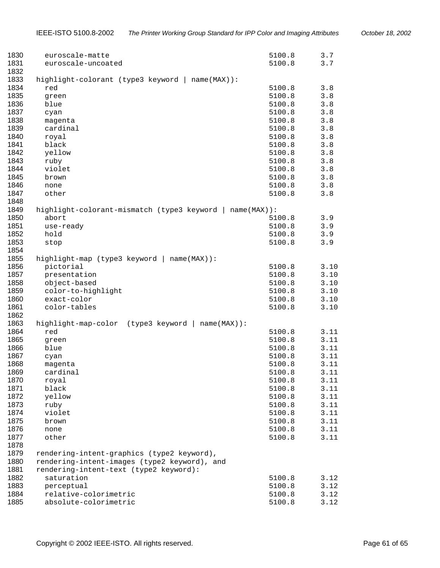| 1830<br>1831 | euroscale-matte<br>euroscale-uncoated                    | 5100.8<br>5100.8 | 3.7<br>3.7 |
|--------------|----------------------------------------------------------|------------------|------------|
| 1832         |                                                          |                  |            |
| 1833<br>1834 | highlight-colorant (type3 keyword   name(MAX)):          |                  |            |
| 1835         | red                                                      | 5100.8           | 3.8        |
| 1836         | green                                                    | 5100.8           | 3.8        |
| 1837         | blue                                                     | 5100.8           | 3.8        |
| 1838         | cyan                                                     | 5100.8           | 3.8<br>3.8 |
| 1839         | magenta<br>cardinal                                      | 5100.8<br>5100.8 | 3.8        |
| 1840         | royal                                                    | 5100.8           | 3.8        |
| 1841         | black                                                    | 5100.8           | 3.8        |
| 1842         | yellow                                                   | 5100.8           | 3.8        |
| 1843         | ruby                                                     | 5100.8           | 3.8        |
| 1844         | violet                                                   | 5100.8           | 3.8        |
| 1845         | brown                                                    | 5100.8           | 3.8        |
| 1846         | none                                                     | 5100.8           | 3.8        |
| 1847         | other                                                    | 5100.8           | 3.8        |
| 1848<br>1849 | highlight-colorant-mismatch (type3 keyword   name(MAX)): |                  |            |
| 1850         | abort                                                    | 5100.8           | 3.9        |
| 1851         | use-ready                                                | 5100.8           | 3.9        |
| 1852         | hold                                                     | 5100.8           | 3.9        |
| 1853         | stop                                                     | 5100.8           | 3.9        |
| 1854<br>1855 | highlight-map (type3 keyword   name(MAX)):               |                  |            |
| 1856         | pictorial                                                | 5100.8           | 3.10       |
| 1857         | presentation                                             | 5100.8           | 3.10       |
| 1858         | object-based                                             | 5100.8           | 3.10       |
| 1859         | color-to-highlight                                       | 5100.8           | 3.10       |
| 1860         | exact-color                                              | 5100.8           | 3.10       |
| 1861         | color-tables                                             | 5100.8           | 3.10       |
| 1862<br>1863 | highlight-map-color (type3 keyword   name(MAX)):         |                  |            |
| 1864         | red                                                      | 5100.8           | 3.11       |
| 1865         | green                                                    | 5100.8           | 3.11       |
| 1866         | blue                                                     | 5100.8           | 3.11       |
| 1867         | cyan                                                     | 5100.8           | 3.11       |
| 1868         | magenta                                                  | 5100.8           | 3.11       |
| 1869         | cardinal                                                 | 5100.8           | 3.11       |
| 1870         | royal                                                    | 5100.8           | 3.11       |
| 1871         | black                                                    | 5100.8           | 3.11       |
| 1872         | yellow                                                   | 5100.8           | 3.11       |
| 1873         | ruby                                                     | 5100.8           | 3.11       |
| 1874         | violet                                                   | 5100.8           | 3.11       |
| 1875         | brown                                                    | 5100.8           | 3.11       |
| 1876         | none                                                     | 5100.8           | 3.11       |
| 1877         | other                                                    | 5100.8           | 3.11       |
| 1878         |                                                          |                  |            |
| 1879         | rendering-intent-graphics (type2 keyword),               |                  |            |
| 1880         | rendering-intent-images (type2 keyword), and             |                  |            |
| 1881         | rendering-intent-text (type2 keyword):                   |                  |            |
| 1882         | saturation                                               | 5100.8           | 3.12       |
| 1883         | perceptual                                               | 5100.8           | 3.12       |
| 1884         | relative-colorimetric                                    | 5100.8           | 3.12       |
| 1885         | absolute-colorimetric                                    | 5100.8           | 3.12       |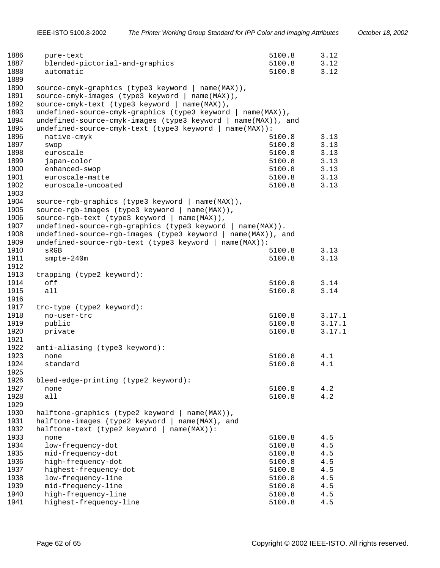| 1886 | pure-text                                                    | 5100.8          | 3.12   |
|------|--------------------------------------------------------------|-----------------|--------|
| 1887 | blended-pictorial-and-graphics                               | 5100.8          | 3.12   |
| 1888 | automatic                                                    | 5100.8          | 3.12   |
| 1889 |                                                              |                 |        |
| 1890 | source-cmyk-graphics (type3 keyword   name(MAX)),            |                 |        |
| 1891 | source-cmyk-images (type3 keyword   name(MAX)),              |                 |        |
| 1892 | source-cmyk-text (type3 keyword  <br>$name(MAX)$ ),          |                 |        |
| 1893 | undefined-source-cmyk-graphics (type3 keyword   name(MAX)),  |                 |        |
| 1894 | undefined-source-cmyk-images (type3 keyword                  | name(MAX)), and |        |
| 1895 | undefined-source-cmyk-text (type3 keyword   name(MAX)):      |                 |        |
| 1896 | native-cmyk                                                  | 5100.8          | 3.13   |
| 1897 | swop                                                         | 5100.8          | 3.13   |
| 1898 | euroscale                                                    | 5100.8          | 3.13   |
| 1899 | japan-color                                                  | 5100.8          | 3.13   |
| 1900 | enhanced-swop                                                |                 | 3.13   |
| 1901 |                                                              | 5100.8          |        |
|      | euroscale-matte                                              | 5100.8          | 3.13   |
| 1902 | euroscale-uncoated                                           | 5100.8          | 3.13   |
| 1903 |                                                              |                 |        |
| 1904 | source-rgb-graphics (type3 keyword   name(MAX)),             |                 |        |
| 1905 | source-rgb-images (type3 keyword   name(MAX)),               |                 |        |
| 1906 | source-rgb-text (type3 keyword   name(MAX)),                 |                 |        |
| 1907 | undefined-source-rgb-graphics (type3 keyword   name(MAX)).   |                 |        |
| 1908 | undefined-source-rgb-images (type3 keyword   name(MAX)), and |                 |        |
| 1909 | undefined-source-rgb-text (type3 keyword   name(MAX)):       |                 |        |
| 1910 | sRGB                                                         | 5100.8          | 3.13   |
| 1911 | smpte-240m                                                   | 5100.8          | 3.13   |
| 1912 |                                                              |                 |        |
| 1913 | trapping (type2 keyword):                                    |                 |        |
| 1914 | off                                                          | 5100.8          | 3.14   |
| 1915 | all                                                          | 5100.8          | 3.14   |
| 1916 |                                                              |                 |        |
| 1917 | trc-type (type2 keyword):                                    |                 |        |
| 1918 | no-user-trc                                                  | 5100.8          | 3.17.1 |
| 1919 | public                                                       | 5100.8          | 3.17.1 |
| 1920 | private                                                      | 5100.8          | 3.17.1 |
| 1921 |                                                              |                 |        |
| 1922 | anti-aliasing (type3 keyword):                               |                 |        |
| 1923 | none                                                         | 5100.8          | 4.1    |
| 1924 | standard                                                     | 5100.8          | 4.1    |
| 1925 |                                                              |                 |        |
| 1926 | bleed-edge-printing (type2 keyword):                         |                 |        |
| 1927 | none                                                         | 5100.8          | 4.2    |
| 1928 | all                                                          | 5100.8          | 4.2    |
| 1929 |                                                              |                 |        |
| 1930 | halftone-graphics (type2 keyword   name(MAX)),               |                 |        |
| 1931 | halftone-images (type2 keyword  <br>name(MAX), and           |                 |        |
| 1932 | halftone-text (type2 keyword  <br>$name(MAX)$ :              |                 |        |
| 1933 |                                                              |                 |        |
|      | none                                                         | 5100.8          | 4.5    |
| 1934 | low-frequency-dot                                            | 5100.8          | 4.5    |
| 1935 | mid-frequency-dot                                            | 5100.8          | 4.5    |
| 1936 | high-frequency-dot                                           | 5100.8          | 4.5    |
| 1937 | highest-frequency-dot                                        | 5100.8          | 4.5    |
| 1938 | low-frequency-line                                           | 5100.8          | 4.5    |
| 1939 | mid-frequency-line                                           | 5100.8          | 4.5    |
| 1940 | high-frequency-line                                          | 5100.8          | 4.5    |
| 1941 | highest-frequency-line                                       | 5100.8          | 4.5    |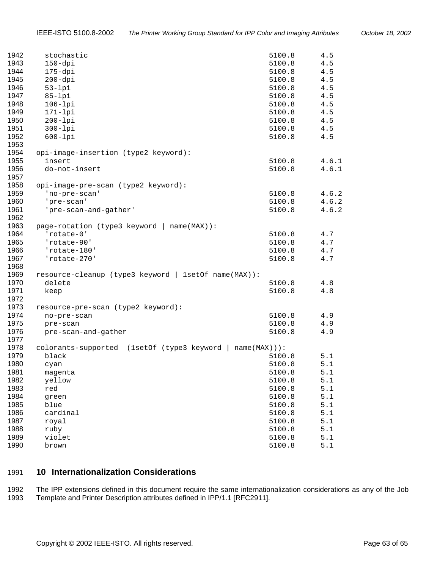<span id="page-62-0"></span>

| 1942         | stochastic                                                | 5100.8 | 4.5     |
|--------------|-----------------------------------------------------------|--------|---------|
| 1943         | $150 - dpi$                                               | 5100.8 | 4.5     |
| 1944         | $175 - dpi$                                               | 5100.8 | 4.5     |
| 1945         | $200 - dpi$                                               | 5100.8 | 4.5     |
| 1946         | $53-1pi$                                                  | 5100.8 | 4.5     |
| 1947         | $85-1pi$                                                  | 5100.8 | 4.5     |
| 1948         | $106 - lpi$                                               | 5100.8 | 4.5     |
| 1949         | $171-1pi$                                                 | 5100.8 | 4.5     |
| 1950         | $200 - lpi$                                               | 5100.8 | 4.5     |
| 1951         | $300-1pi$                                                 | 5100.8 | 4.5     |
| 1952         | $600 - lpi$                                               | 5100.8 | 4.5     |
| 1953         |                                                           |        |         |
| 1954         | opi-image-insertion (type2 keyword):                      |        |         |
| 1955         | insert                                                    | 5100.8 | 4.6.1   |
| 1956         | do-not-insert                                             | 5100.8 | 4.6.1   |
| 1957         |                                                           |        |         |
| 1958         | opi-image-pre-scan (type2 keyword):                       |        |         |
| 1959         | 'no-pre-scan'                                             | 5100.8 | 4.6.2   |
| 1960         | 'pre-scan'                                                | 5100.8 | 4.6.2   |
| 1961         | 'pre-scan-and-gather'                                     | 5100.8 | 4.6.2   |
| 1962         |                                                           |        |         |
| 1963         | page-rotation (type3 keyword   name(MAX)):                |        |         |
| 1964         | 'rotate-0'                                                | 5100.8 | 4.7     |
| 1965         | 'rotate-90'                                               | 5100.8 | 4.7     |
| 1966         | 'rotate-180'                                              | 5100.8 | 4.7     |
| 1967         | 'rotate-270'                                              | 5100.8 | 4.7     |
| 1968<br>1969 | resource-cleanup (type3 keyword   1setOf name(MAX)):      |        |         |
| 1970         | delete                                                    | 5100.8 | 4.8     |
| 1971         | keep                                                      | 5100.8 | $4.8\,$ |
| 1972         |                                                           |        |         |
| 1973         | resource-pre-scan (type2 keyword):                        |        |         |
| 1974         | no-pre-scan                                               | 5100.8 | 4.9     |
| 1975         | pre-scan                                                  | 5100.8 | 4.9     |
| 1976         | pre-scan-and-gather                                       | 5100.8 | 4.9     |
| 1977         |                                                           |        |         |
| 1978         | colorants-supported (1setOf (type3 keyword   name(MAX))): |        |         |
| 1979         | black                                                     | 5100.8 | 5.1     |
| 1980         | cyan                                                      | 5100.8 | 5.1     |
| 1981         | magenta                                                   | 5100.8 | 5.1     |
| 1982         | yellow                                                    | 5100.8 | 5.1     |
| 1983         | red                                                       | 5100.8 | 5.1     |
| 1984         | green                                                     | 5100.8 | 5.1     |
| 1985         | blue                                                      | 5100.8 | 5.1     |
| 1986         | cardinal                                                  | 5100.8 | 5.1     |
| 1987         | royal                                                     | 5100.8 | 5.1     |
| 1988         | ruby                                                      | 5100.8 | $5.1$   |
| 1989         | violet                                                    | 5100.8 | 5.1     |
| 1990         | brown                                                     | 5100.8 | $5.1$   |

# **10 Internationalization Considerations**

1992 The IPP extensions defined in this document require the same internationalization considerations as any of the Job 1993 Template and Printer Description attributes defined in IPP/1.1 [RFC2911].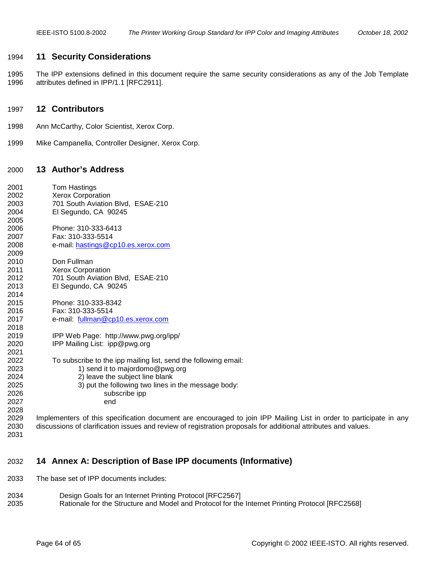## <span id="page-63-0"></span>1994 **11 Security Considerations**

1995 The IPP extensions defined in this document require the same security considerations as any of the Job Template 1996 attributes defined in IPP/1.1 [RFC2911].

## 1997 **12 Contributors**

- 1998 Ann McCarthy, Color Scientist, Xerox Corp.
- 1999 Mike Campanella, Controller Designer, Xerox Corp.

# 2000 **13 Author's Address**

| 2001 | Tom Hastings                                                               |
|------|----------------------------------------------------------------------------|
| 2002 | <b>Xerox Corporation</b>                                                   |
| 2003 | 701 South Aviation Blvd, ESAE-210                                          |
| 2004 | El Segundo, CA 90245                                                       |
| 2005 |                                                                            |
| 2006 | Phone: 310-333-6413                                                        |
| 2007 | Fax: 310-333-5514                                                          |
| 2008 | e-mail: hastings@cp10.es.xerox.com                                         |
| 2009 |                                                                            |
| 2010 | Don Fullman                                                                |
| 2011 | <b>Xerox Corporation</b>                                                   |
| 2012 | 701 South Aviation Blvd, ESAE-210                                          |
| 2013 | El Segundo, CA 90245                                                       |
| 2014 |                                                                            |
| 2015 | Phone: 310-333-8342                                                        |
| 2016 | Fax: 310-333-5514                                                          |
| 2017 | e-mail: fullman@cp10.es.xerox.com                                          |
| 2018 |                                                                            |
| 2019 | IPP Web Page: http://www.pwg.org/ipp/                                      |
| 2020 | IPP Mailing List: ipp@pwg.org                                              |
| 2021 |                                                                            |
| 2022 | To subscribe to the ipp mailing list, send the following email:            |
| 2023 | 1) send it to majordomo@pwg.org                                            |
| 2024 | 2) leave the subject line blank                                            |
| 2025 | 3) put the following two lines in the message body:                        |
| 2026 | subscribe ipp                                                              |
| 2027 | end                                                                        |
| 2028 |                                                                            |
| 2029 | Implementers of this specification document are encouraged to join IPF     |
| ∩∩∩  | standard af algebration innung and environmentale protection proposale for |

- 2031
- P Mailing List in order to participate in any 2030 discussions of clarification issues and review of registration proposals for additional attributes and values.

# 2032 **14 Annex A: Description of Base IPP documents (Informative)**

- 2033 The base set of IPP documents includes:
- 2034 Design Goals for an Internet Printing Protocol [RFC2567] 2035 Rationale for the Structure and Model and Protocol for the Internet Printing Protocol [RFC2568]